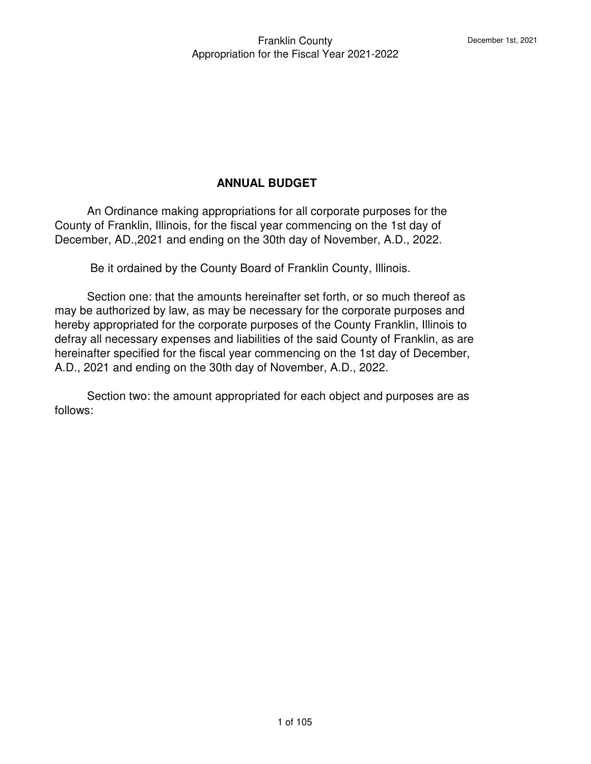# **ANNUAL BUDGET**

 An Ordinance making appropriations for all corporate purposes for the County of Franklin, Illinois, for the fiscal year commencing on the 1st day of December, AD.,2021 and ending on the 30th day of November, A.D., 2022.

Be it ordained by the County Board of Franklin County, Illinois.

 Section one: that the amounts hereinafter set forth, or so much thereof as may be authorized by law, as may be necessary for the corporate purposes and hereby appropriated for the corporate purposes of the County Franklin, Illinois to defray all necessary expenses and liabilities of the said County of Franklin, as are hereinafter specified for the fiscal year commencing on the 1st day of December, A.D., 2021 and ending on the 30th day of November, A.D., 2022.

 Section two: the amount appropriated for each object and purposes are as follows: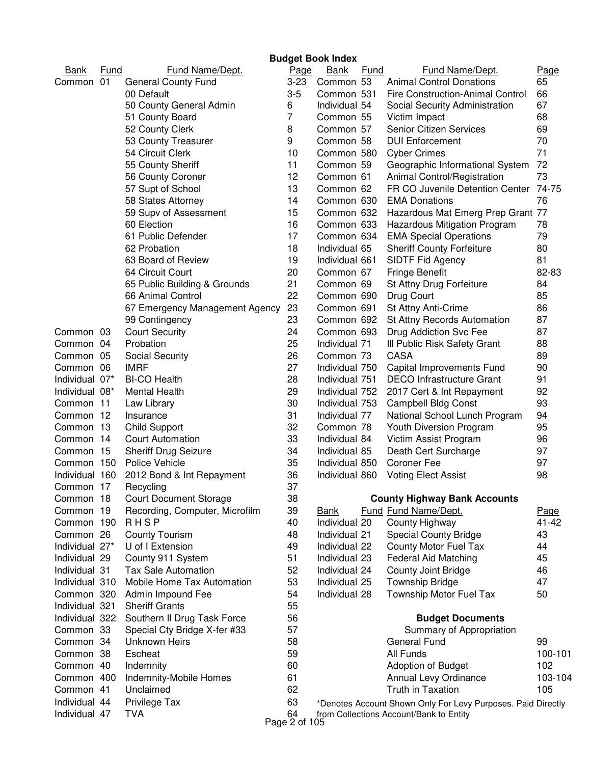| <b>Budget Book Index</b> |             |                                |  |             |                |             |                                                              |           |
|--------------------------|-------------|--------------------------------|--|-------------|----------------|-------------|--------------------------------------------------------------|-----------|
| <b>Bank</b>              | <b>Fund</b> | <b>Fund Name/Dept.</b>         |  | <u>Page</u> | <b>Bank</b>    | <b>Fund</b> | <b>Fund Name/Dept.</b>                                       | Page      |
| Common 01                |             | <b>General County Fund</b>     |  | $3 - 23$    | Common 53      |             | <b>Animal Control Donations</b>                              | 65        |
|                          |             | 00 Default                     |  | $3-5$       | Common 531     |             | Fire Construction-Animal Control                             | 66        |
|                          |             | 50 County General Admin        |  | 6           | Individual 54  |             | Social Security Administration                               | 67        |
|                          |             | 51 County Board                |  | 7           | Common 55      |             | Victim Impact                                                | 68        |
|                          |             | 52 County Clerk                |  | 8           | Common 57      |             | <b>Senior Citizen Services</b>                               | 69        |
|                          |             | 53 County Treasurer            |  | 9           | Common 58      |             | <b>DUI Enforcement</b>                                       | 70        |
|                          |             | 54 Circuit Clerk               |  | 10          | Common 580     |             | <b>Cyber Crimes</b>                                          | 71        |
|                          |             | 55 County Sheriff              |  | 11          | Common 59      |             | Geographic Informational System                              | 72        |
|                          |             | 56 County Coroner              |  | 12          | Common 61      |             | Animal Control/Registration                                  | 73        |
|                          |             | 57 Supt of School              |  | 13          | Common 62      |             | FR CO Juvenile Detention Center                              | 74-75     |
|                          |             | 58 States Attorney             |  | 14          | Common 630     |             | <b>EMA Donations</b>                                         | 76        |
|                          |             | 59 Supv of Assessment          |  | 15          | Common 632     |             | Hazardous Mat Emerg Prep Grant 77                            |           |
|                          |             | 60 Election                    |  | 16          | Common 633     |             | Hazardous Mitigation Program                                 | 78        |
|                          |             | 61 Public Defender             |  | 17          | Common 634     |             | <b>EMA Special Operations</b>                                | 79        |
|                          |             | 62 Probation                   |  | 18          | Individual 65  |             | <b>Sheriff County Forfeiture</b>                             | 80        |
|                          |             | 63 Board of Review             |  | 19          | Individual 661 |             | SIDTF Fid Agency                                             | 81        |
|                          |             | 64 Circuit Court               |  | 20          | Common 67      |             | <b>Fringe Benefit</b>                                        | 82-83     |
|                          |             | 65 Public Building & Grounds   |  | 21          | Common 69      |             | St Attny Drug Forfeiture                                     | 84        |
|                          |             | 66 Animal Control              |  | 22          | Common 690     |             | Drug Court                                                   | 85        |
|                          |             | 67 Emergency Management Agency |  | 23          | Common 691     |             | St Attny Anti-Crime                                          | 86        |
|                          |             | 99 Contingency                 |  | 23          | Common 692     |             | St Attny Records Automation                                  | 87        |
| Common 03                |             | <b>Court Security</b>          |  | 24          | Common 693     |             | Drug Addiction Svc Fee                                       | 87        |
| Common 04                |             | Probation                      |  | 25          | Individual 71  |             | III Public Risk Safety Grant                                 | 88        |
| Common 05                |             | Social Security                |  | 26          | Common 73      |             | <b>CASA</b>                                                  | 89        |
| Common 06                |             | <b>IMRF</b>                    |  | 27          | Individual 750 |             | Capital Improvements Fund                                    | 90        |
| Individual 07*           |             | <b>BI-CO Health</b>            |  | 28          | Individual 751 |             | <b>DECO</b> Infrastructure Grant                             | 91        |
| Individual 08*           |             | Mental Health                  |  | 29          | Individual 752 |             | 2017 Cert & Int Repayment                                    | 92        |
| Common 11                |             | Law Library                    |  | 30          | Individual 753 |             | <b>Campbell Bldg Const</b>                                   | 93        |
| Common 12                |             | Insurance                      |  | 31          | Individual 77  |             | National School Lunch Program                                | 94        |
| Common 13                |             | <b>Child Support</b>           |  | 32          | Common 78      |             | Youth Diversion Program                                      | 95        |
| Common 14                |             | <b>Court Automation</b>        |  | 33          | Individual 84  |             | Victim Assist Program                                        | 96        |
| Common 15                |             | <b>Sheriff Drug Seizure</b>    |  | 34          | Individual 85  |             | Death Cert Surcharge                                         | 97        |
| Common 150               |             | Police Vehicle                 |  | 35          | Individual 850 |             | <b>Coroner Fee</b>                                           | 97        |
| Individual 160           |             | 2012 Bond & Int Repayment      |  | 36          | Individual 860 |             | <b>Voting Elect Assist</b>                                   | 98        |
| Common 17                |             | Recycling                      |  | 37          |                |             |                                                              |           |
| Common 18                |             | <b>Court Document Storage</b>  |  | 38          |                |             | <b>County Highway Bank Accounts</b>                          |           |
| Common 19                |             | Recording, Computer, Microfilm |  | 39          | <b>Bank</b>    |             | Fund Fund Name/Dept.                                         | Page      |
| Common 190               |             | <b>RHSP</b>                    |  | 40          | Individual 20  |             | County Highway                                               | $41 - 42$ |
| Common 26                |             | <b>County Tourism</b>          |  | 48          | Individual 21  |             | <b>Special County Bridge</b>                                 | 43        |
| Individual 27*           |             | U of I Extension               |  | 49          | Individual 22  |             | County Motor Fuel Tax                                        | 44        |
| Individual 29            |             | County 911 System              |  | 51          | Individual 23  |             | Federal Aid Matching                                         | 45        |
| Individual 31            |             | <b>Tax Sale Automation</b>     |  | 52          | Individual 24  |             | County Joint Bridge                                          | 46        |
| Individual 310           |             | Mobile Home Tax Automation     |  | 53          | Individual 25  |             | <b>Township Bridge</b>                                       | 47        |
| Common 320               |             | Admin Impound Fee              |  | 54          | Individual 28  |             | Township Motor Fuel Tax                                      | 50        |
| Individual 321           |             | <b>Sheriff Grants</b>          |  | 55          |                |             |                                                              |           |
| Individual 322           |             | Southern II Drug Task Force    |  | 56          |                |             | <b>Budget Documents</b>                                      |           |
| Common 33                |             | Special Cty Bridge X-fer #33   |  | 57          |                |             | Summary of Appropriation                                     |           |
| Common 34                |             | <b>Unknown Heirs</b>           |  | 58          |                |             | <b>General Fund</b>                                          | 99        |
| Common 38                |             | Escheat                        |  | 59          |                |             | All Funds                                                    | 100-101   |
| Common 40                |             | Indemnity                      |  | 60          |                |             | Adoption of Budget                                           | 102       |
| Common 400               |             | Indemnity-Mobile Homes         |  | 61          |                |             | Annual Levy Ordinance                                        | 103-104   |
| Common 41                |             | Unclaimed                      |  | 62          |                |             | <b>Truth in Taxation</b>                                     | 105       |
| Individual 44            |             | Privilege Tax                  |  | 63          |                |             | *Denotes Account Shown Only For Levy Purposes. Paid Directly |           |
| Individual 47            |             | <b>TVA</b>                     |  | 64          |                |             | from Collections Account/Bank to Entity                      |           |

Page 2 of 105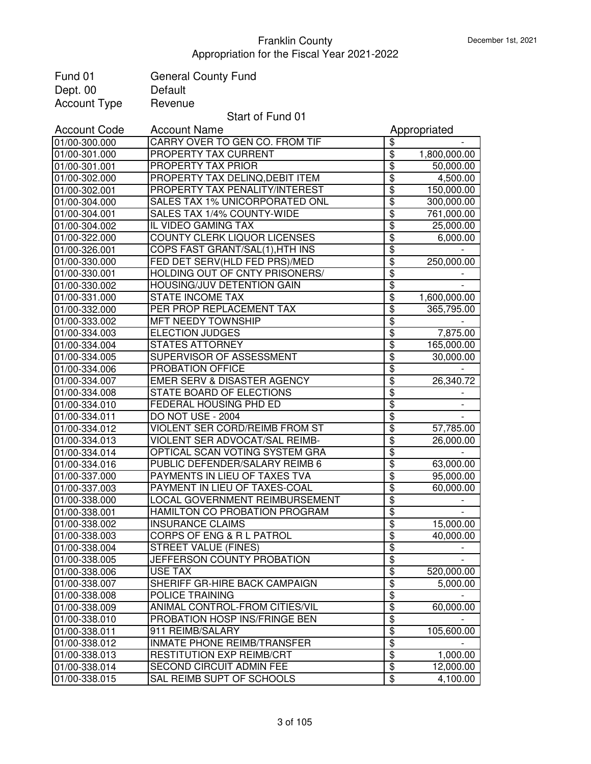| Fund 01                        | <b>General County Fund</b>                                      |                                                    |              |
|--------------------------------|-----------------------------------------------------------------|----------------------------------------------------|--------------|
| Dept. 00                       | Default                                                         |                                                    |              |
| <b>Account Type</b>            | Revenue                                                         |                                                    |              |
|                                | Start of Fund 01                                                |                                                    |              |
| <b>Account Code</b>            | <b>Account Name</b>                                             |                                                    | Appropriated |
| 01/00-300.000                  | CARRY OVER TO GEN CO. FROM TIF                                  | \$                                                 |              |
| 01/00-301.000                  | PROPERTY TAX CURRENT                                            | $\overline{\mathbf{e}}$                            | 1,800,000.00 |
| 01/00-301.001                  | PROPERTY TAX PRIOR                                              | \$                                                 | 50,000.00    |
| 01/00-302.000                  | PROPERTY TAX DELINQ, DEBIT ITEM                                 | \$                                                 | 4,500.00     |
| 01/00-302.001                  | PROPERTY TAX PENALITY/INTEREST                                  | $\overline{\$}$                                    | 150,000.00   |
| 01/00-304.000                  | SALES TAX 1% UNICORPORATED ONL                                  | $\overline{\$}$                                    | 300,000.00   |
| 01/00-304.001                  | SALES TAX 1/4% COUNTY-WIDE                                      | $\overline{\$}$                                    | 761,000.00   |
| 01/00-304.002                  | IL VIDEO GAMING TAX                                             | \$                                                 | 25,000.00    |
| 01/00-322.000                  | COUNTY CLERK LIQUOR LICENSES                                    | \$                                                 | 6,000.00     |
| 01/00-326.001                  | COPS FAST GRANT/SAL(1), HTH INS                                 | \$                                                 |              |
| 01/00-330.000                  | FED DET SERV(HLD FED PRS)/MED                                   | \$                                                 | 250,000.00   |
| 01/00-330.001                  | HOLDING OUT OF CNTY PRISONERS/                                  | \$                                                 |              |
| 01/00-330.002                  | <b>HOUSING/JUV DETENTION GAIN</b>                               | \$                                                 |              |
| 01/00-331.000                  | <b>STATE INCOME TAX</b>                                         | \$                                                 | 1,600,000.00 |
| 01/00-332.000                  | PER PROP REPLACEMENT TAX                                        | $\overline{\mathbf{3}}$                            | 365,795.00   |
| 01/00-333.002                  | MFT NEEDY TOWNSHIP                                              | \$                                                 |              |
| 01/00-334.003                  | <b>ELECTION JUDGES</b>                                          | \$                                                 | 7,875.00     |
| 01/00-334.004                  | <b>STATES ATTORNEY</b>                                          | \$                                                 | 165,000.00   |
| 01/00-334.005                  | SUPERVISOR OF ASSESSMENT                                        | \$                                                 | 30,000.00    |
| 01/00-334.006                  | PROBATION OFFICE                                                | \$                                                 |              |
| 01/00-334.007                  | EMER SERV & DISASTER AGENCY                                     | $\overline{\mathbf{e}}$                            | 26,340.72    |
| 01/00-334.008                  | STATE BOARD OF ELECTIONS                                        | \$                                                 |              |
| 01/00-334.010                  | <b>FEDERAL HOUSING PHD ED</b>                                   | $\overline{\$}$                                    |              |
| 01/00-334.011                  | DO NOT USE - 2004                                               | \$                                                 |              |
| 01/00-334.012                  | VIOLENT SER CORD/REIMB FROM ST                                  | $\overline{\mathbf{e}}$                            | 57,785.00    |
| 01/00-334.013                  | VIOLENT SER ADVOCAT/SAL REIMB-                                  | \$                                                 | 26,000.00    |
| 01/00-334.014                  | OPTICAL SCAN VOTING SYSTEM GRA                                  | \$                                                 |              |
| 01/00-334.016                  | PUBLIC DEFENDER/SALARY REIMB 6                                  | $\overline{\boldsymbol{\theta}}$                   | 63,000.00    |
| 01/00-337.000                  | PAYMENTS IN LIEU OF TAXES TVA                                   | \$                                                 | 95,000.00    |
| 01/00-337.003                  | PAYMENT IN LIEU OF TAXES-COAL                                   | \$                                                 | 60,000.00    |
| 01/00-338.000                  | LOCAL GOVERNMENT REIMBURSEMENT                                  | $\overline{\$}$                                    |              |
| 01/00-338.001                  | HAMILTON CO PROBATION PROGRAM                                   | \$                                                 |              |
| 01/00-338.002                  | <b>INSURANCE CLAIMS</b>                                         | $\overline{\$}$                                    | 15,000.00    |
| 01/00-338.003                  | CORPS OF ENG & R L PATROL                                       | $\overline{\$}$                                    | 40,000.00    |
| 01/00-338.004                  | <b>STREET VALUE (FINES)</b>                                     | $\overline{\$}$                                    |              |
| 01/00-338.005                  | JEFFERSON COUNTY PROBATION                                      | $\overline{\$}$                                    |              |
| 01/00-338.006                  | <b>USE TAX</b>                                                  | $\overline{\mathcal{E}}$                           | 520,000.00   |
| 01/00-338.007                  | SHERIFF GR-HIRE BACK CAMPAIGN                                   | $\overline{\$}$                                    | 5,000.00     |
| 01/00-338.008                  | POLICE TRAINING                                                 | $\overline{\mathbf{S}}$                            |              |
| 01/00-338.009                  | ANIMAL CONTROL-FROM CITIES/VIL                                  | $\overline{\mathbf{e}}$                            | 60,000.00    |
| 01/00-338.010                  | PROBATION HOSP INS/FRINGE BEN                                   | \$                                                 |              |
| 01/00-338.011                  | 911 REIMB/SALARY                                                | $\overline{\mathbf{S}}$<br>$\overline{\mathbf{e}}$ | 105,600.00   |
| 01/00-338.012                  | INMATE PHONE REIMB/TRANSFER<br><b>RESTITUTION EXP REIMB/CRT</b> | $\overline{\mathbf{S}}$                            | 1,000.00     |
| 01/00-338.013<br>01/00-338.014 | SECOND CIRCUIT ADMIN FEE                                        | \$                                                 | 12,000.00    |
| 01/00-338.015                  | SAL REIMB SUPT OF SCHOOLS                                       | $\overline{\mathbf{e}}$                            | 4,100.00     |
|                                |                                                                 |                                                    |              |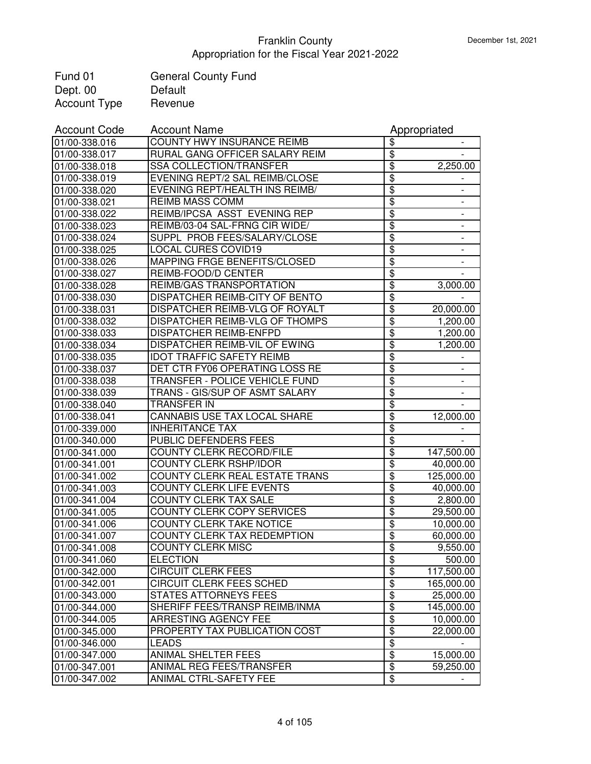| Fund 01             | <b>General County Fund</b> |
|---------------------|----------------------------|
| Dept. 00            | Default                    |
| <b>Account Type</b> | Revenue                    |

| <b>Account Code</b> | <b>Account Name</b>                   |                                  | Appropriated             |
|---------------------|---------------------------------------|----------------------------------|--------------------------|
| 01/00-338.016       | COUNTY HWY INSURANCE REIMB            | \$                               |                          |
| 01/00-338.017       | RURAL GANG OFFICER SALARY REIM        | $\overline{\$}$                  |                          |
| 01/00-338.018       | SSA COLLECTION/TRANSFER               | $\overline{\boldsymbol{\theta}}$ | 2,250.00                 |
| 01/00-338.019       | EVENING REPT/2 SAL REIMB/CLOSE        | $\overline{\$}$                  |                          |
| 01/00-338.020       | EVENING REPT/HEALTH INS REIMB/        | $\overline{\$}$                  | $\overline{\phantom{a}}$ |
| 01/00-338.021       | <b>REIMB MASS COMM</b>                | $\overline{\$}$                  |                          |
| 01/00-338.022       | REIMB/IPCSA ASST EVENING REP          | $\overline{\$}$                  |                          |
| 01/00-338.023       | REIMB/03-04 SAL-FRNG CIR WIDE/        | $\overline{\mathbf{3}}$          |                          |
| 01/00-338.024       | SUPPL PROB FEES/SALARY/CLOSE          | $\overline{\mathbf{3}}$          |                          |
| 01/00-338.025       | <b>LOCAL CURES COVID19</b>            | $\overline{\mathbf{3}}$          |                          |
| 01/00-338.026       | MAPPING FRGE BENEFITS/CLOSED          | $\overline{\mathbf{3}}$          |                          |
| 01/00-338.027       | REIMB-FOOD/D CENTER                   | $\overline{\mathbf{3}}$          |                          |
| 01/00-338.028       | REIMB/GAS TRANSPORTATION              | $\overline{\mathbf{S}}$          | 3,000.00                 |
| 01/00-338.030       | DISPATCHER REIMB-CITY OF BENTO        | \$                               |                          |
| 01/00-338.031       | DISPATCHER REIMB-VLG OF ROYALT        | \$                               | 20,000.00                |
| 01/00-338.032       | DISPATCHER REIMB-VLG OF THOMPS        | \$                               | 1,200.00                 |
| 01/00-338.033       | <b>DISPATCHER REIMB-ENFPD</b>         | $\overline{\boldsymbol{\theta}}$ | 1,200.00                 |
| 01/00-338.034       | DISPATCHER REIMB-VIL OF EWING         | \$                               | 1,200.00                 |
| 01/00-338.035       | <b>IDOT TRAFFIC SAFETY REIMB</b>      | $\overline{\boldsymbol{\theta}}$ |                          |
| 01/00-338.037       | DET CTR FY06 OPERATING LOSS RE        | \$                               |                          |
| 01/00-338.038       | TRANSFER - POLICE VEHICLE FUND        | $\overline{\$}$                  | $\overline{\phantom{a}}$ |
| 01/00-338.039       | TRANS - GIS/SUP OF ASMT SALARY        | $\overline{\$}$                  | $\overline{\phantom{a}}$ |
| 01/00-338.040       | <b>TRANSFER IN</b>                    | $\overline{\boldsymbol{\theta}}$ |                          |
| 01/00-338.041       | CANNABIS USE TAX LOCAL SHARE          | $\overline{\mathbf{3}}$          | 12,000.00                |
| 01/00-339.000       | <b>INHERITANCE TAX</b>                | $\overline{\mathbf{3}}$          |                          |
| 01/00-340.000       | PUBLIC DEFENDERS FEES                 | $\overline{\mathbf{3}}$          |                          |
| 01/00-341.000       | COUNTY CLERK RECORD/FILE              | \$                               | 147,500.00               |
| 01/00-341.001       | <b>COUNTY CLERK RSHP/IDOR</b>         | \$                               | 40,000.00                |
| 01/00-341.002       | <b>COUNTY CLERK REAL ESTATE TRANS</b> | $\overline{\$}$                  | 125,000.00               |
| 01/00-341.003       | COUNTY CLERK LIFE EVENTS              | \$                               | 40,000.00                |
| 01/00-341.004       | <b>COUNTY CLERK TAX SALE</b>          | $\overline{\$}$                  | 2,800.00                 |
| 01/00-341.005       | <b>COUNTY CLERK COPY SERVICES</b>     | $\overline{\$}$                  | 29,500.00                |
| 01/00-341.006       | <b>COUNTY CLERK TAKE NOTICE</b>       | \$                               | 10,000.00                |
| 01/00-341.007       | COUNTY CLERK TAX REDEMPTION           | $\overline{\$}$                  | 60,000.00                |
| 01/00-341.008       | <b>COUNTY CLERK MISC</b>              | $\overline{\$}$                  | 9,550.00                 |
| 01/00-341.060       | <b>ELECTION</b>                       | \$                               | 500.00                   |
| 01/00-342.000       | <b>CIRCUIT CLERK FEES</b>             | $\overline{\mathbf{e}}$          | 117,500.00               |
| 01/00-342.001       | <b>CIRCUIT CLERK FEES SCHED</b>       | $\overline{\mathbf{e}}$          | 165,000.00               |
| 01/00-343.000       | STATES ATTORNEYS FEES                 | $\overline{\$}$                  | 25,000.00                |
| 01/00-344.000       | SHERIFF FEES/TRANSP REIMB/INMA        | $\overline{\boldsymbol{\theta}}$ | 145,000.00               |
| 01/00-344.005       | ARRESTING AGENCY FEE                  | $\overline{\mathbf{e}}$          | 10,000.00                |
| 01/00-345.000       | PROPERTY TAX PUBLICATION COST         | $\overline{\boldsymbol{\theta}}$ | 22,000.00                |
| 01/00-346.000       | <b>LEADS</b>                          | \$                               |                          |
| 01/00-347.000       | ANIMAL SHELTER FEES                   | $\overline{\mathbf{e}}$          | 15,000.00                |
| 01/00-347.001       | ANIMAL REG FEES/TRANSFER              | $\overline{\mathbf{e}}$          | 59,250.00                |
| 01/00-347.002       | ANIMAL CTRL-SAFETY FEE                | $\overline{\mathbf{e}}$          |                          |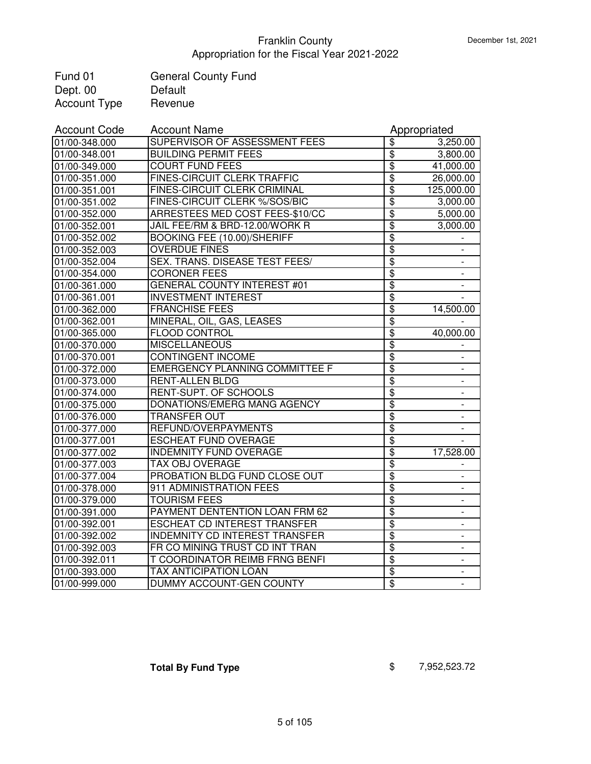| Fund 01             | <b>General County Fund</b> |
|---------------------|----------------------------|
| Dept. 00            | Default                    |
| <b>Account Type</b> | Revenue                    |

| <b>Account Code</b> | <b>Account Name</b>                   |                         | Appropriated                 |
|---------------------|---------------------------------------|-------------------------|------------------------------|
| 01/00-348.000       | SUPERVISOR OF ASSESSMENT FEES         | \$                      | 3,250.00                     |
| 01/00-348.001       | <b>BUILDING PERMIT FEES</b>           | $\overline{\mathbf{3}}$ | 3,800.00                     |
| 01/00-349.000       | <b>COURT FUND FEES</b>                | $\overline{\$}$         | 41,000.00                    |
| 01/00-351.000       | <b>FINES-CIRCUIT CLERK TRAFFIC</b>    | \$                      | 26,000.00                    |
| 01/00-351.001       | <b>FINES-CIRCUIT CLERK CRIMINAL</b>   | $\overline{\$}$         | 125,000.00                   |
| 01/00-351.002       | FINES-CIRCUIT CLERK %/SOS/BIC         | $\overline{\$}$         | 3,000.00                     |
| 01/00-352.000       | ARRESTEES MED COST FEES-\$10/CC       | \$                      | 5,000.00                     |
| 01/00-352.001       | JAIL FEE/RM & BRD-12.00/WORK R        | \$                      | 3,000.00                     |
| 01/00-352.002       | <b>BOOKING FEE (10.00)/SHERIFF</b>    | $\overline{\$}$         |                              |
| 01/00-352.003       | <b>OVERDUE FINES</b>                  | $\overline{\$}$         |                              |
| 01/00-352.004       | SEX. TRANS. DISEASE TEST FEES/        | \$                      |                              |
| 01/00-354.000       | <b>CORONER FEES</b>                   | \$                      |                              |
| 01/00-361.000       | GENERAL COUNTY INTEREST #01           | $\overline{\$}$         |                              |
| 01/00-361.001       | <b>INVESTMENT INTEREST</b>            | \$                      |                              |
| 01/00-362.000       | <b>FRANCHISE FEES</b>                 | \$                      | 14,500.00                    |
| 01/00-362.001       | MINERAL, OIL, GAS, LEASES             | $\overline{\mathbf{S}}$ |                              |
| 01/00-365.000       | <b>FLOOD CONTROL</b>                  | \$                      | 40,000.00                    |
| 01/00-370.000       | <b>MISCELLANEOUS</b>                  | $\overline{\mathbf{S}}$ |                              |
| 01/00-370.001       | <b>CONTINGENT INCOME</b>              | \$                      | $\overline{\phantom{0}}$     |
| 01/00-372.000       | <b>EMERGENCY PLANNING COMMITTEE F</b> | $\overline{\mathbf{e}}$ | -                            |
| 01/00-373.000       | <b>RENT-ALLEN BLDG</b>                | \$                      | $\overline{a}$               |
| 01/00-374.000       | RENT-SUPT. OF SCHOOLS                 | $\overline{\$}$         | $\overline{\phantom{a}}$     |
| 01/00-375.000       | DONATIONS/EMERG MANG AGENCY           | $\overline{\$}$         |                              |
| 01/00-376.000       | <b>TRANSFER OUT</b>                   | \$                      |                              |
| 01/00-377.000       | REFUND/OVERPAYMENTS                   | \$                      |                              |
| 01/00-377.001       | <b>ESCHEAT FUND OVERAGE</b>           | \$                      |                              |
| 01/00-377.002       | <b>INDEMNITY FUND OVERAGE</b>         | \$                      | 17,528.00                    |
| 01/00-377.003       | <b>TAX OBJ OVERAGE</b>                | $\overline{\$}$         |                              |
| 01/00-377.004       | PROBATION BLDG FUND CLOSE OUT         | \$                      | $\overline{\phantom{a}}$     |
| 01/00-378.000       | 911 ADMINISTRATION FEES               | $\overline{\$}$         | $\qquad \qquad \blacksquare$ |
| 01/00-379.000       | <b>TOURISM FEES</b>                   | $\overline{\$}$         | $\overline{\phantom{a}}$     |
| 01/00-391.000       | PAYMENT DENTENTION LOAN FRM 62        | $\overline{\$}$         | $\overline{\phantom{a}}$     |
| 01/00-392.001       | <b>ESCHEAT CD INTEREST TRANSFER</b>   | $\overline{\mathbf{3}}$ | $\overline{\phantom{a}}$     |
| 01/00-392.002       | <b>INDEMNITY CD INTEREST TRANSFER</b> | $\overline{\$}$         |                              |
| 01/00-392.003       | FR CO MINING TRUST CD INT TRAN        | $\overline{\$}$         |                              |
| 01/00-392.011       | T COORDINATOR REIMB FRNG BENFI        | $\overline{\$}$         |                              |
| 01/00-393.000       | <b>TAX ANTICIPATION LOAN</b>          | $\overline{\mathbf{S}}$ |                              |
| 01/00-999.000       | DUMMY ACCOUNT-GEN COUNTY              | $\overline{\$}$         |                              |

**Total By Fund Type** \$ 7,952,523.72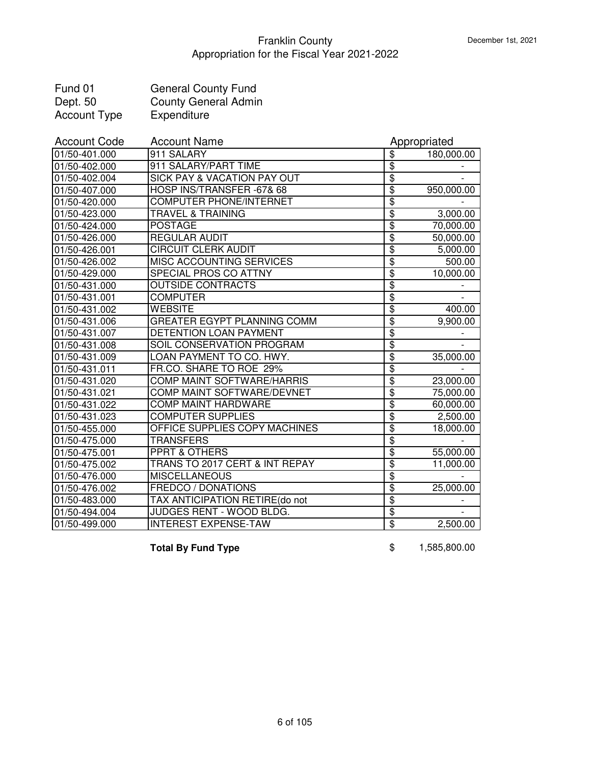| Fund 01      | <b>General County Fund</b>  |
|--------------|-----------------------------|
| Dept. 50     | <b>County General Admin</b> |
| Account Type | Expenditure                 |

| <b>Account Code</b> | <b>Account Name</b>                    |                         | Appropriated |
|---------------------|----------------------------------------|-------------------------|--------------|
| 01/50-401.000       | 911 SALARY                             | \$                      | 180,000.00   |
| 01/50-402.000       | 911 SALARY/PART TIME                   | $\overline{\$}$         |              |
| 01/50-402.004       | <b>SICK PAY &amp; VACATION PAY OUT</b> | $\overline{\$}$         |              |
| 01/50-407.000       | HOSP INS/TRANSFER -67& 68              | $\overline{\$}$         | 950,000.00   |
| 01/50-420.000       | <b>COMPUTER PHONE/INTERNET</b>         | \$                      |              |
| 01/50-423.000       | <b>TRAVEL &amp; TRAINING</b>           | $\overline{\$}$         | 3,000.00     |
| 01/50-424.000       | <b>POSTAGE</b>                         | \$                      | 70,000.00    |
| 01/50-426.000       | <b>REGULAR AUDIT</b>                   | \$                      | 50,000.00    |
| 01/50-426.001       | <b>CIRCUIT CLERK AUDIT</b>             | \$                      | 5,000.00     |
| 01/50-426.002       | MISC ACCOUNTING SERVICES               | \$                      | 500.00       |
| 01/50-429.000       | SPECIAL PROS CO ATTNY                  | $\overline{\mathbf{S}}$ | 10,000.00    |
| 01/50-431.000       | <b>OUTSIDE CONTRACTS</b>               | $\overline{\mathbf{S}}$ |              |
| 01/50-431.001       | <b>COMPUTER</b>                        | \$                      |              |
| 01/50-431.002       | <b>WEBSITE</b>                         | $\overline{\mathbf{S}}$ | 400.00       |
| 01/50-431.006       | <b>GREATER EGYPT PLANNING COMM</b>     | $\overline{\mathbf{S}}$ | 9,900.00     |
| 01/50-431.007       | DETENTION LOAN PAYMENT                 | \$                      |              |
| 01/50-431.008       | SOIL CONSERVATION PROGRAM              | $\overline{\mathbf{S}}$ |              |
| 01/50-431.009       | LOAN PAYMENT TO CO. HWY.               | $\overline{\mathbf{S}}$ | 35,000.00    |
| 01/50-431.011       | FR.CO. SHARE TO ROE 29%                | $\overline{\mathbf{S}}$ |              |
| 01/50-431.020       | COMP MAINT SOFTWARE/HARRIS             | $\overline{\mathbf{S}}$ | 23,000.00    |
| 01/50-431.021       | COMP MAINT SOFTWARE/DEVNET             | \$                      | 75,000.00    |
| 01/50-431.022       | COMP MAINT HARDWARE                    | \$                      | 60,000.00    |
| 01/50-431.023       | <b>COMPUTER SUPPLIES</b>               | \$                      | 2,500.00     |
| 01/50-455.000       | OFFICE SUPPLIES COPY MACHINES          | $\overline{\mathbf{S}}$ | 18,000.00    |
| 01/50-475.000       | <b>TRANSFERS</b>                       | \$                      |              |
| 01/50-475.001       | <b>PPRT &amp; OTHERS</b>               | $\overline{\mathbf{S}}$ | 55,000.00    |
| 01/50-475.002       | TRANS TO 2017 CERT & INT REPAY         | $\overline{\$}$         | 11,000.00    |
| 01/50-476.000       | <b>MISCELLANEOUS</b>                   | $\overline{\$}$         |              |
| 01/50-476.002       | <b>FREDCO / DONATIONS</b>              | $\overline{\$}$         | 25,000.00    |
| 01/50-483.000       | TAX ANTICIPATION RETIRE(do not         | $\overline{\$}$         |              |
| 01/50-494.004       | JUDGES RENT - WOOD BLDG.               | $\overline{\$}$         |              |
| 01/50-499.000       | <b>INTEREST EXPENSE-TAW</b>            | $\overline{\mathbf{S}}$ | 2,500.00     |

**Total By Fund Type 1,585,800.00**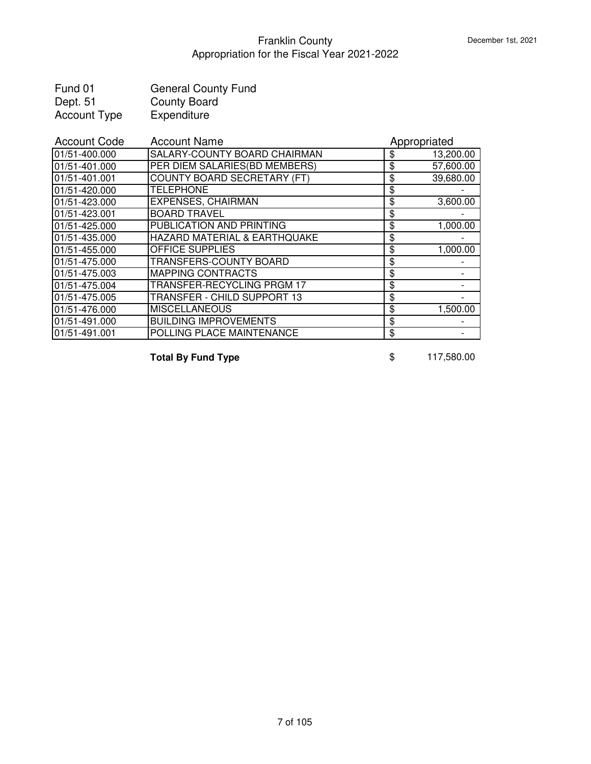| Fund 01             | <b>General County Fund</b> |
|---------------------|----------------------------|
| Dept. 51            | <b>County Board</b>        |
| <b>Account Type</b> | Expenditure                |

| <b>Account Code</b> | <b>Account Name</b>                | Appropriated    |
|---------------------|------------------------------------|-----------------|
| 01/51-400.000       | SALARY-COUNTY BOARD CHAIRMAN       | \$<br>13,200.00 |
| 01/51-401.000       | PER DIEM SALARIES(BD MEMBERS)      | \$<br>57,600.00 |
| 01/51-401.001       | <b>COUNTY BOARD SECRETARY (FT)</b> | \$<br>39,680.00 |
| 01/51-420.000       | <b>TELEPHONE</b>                   | \$              |
| 01/51-423.000       | <b>EXPENSES, CHAIRMAN</b>          | \$<br>3,600.00  |
| 01/51-423.001       | <b>BOARD TRAVEL</b>                | \$              |
| 01/51-425.000       | PUBLICATION AND PRINTING           | \$<br>1,000.00  |
| 01/51-435.000       | HAZARD MATERIAL & EARTHQUAKE       | \$              |
| 01/51-455.000       | <b>OFFICE SUPPLIES</b>             | \$<br>1,000.00  |
| 01/51-475.000       | TRANSFERS-COUNTY BOARD             | \$              |
| 01/51-475.003       | <b>MAPPING CONTRACTS</b>           | \$              |
| 01/51-475.004       | TRANSFER-RECYCLING PRGM 17         | \$              |
| 01/51-475.005       | TRANSFER - CHILD SUPPORT 13        | \$              |
| 01/51-476.000       | <b>MISCELLANEOUS</b>               | \$<br>1,500.00  |
| 01/51-491.000       | <b>BUILDING IMPROVEMENTS</b>       | \$              |
| 01/51-491.001       | POLLING PLACE MAINTENANCE          | \$              |

**Total By Fund Type 8 117,580.00**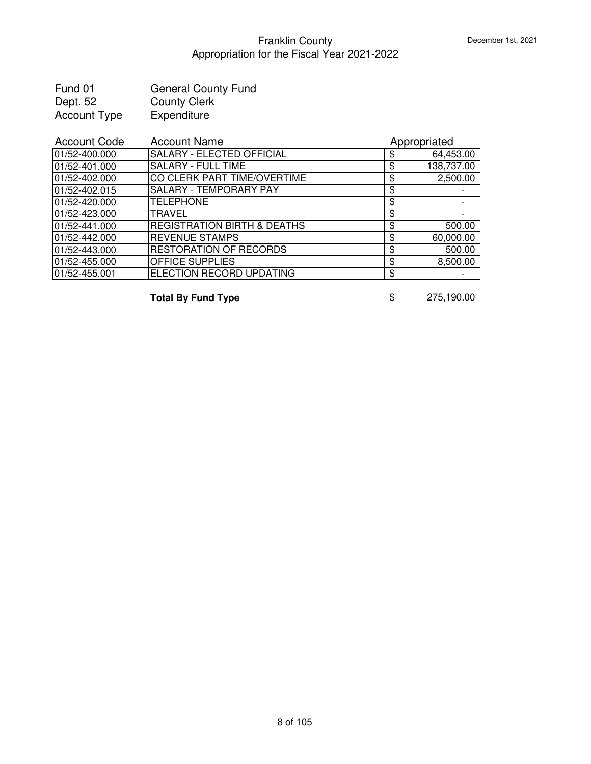| Fund 01             | <b>General County Fund</b> |
|---------------------|----------------------------|
| Dept. 52            | <b>County Clerk</b>        |
| <b>Account Type</b> | Expenditure                |

| <b>Account Code</b> | <b>Account Name</b>                    |    | Appropriated |  |
|---------------------|----------------------------------------|----|--------------|--|
| 01/52-400.000       | SALARY - ELECTED OFFICIAL              | \$ | 64,453.00    |  |
| 01/52-401.000       | <b>SALARY - FULL TIME</b>              | \$ | 138,737.00   |  |
| 01/52-402.000       | CO CLERK PART TIME/OVERTIME            | \$ | 2,500.00     |  |
| 01/52-402.015       | <b>SALARY - TEMPORARY PAY</b>          | \$ |              |  |
| 01/52-420.000       | <b>TELEPHONE</b>                       | \$ |              |  |
| 01/52-423.000       | TRAVEL                                 | \$ |              |  |
| 01/52-441.000       | <b>REGISTRATION BIRTH &amp; DEATHS</b> | S  | 500.00       |  |
| 01/52-442.000       | <b>REVENUE STAMPS</b>                  | S  | 60,000.00    |  |
| 01/52-443.000       | <b>RESTORATION OF RECORDS</b>          | S  | 500.00       |  |
| 01/52-455.000       | <b>OFFICE SUPPLIES</b>                 | \$ | 8,500.00     |  |
| 01/52-455.001       | ELECTION RECORD UPDATING               | \$ |              |  |

**Total By Fund Type 8 3 \$** 275,190.00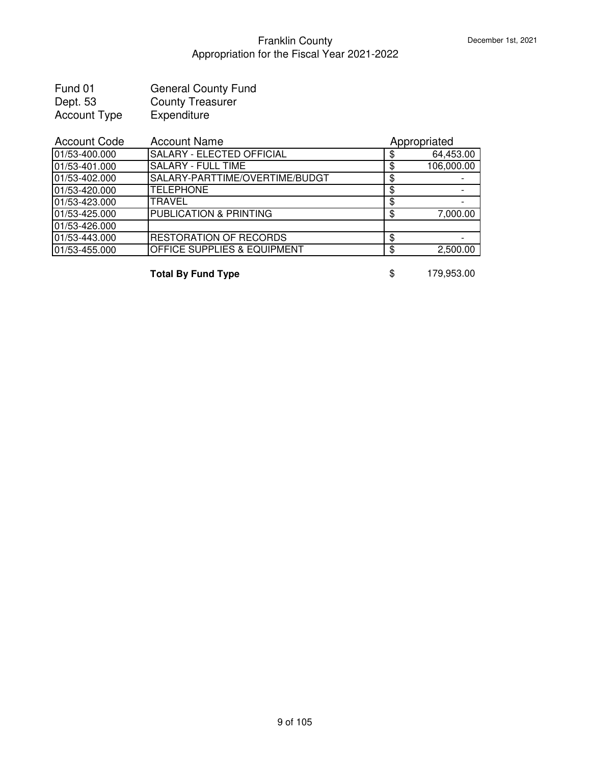| Fund 01      | <b>General County Fund</b> |
|--------------|----------------------------|
| Dept. 53     | <b>County Treasurer</b>    |
| Account Type | Expenditure                |

| <b>Account Code</b> | <b>Account Name</b>               |    | Appropriated |
|---------------------|-----------------------------------|----|--------------|
| 01/53-400.000       | SALARY - ELECTED OFFICIAL         |    | 64,453.00    |
| 01/53-401.000       | <b>SALARY - FULL TIME</b>         |    | 106,000.00   |
| 01/53-402.000       | SALARY-PARTTIME/OVERTIME/BUDGT    |    |              |
| 01/53-420.000       | <b>TELEPHONE</b>                  | S  |              |
| 01/53-423.000       | <b>TRAVEL</b>                     | S  |              |
| 01/53-425.000       | <b>PUBLICATION &amp; PRINTING</b> | ß. | 7,000.00     |
| 01/53-426.000       |                                   |    |              |
| 01/53-443.000       | <b>RESTORATION OF RECORDS</b>     | S  |              |
| 01/53-455.000       | OFFICE SUPPLIES & EQUIPMENT       | S  | 2,500.00     |

**Total By Fund Type 179,953.00**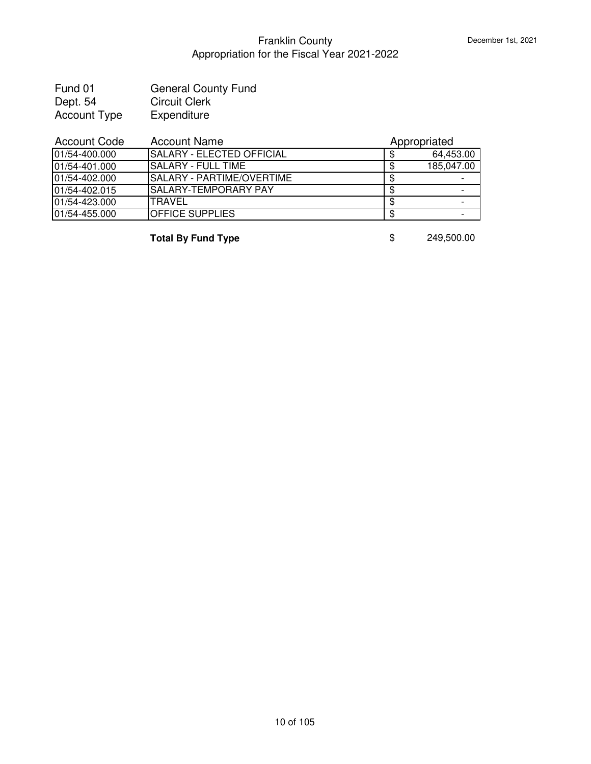| Fund 01      | <b>General County Fund</b> |
|--------------|----------------------------|
| Dept. 54     | <b>Circuit Clerk</b>       |
| Account Type | Expenditure                |

| <b>Account Code</b> | <b>Account Name</b>              | Appropriated |
|---------------------|----------------------------------|--------------|
| 01/54-400.000       | <b>SALARY - ELECTED OFFICIAL</b> | 64,453.00    |
| 01/54-401.000       | ISALARY - FULL TIME              | 185,047.00   |
| 01/54-402.000       | ISALARY - PARTIME/OVERTIME       |              |
| 01/54-402.015       | ISALARY-TEMPORARY PAY            |              |
| 01/54-423.000       | <b>TRAVEL</b>                    |              |
| 01/54-455.000       | <b>OFFICE SUPPLIES</b>           |              |

**Total By Fund Type** \$ 249,500.00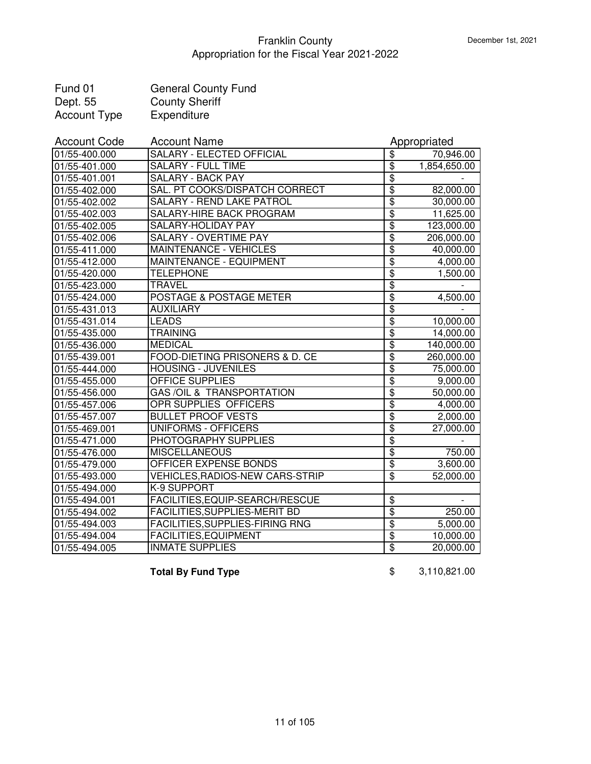| Fund 01             | <b>General County Fund</b> |
|---------------------|----------------------------|
| Dept. 55            | <b>County Sheriff</b>      |
| <b>Account Type</b> | Expenditure                |

| <b>Account Code</b>         | <b>Account Name</b>                    |                                  | Appropriated           |
|-----------------------------|----------------------------------------|----------------------------------|------------------------|
| $\overline{01/55}$ -400.000 | <b>SALARY - ELECTED OFFICIAL</b>       | \$                               | 70,946.00              |
| 01/55-401.000               | <b>SALARY - FULL TIME</b>              | $\overline{\mathcal{S}}$         | 1,854,650.00           |
| 01/55-401.001               | <b>SALARY - BACK PAY</b>               | $\overline{\$}$                  |                        |
| 01/55-402.000               | SAL. PT COOKS/DISPATCH CORRECT         | $\overline{\$}$                  | 82,000.00              |
| 01/55-402.002               | <b>SALARY - REND LAKE PATROL</b>       | $\overline{\$}$                  | 30,000.00              |
| 01/55-402.003               | SALARY-HIRE BACK PROGRAM               | \$                               | 11,625.00              |
| 01/55-402.005               | SALARY-HOLIDAY PAY                     | $\overline{\boldsymbol{\theta}}$ | 123,000.00             |
| 01/55-402.006               | SALARY - OVERTIME PAY                  | \$                               | 206,000.00             |
| 01/55-411.000               | MAINTENANCE - VEHICLES                 | $\overline{\mathbf{S}}$          | 40,000.00              |
| 01/55-412.000               | MAINTENANCE - EQUIPMENT                | \$                               | 4,000.00               |
| 01/55-420.000               | <b>TELEPHONE</b>                       | $\overline{\boldsymbol{\theta}}$ | 1,500.00               |
| 01/55-423.000               | TRAVEL                                 | $\overline{\$}$                  |                        |
| 01/55-424.000               | POSTAGE & POSTAGE METER                | $\overline{\$}$                  | 4,500.00               |
| 01/55-431.013               | <b>AUXILIARY</b>                       | $\overline{\mathbf{S}}$          |                        |
| 01/55-431.014               | <b>LEADS</b>                           | $\overline{\$}$                  | 10,000.00              |
| 01/55-435.000               | <b>TRAINING</b>                        | $\overline{\mathbf{S}}$          | 14,000.00              |
| 01/55-436.000               | <b>MEDICAL</b>                         | $\overline{\mathbf{S}}$          | 140,000.00             |
| 01/55-439.001               | FOOD-DIETING PRISONERS & D. CE         | \$                               | 260,000.00             |
| 01/55-444.000               | <b>HOUSING - JUVENILES</b>             | \$                               | 75,000.00              |
| 01/55-455.000               | OFFICE SUPPLIES                        | \$                               | 9,000.00               |
| 01/55-456.000               | <b>GAS/OIL &amp; TRANSPORTATION</b>    | \$                               | 50,000.00              |
| 01/55-457.006               | OPR SUPPLIES OFFICERS                  | $\overline{\mathbf{3}}$          | 4,000.00               |
| 01/55-457.007               | <b>BULLET PROOF VESTS</b>              | $\overline{\mathbf{S}}$          | 2,000.00               |
| 01/55-469.001               | UNIFORMS - OFFICERS                    | $\overline{\$}$                  | 27,000.00              |
| 01/55-471.000               | PHOTOGRAPHY SUPPLIES                   | $\overline{\$}$                  |                        |
| 01/55-476.000               | <b>MISCELLANEOUS</b>                   | $\overline{\$}$                  | 750.00                 |
| 01/55-479.000               | <b>OFFICER EXPENSE BONDS</b>           | $\overline{\$}$                  | 3,600.00               |
| 01/55-493.000               | <b>VEHICLES, RADIOS-NEW CARS-STRIP</b> | $\overline{\$}$                  | $\overline{52,000.00}$ |
| 01/55-494.000               | K-9 SUPPORT                            |                                  |                        |
| 01/55-494.001               | FACILITIES, EQUIP-SEARCH/RESCUE        | $\overline{\boldsymbol{\theta}}$ |                        |
| 01/55-494.002               | <b>FACILITIES, SUPPLIES-MERIT BD</b>   | $\overline{\$}$                  | 250.00                 |
| 01/55-494.003               | <b>FACILITIES, SUPPLIES-FIRING RNG</b> | $\overline{\$}$                  | 5,000.00               |
| 01/55-494.004               | <b>FACILITIES, EQUIPMENT</b>           | $\overline{\$}$                  | 10,000.00              |
| 01/55-494.005               | <b>INMATE SUPPLIES</b>                 | $\overline{\$}$                  | 20,000.00              |

**Total By Fund Type**  $$3,110,821.00$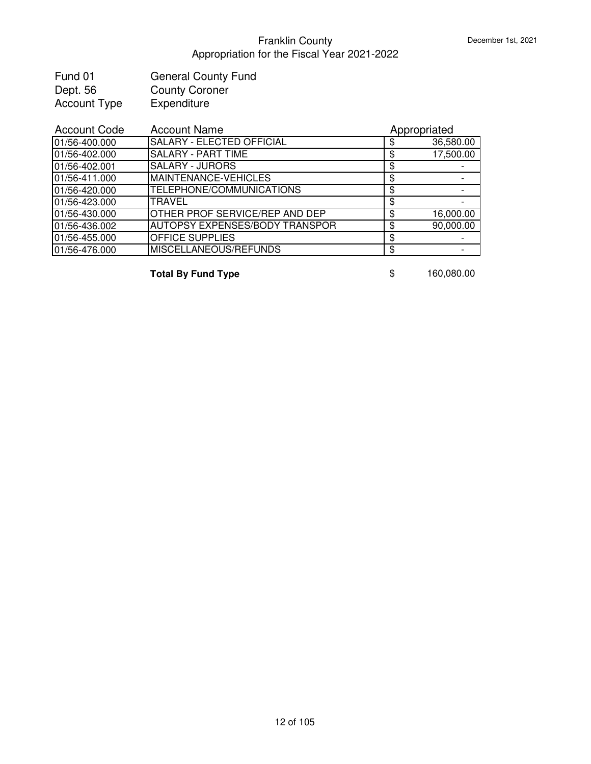| Fund 01             | <b>General County Fund</b> |
|---------------------|----------------------------|
| Dept. 56            | <b>County Coroner</b>      |
| <b>Account Type</b> | Expenditure                |

| <b>Account Name</b>                   | Appropriated |           |
|---------------------------------------|--------------|-----------|
| <b>SALARY - ELECTED OFFICIAL</b>      |              | 36,580.00 |
| <b>SALARY - PART TIME</b>             |              | 17,500.00 |
| <b>SALARY - JURORS</b>                |              |           |
| MAINTENANCE-VEHICLES                  | \$           |           |
| <b>TELEPHONE/COMMUNICATIONS</b>       | \$           |           |
| <b>TRAVEL</b>                         | \$           |           |
| <b>OTHER PROF SERVICE/REP AND DEP</b> | S            | 16,000.00 |
| <b>AUTOPSY EXPENSES/BODY TRANSPOR</b> | S            | 90,000.00 |
| <b>OFFICE SUPPLIES</b>                |              |           |
| <b>MISCELLANEOUS/REFUNDS</b>          | S            |           |
|                                       |              |           |

**Total By Fund Type 160,080.00**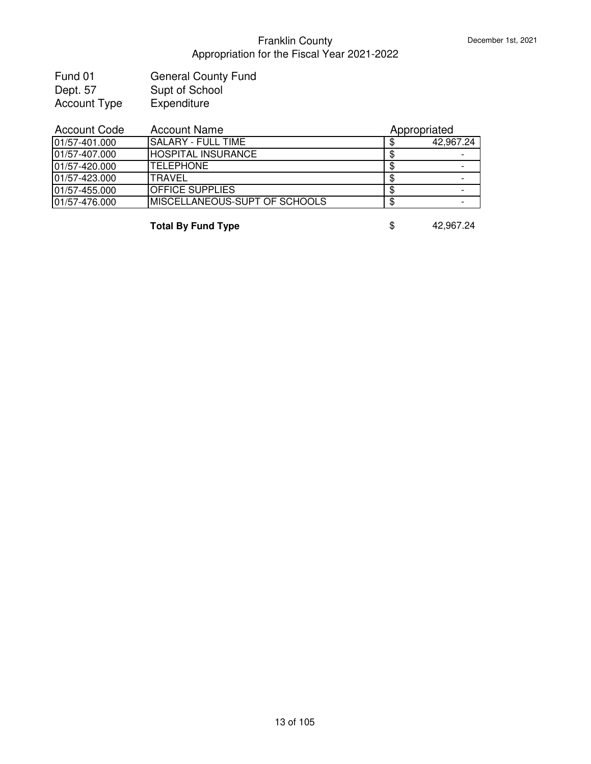| Fund 01             | <b>General County Fund</b> |
|---------------------|----------------------------|
| Dept. 57            | Supt of School             |
| <b>Account Type</b> | Expenditure                |

| <b>Account Name</b>                  | Appropriated |           |
|--------------------------------------|--------------|-----------|
| ISALARY - FULL TIME                  |              | 42,967.24 |
| <b>HOSPITAL INSURANCE</b>            |              |           |
| <b>ITELEPHONE</b>                    |              |           |
| <b>TRAVEL</b>                        |              |           |
| <b>OFFICE SUPPLIES</b>               |              |           |
| <b>MISCELLANEOUS-SUPT OF SCHOOLS</b> |              |           |
|                                      |              |           |

**Total By Fund Type \$** 42,967.24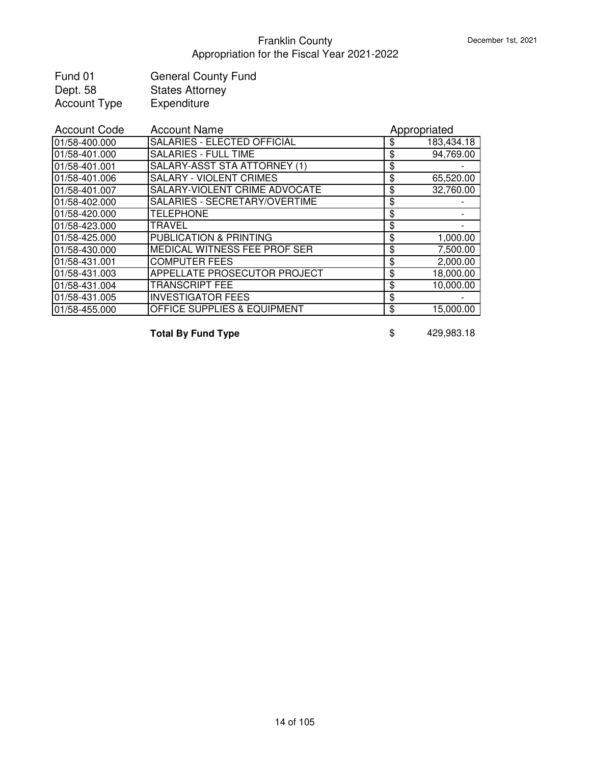| Fund 01             | <b>General County Fund</b> |
|---------------------|----------------------------|
| Dept. 58            | <b>States Attorney</b>     |
| <b>Account Type</b> | Expenditure                |

| <b>Account Code</b> | <b>Account Name</b>                    | Appropriated     |
|---------------------|----------------------------------------|------------------|
| 01/58-400.000       | SALARIES - ELECTED OFFICIAL            | \$<br>183,434.18 |
| 01/58-401.000       | <b>SALARIES - FULL TIME</b>            | \$<br>94,769.00  |
| 01/58-401.001       | SALARY-ASST STA ATTORNEY (1)           | \$               |
| 01/58-401.006       | <b>SALARY - VIOLENT CRIMES</b>         | \$<br>65,520.00  |
| 01/58-401.007       | <b>SALARY-VIOLENT CRIME ADVOCATE</b>   | \$<br>32,760.00  |
| 01/58-402.000       | SALARIES - SECRETARY/OVERTIME          | \$               |
| 01/58-420.000       | <b>TELEPHONE</b>                       | \$               |
| 01/58-423.000       | <b>TRAVEL</b>                          | \$               |
| 01/58-425.000       | <b>PUBLICATION &amp; PRINTING</b>      | \$<br>1,000.00   |
| 01/58-430.000       | <b>IMEDICAL WITNESS FEE PROF SER</b>   | \$<br>7,500.00   |
| 01/58-431.001       | <b>COMPUTER FEES</b>                   | \$<br>2,000.00   |
| 01/58-431.003       | <b>APPELLATE PROSECUTOR PROJECT</b>    | \$<br>18,000.00  |
| 01/58-431.004       | <b>TRANSCRIPT FEE</b>                  | \$<br>10,000.00  |
| 01/58-431.005       | <b>INVESTIGATOR FEES</b>               | \$               |
| 01/58-455.000       | <b>OFFICE SUPPLIES &amp; EQUIPMENT</b> | \$<br>15,000.00  |

**Total By Fund Type 6 and 1998 \$** 429,983.18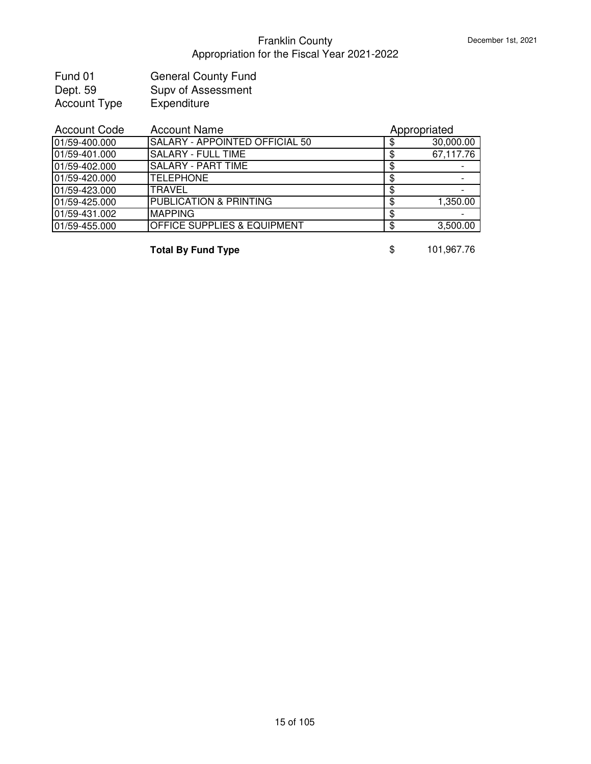| Fund 01             | <b>General County Fund</b> |
|---------------------|----------------------------|
| Dept. 59            | Supv of Assessment         |
| <b>Account Type</b> | Expenditure                |

| <b>Account Code</b> | <b>Account Name</b>                    | Appropriated |           |
|---------------------|----------------------------------------|--------------|-----------|
| 01/59-400.000       | <b>SALARY - APPOINTED OFFICIAL 50</b>  |              | 30,000.00 |
| 01/59-401.000       | <b>SALARY - FULL TIME</b>              |              | 67,117.76 |
| 01/59-402.000       | <b>SALARY - PART TIME</b>              | S            |           |
| 01/59-420.000       | <b>ITELEPHONE</b>                      | S            |           |
| 01/59-423.000       | <b>TRAVEL</b>                          | S            |           |
| 01/59-425.000       | <b>PUBLICATION &amp; PRINTING</b>      | S            | 1,350.00  |
| 01/59-431.002       | <b>MAPPING</b>                         |              |           |
| 01/59-455.000       | <b>OFFICE SUPPLIES &amp; EQUIPMENT</b> |              | 3,500.00  |

**Total By Fund Type 8 \$** 101,967.76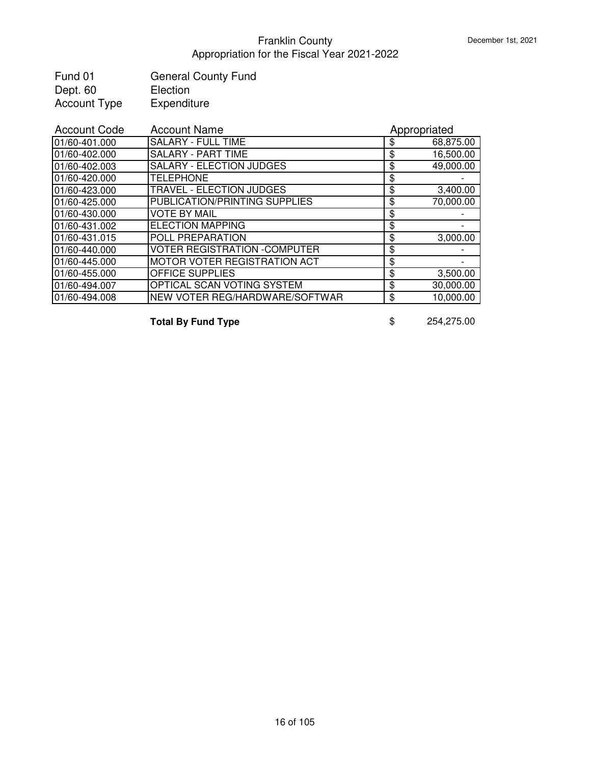| Fund 01             | <b>General County Fund</b> |
|---------------------|----------------------------|
| Dept. 60            | Election                   |
| <b>Account Type</b> | Expenditure                |

| <b>Account Code</b> | <b>Account Name</b>                  | Appropriated    |
|---------------------|--------------------------------------|-----------------|
| 01/60-401.000       | <b>SALARY - FULL TIME</b>            | \$<br>68,875.00 |
| 01/60-402.000       | <b>SALARY - PART TIME</b>            | \$<br>16,500.00 |
| 01/60-402.003       | <b>SALARY - ELECTION JUDGES</b>      | \$<br>49,000.00 |
| 01/60-420.000       | <b>TELEPHONE</b>                     | \$              |
| 01/60-423.000       | <b>TRAVEL - ELECTION JUDGES</b>      | \$<br>3,400.00  |
| 01/60-425.000       | PUBLICATION/PRINTING SUPPLIES        | \$<br>70,000.00 |
| 01/60-430.000       | <b>VOTE BY MAIL</b>                  | \$              |
| 01/60-431.002       | <b>ELECTION MAPPING</b>              | \$              |
| 01/60-431.015       | <b>POLL PREPARATION</b>              | \$<br>3,000.00  |
| 01/60-440.000       | <b>VOTER REGISTRATION - COMPUTER</b> | \$              |
| 01/60-445.000       | <b>IMOTOR VOTER REGISTRATION ACT</b> | \$              |
| 01/60-455.000       | <b>OFFICE SUPPLIES</b>               | \$<br>3,500.00  |
| 01/60-494.007       | OPTICAL SCAN VOTING SYSTEM           | \$<br>30,000.00 |
| 01/60-494.008       | NEW VOTER REG/HARDWARE/SOFTWAR       | \$<br>10,000.00 |

**Total By Fund Type** \$ 254,275.00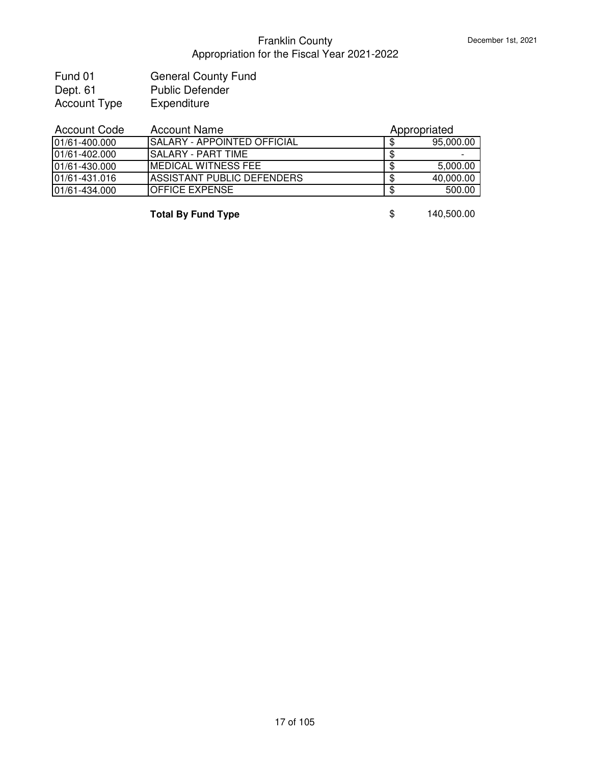| Fund 01             | <b>General County Fund</b> |
|---------------------|----------------------------|
| Dept. 61            | <b>Public Defender</b>     |
| <b>Account Type</b> | Expenditure                |

| <b>Account Code</b> | <b>Account Name</b>               | Appropriated |           |
|---------------------|-----------------------------------|--------------|-----------|
| 101/61-400.000      | ISALARY - APPOINTED OFFICIAL      |              | 95,000.00 |
| 01/61-402.000       | ISALARY - PART TIME               |              |           |
| 01/61-430.000       | IMEDICAL WITNESS FEE              | -36          | 5,000.00  |
| 01/61-431.016       | <b>ASSISTANT PUBLIC DEFENDERS</b> |              | 40,000.00 |
| 01/61-434.000       | <b>IOFFICE EXPENSE</b>            |              | 500.00    |
|                     |                                   |              |           |

**Total By Fund Type** \$ 140,500.00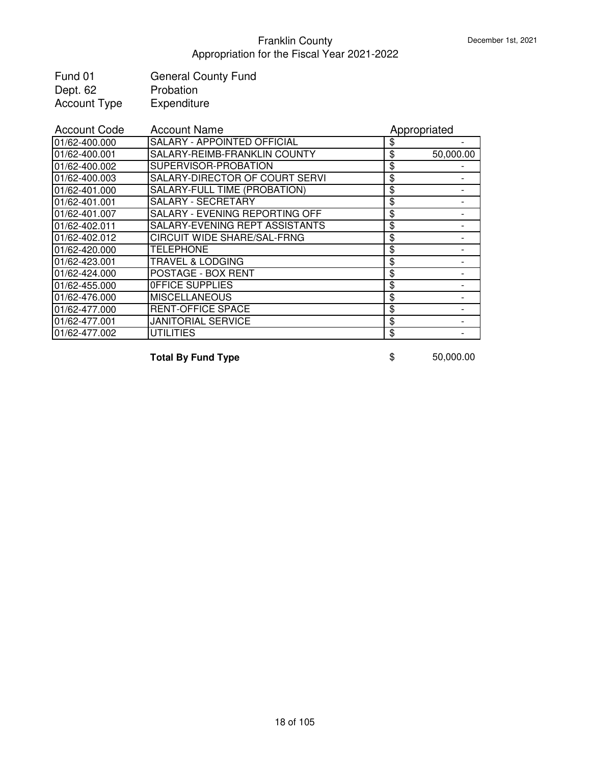| Fund 01             | <b>General County Fund</b> |
|---------------------|----------------------------|
| Dept. 62            | Probation                  |
| <b>Account Type</b> | Expenditure                |

| <b>Account Code</b> | <b>Account Name</b>                 | Appropriated    |
|---------------------|-------------------------------------|-----------------|
| 01/62-400.000       | SALARY - APPOINTED OFFICIAL         | \$              |
| 01/62-400.001       | SALARY-REIMB-FRANKLIN COUNTY        | \$<br>50,000.00 |
| 01/62-400.002       | SUPERVISOR-PROBATION                | \$              |
| 01/62-400.003       | SALARY-DIRECTOR OF COURT SERVI      | \$              |
| 01/62-401.000       | <b>SALARY-FULL TIME (PROBATION)</b> | \$              |
| 01/62-401.001       | SALARY - SECRETARY                  | \$              |
| 01/62-401.007       | SALARY - EVENING REPORTING OFF      | \$              |
| 01/62-402.011       | SALARY-EVENING REPT ASSISTANTS      | \$              |
| 01/62-402.012       | <b>CIRCUIT WIDE SHARE/SAL-FRNG</b>  | \$              |
| 01/62-420.000       | <b>TELEPHONE</b>                    | \$              |
| 01/62-423.001       | <b>TRAVEL &amp; LODGING</b>         | \$              |
| 01/62-424.000       | POSTAGE - BOX RENT                  | \$              |
| 01/62-455.000       | OFFICE SUPPLIES                     | \$              |
| 01/62-476.000       | <b>MISCELLANEOUS</b>                | \$              |
| 01/62-477.000       | <b>RENT-OFFICE SPACE</b>            | \$              |
| 01/62-477.001       | <b>JANITORIAL SERVICE</b>           | \$              |
| 01/62-477.002       | <b>UTILITIES</b>                    | \$              |

**Total By Fund Type 8 50,000.00**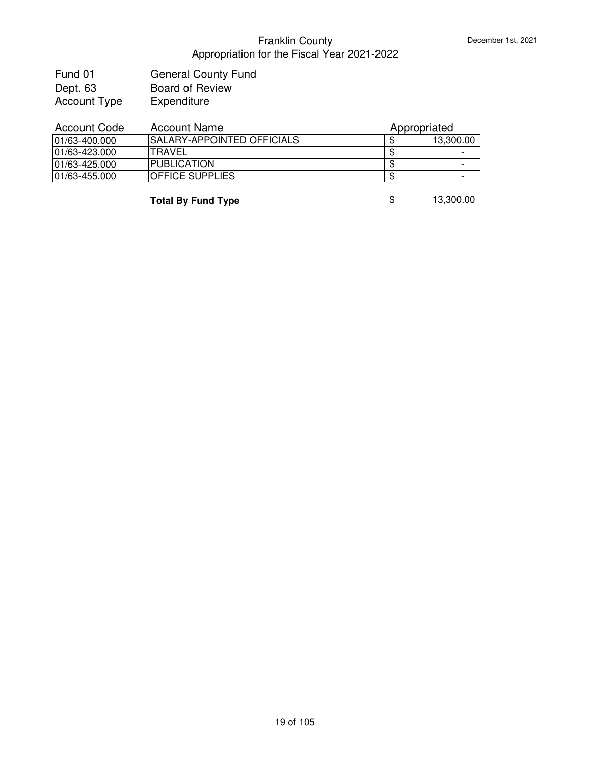| Fund 01             | <b>General County Fund</b> |
|---------------------|----------------------------|
| Dept. 63            | <b>Board of Review</b>     |
| <b>Account Type</b> | Expenditure                |

| Account Code   | Account Name                       | Appropriated             |  |
|----------------|------------------------------------|--------------------------|--|
| 101/63-400.000 | <b>ISALARY-APPOINTED OFFICIALS</b> | 13,300.00                |  |
| 101/63-423.000 | ITRAVEL                            | $\overline{\phantom{0}}$ |  |
| 101/63-425.000 | <b>IPUBLICATION</b>                | -                        |  |
| 101/63-455.000 | <b>IOFFICE SUPPLIES</b>            |                          |  |
|                |                                    |                          |  |

**Total By Fund Type 8** 13,300.00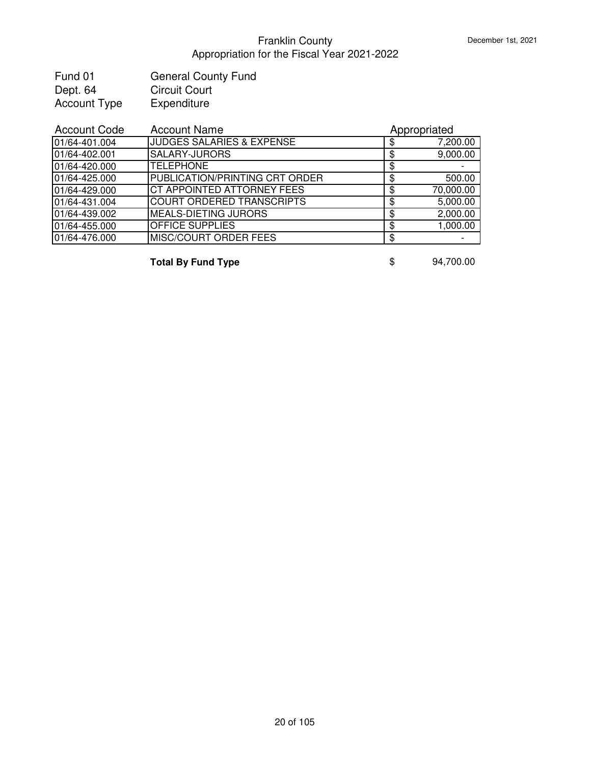| Fund 01             | <b>General County Fund</b> |
|---------------------|----------------------------|
| Dept. 64            | <b>Circuit Court</b>       |
| <b>Account Type</b> | Expenditure                |

| <b>Account Code</b> | <b>Account Name</b>                   | Appropriated   |
|---------------------|---------------------------------------|----------------|
| 01/64-401.004       | <b>JUDGES SALARIES &amp; EXPENSE</b>  | 7,200.00       |
| 01/64-402.001       | <b>SALARY-JURORS</b>                  | 9,000.00       |
| 01/64-420.000       | <b>TELEPHONE</b>                      |                |
| 01/64-425.000       | <b>PUBLICATION/PRINTING CRT ORDER</b> | \$<br>500.00   |
| 01/64-429.000       | <b>CT APPOINTED ATTORNEY FEES</b>     | 70,000.00      |
| 01/64-431.004       | <b>COURT ORDERED TRANSCRIPTS</b>      | \$<br>5,000.00 |
| 01/64-439.002       | <b>MEALS-DIETING JURORS</b>           | 2,000.00       |
| 01/64-455.000       | <b>OFFICE SUPPLIES</b>                | 1,000.00       |
| 01/64-476.000       | <b>MISC/COURT ORDER FEES</b>          |                |

**Total By Fund Type**  $\qquad$  **\$** 94,700.00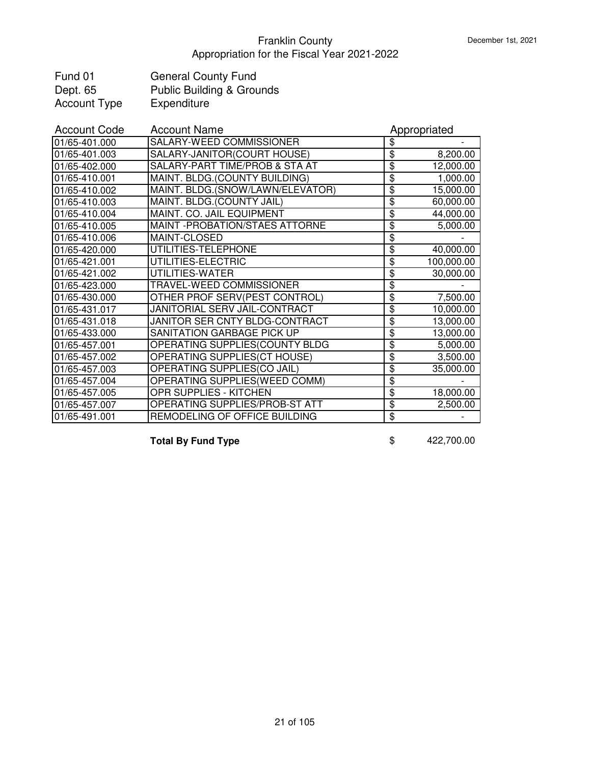| Fund 01             | <b>General County Fund</b>           |
|---------------------|--------------------------------------|
| Dept. 65            | <b>Public Building &amp; Grounds</b> |
| <b>Account Type</b> | Expenditure                          |

| <b>Account Code</b> | <b>Account Name</b>              |                                  | Appropriated |
|---------------------|----------------------------------|----------------------------------|--------------|
| 01/65-401.000       | SALARY-WEED COMMISSIONER         | \$                               |              |
| 01/65-401.003       | SALARY-JANITOR(COURT HOUSE)      | \$                               | 8,200.00     |
| 01/65-402.000       | SALARY-PART TIME/PROB & STA AT   | \$                               | 12,000.00    |
| 01/65-410.001       | MAINT. BLDG.(COUNTY BUILDING)    | \$                               | 1,000.00     |
| 01/65-410.002       | MAINT. BLDG.(SNOW/LAWN/ELEVATOR) | \$                               | 15,000.00    |
| 01/65-410.003       | MAINT. BLDG.(COUNTY JAIL)        | $\overline{\boldsymbol{\theta}}$ | 60,000.00    |
| 01/65-410.004       | MAINT. CO. JAIL EQUIPMENT        | \$                               | 44,000.00    |
| 01/65-410.005       | MAINT - PROBATION/STAES ATTORNE  | \$                               | 5,000.00     |
| 01/65-410.006       | MAINT-CLOSED                     | \$                               |              |
| 01/65-420.000       | UTILITIES-TELEPHONE              | \$                               | 40,000.00    |
| 01/65-421.001       | UTILITIES-ELECTRIC               | \$                               | 100,000.00   |
| 01/65-421.002       | UTILITIES-WATER                  | \$                               | 30,000.00    |
| 01/65-423.000       | TRAVEL-WEED COMMISSIONER         | \$                               |              |
| 01/65-430.000       | OTHER PROF SERV(PEST CONTROL)    | $\overline{\mathbf{S}}$          | 7,500.00     |
| 01/65-431.017       | JANITORIAL SERV JAIL-CONTRACT    | \$                               | 10,000.00    |
| 01/65-431.018       | JANITOR SER CNTY BLDG-CONTRACT   | $\overline{\boldsymbol{\theta}}$ | 13,000.00    |
| 01/65-433.000       | SANITATION GARBAGE PICK UP       | \$                               | 13,000.00    |
| 01/65-457.001       | OPERATING SUPPLIES(COUNTY BLDG   | $\overline{\boldsymbol{\theta}}$ | 5,000.00     |
| 01/65-457.002       | OPERATING SUPPLIES(CT HOUSE)     | $\overline{\mathbf{3}}$          | 3,500.00     |
| 01/65-457.003       | OPERATING SUPPLIES(CO JAIL)      | $\overline{\mathbf{e}}$          | 35,000.00    |
| 01/65-457.004       | OPERATING SUPPLIES(WEED COMM)    | \$                               |              |
| 01/65-457.005       | OPR SUPPLIES - KITCHEN           | \$                               | 18,000.00    |
| 01/65-457.007       | OPERATING SUPPLIES/PROB-ST ATT   | \$                               | 2,500.00     |
| 01/65-491.001       | REMODELING OF OFFICE BUILDING    | \$                               |              |

**Total By Fund Type**  $$ 422,700.00$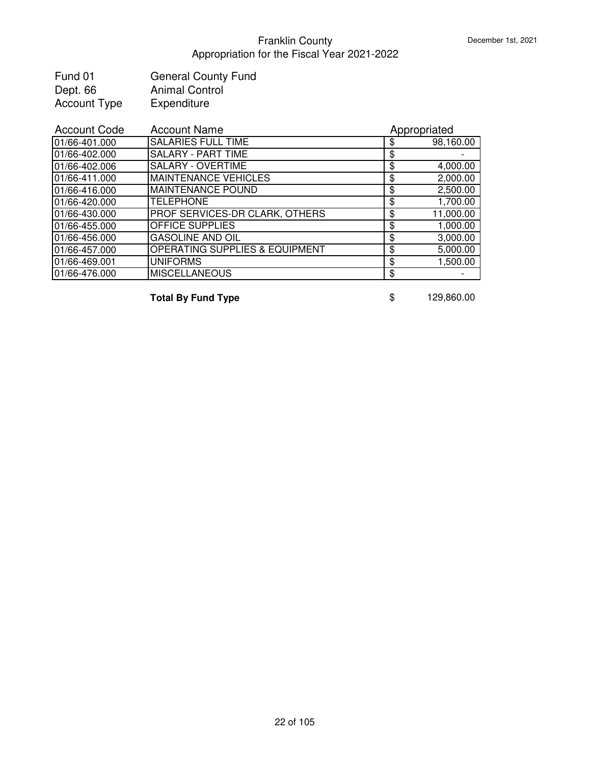| Fund 01             | <b>General County Fund</b> |
|---------------------|----------------------------|
| Dept. 66            | <b>Animal Control</b>      |
| <b>Account Type</b> | Expenditure                |

| <b>Account Code</b> | <b>Account Name</b>                       | Appropriated    |
|---------------------|-------------------------------------------|-----------------|
| 01/66-401.000       | <b>SALARIES FULL TIME</b>                 | \$<br>98,160.00 |
| 01/66-402.000       | <b>SALARY - PART TIME</b>                 | \$              |
| 01/66-402.006       | SALARY - OVERTIME                         | \$<br>4,000.00  |
| 01/66-411.000       | <b>MAINTENANCE VEHICLES</b>               | \$<br>2,000.00  |
| 01/66-416.000       | <b>MAINTENANCE POUND</b>                  | \$<br>2,500.00  |
| 01/66-420.000       | <b>TELEPHONE</b>                          | \$<br>1,700.00  |
| 01/66-430.000       | PROF SERVICES-DR CLARK, OTHERS            | \$<br>11,000.00 |
| 01/66-455.000       | <b>OFFICE SUPPLIES</b>                    | \$<br>1,000.00  |
| 01/66-456.000       | <b>GASOLINE AND OIL</b>                   | \$<br>3,000.00  |
| 01/66-457.000       | <b>OPERATING SUPPLIES &amp; EQUIPMENT</b> | \$<br>5,000.00  |
| 01/66-469.001       | <b>UNIFORMS</b>                           | \$<br>1,500.00  |
| 01/66-476.000       | <b>MISCELLANEOUS</b>                      | \$              |

**Total By Fund Type** \$ 129,860.00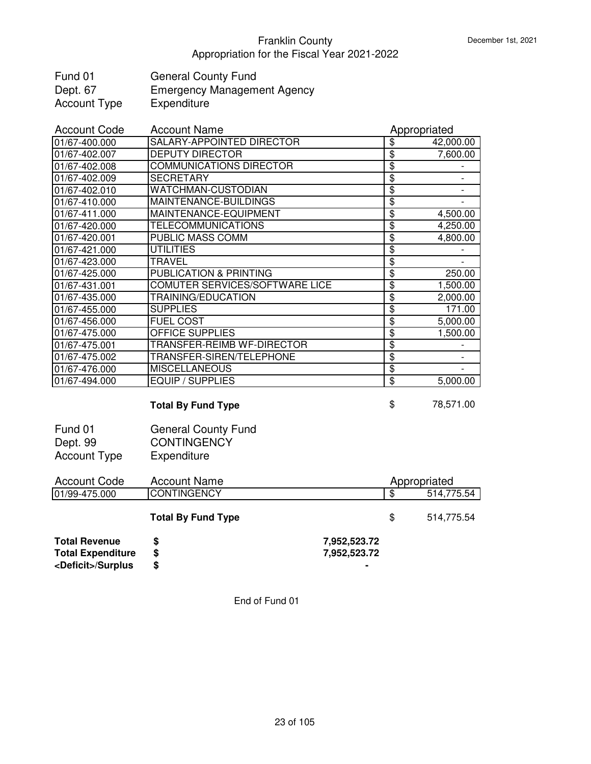| Fund 01      | <b>General County Fund</b>         |
|--------------|------------------------------------|
| Dept. 67     | <b>Emergency Management Agency</b> |
| Account Type | Expenditure                        |

| <b>Account Code</b> | <b>Account Name</b>            |                                  | Appropriated |
|---------------------|--------------------------------|----------------------------------|--------------|
| 01/67-400.000       | SALARY-APPOINTED DIRECTOR      | \$                               | 42,000.00    |
| 01/67-402.007       | <b>DEPUTY DIRECTOR</b>         | $\overline{\boldsymbol{\theta}}$ | 7,600.00     |
| 01/67-402.008       | <b>COMMUNICATIONS DIRECTOR</b> | \$                               |              |
| 01/67-402.009       | <b>SECRETARY</b>               | \$                               |              |
| 01/67-402.010       | WATCHMAN-CUSTODIAN             | \$                               |              |
| 01/67-410.000       | MAINTENANCE-BUILDINGS          | $\overline{\$}$                  |              |
| 01/67-411.000       | MAINTENANCE-EQUIPMENT          | $\overline{\$}$                  | 4,500.00     |
| 01/67-420.000       | <b>TELECOMMUNICATIONS</b>      | \$                               | 4,250.00     |
| 01/67-420.001       | PUBLIC MASS COMM               | \$                               | 4,800.00     |
| 01/67-421.000       | <b>UTILITIES</b>               | \$                               |              |
| 01/67-423.000       | <b>TRAVEL</b>                  | \$                               |              |
| 01/67-425.000       | PUBLICATION & PRINTING         | $\overline{\mathbf{3}}$          | 250.00       |
| 01/67-431.001       | COMUTER SERVICES/SOFTWARE LICE | $\overline{\boldsymbol{\theta}}$ | 1,500.00     |
| 01/67-435.000       | TRAINING/EDUCATION             | $\overline{\boldsymbol{\theta}}$ | 2,000.00     |
| 01/67-455.000       | <b>SUPPLIES</b>                | \$                               | 171.00       |
| 01/67-456.000       | <b>FUEL COST</b>               | \$                               | 5,000.00     |
| 01/67-475.000       | OFFICE SUPPLIES                | \$                               | 1,500.00     |
| 01/67-475.001       | TRANSFER-REIMB WF-DIRECTOR     | \$                               |              |
| 01/67-475.002       | TRANSFER-SIREN/TELEPHONE       | $\overline{\boldsymbol{\theta}}$ |              |
| 01/67-476.000       | <b>MISCELLANEOUS</b>           | $\overline{\boldsymbol{\theta}}$ |              |
| 01/67-494.000       | <b>EQUIP / SUPPLIES</b>        | \$                               | 5,000.00     |
|                     |                                |                                  |              |
|                     | <b>Total By Fund Type</b>      | \$                               | 78,571.00    |
| Fund 01             | <b>General County Fund</b>     |                                  |              |

| Fund 01      | <b>General County Fund</b> |
|--------------|----------------------------|
| Dept. 99     | <b>CONTINGENCY</b>         |
| Account Type | Expenditure                |

| <b>Account Code</b>         | Appropriated<br><b>Account Name</b> |              |     |            |
|-----------------------------|-------------------------------------|--------------|-----|------------|
| 01/99-475.000               | <b>CONTINGENCY</b>                  |              | -SS | 514,775.54 |
|                             | <b>Total By Fund Type</b>           |              | \$. | 514,775.54 |
| <b>Total Revenue</b>        | S                                   | 7,952,523.72 |     |            |
| <b>Total Expenditure</b>    | \$                                  | 7,952,523.72 |     |            |
| <deficit>/Surplus</deficit> | \$                                  |              |     |            |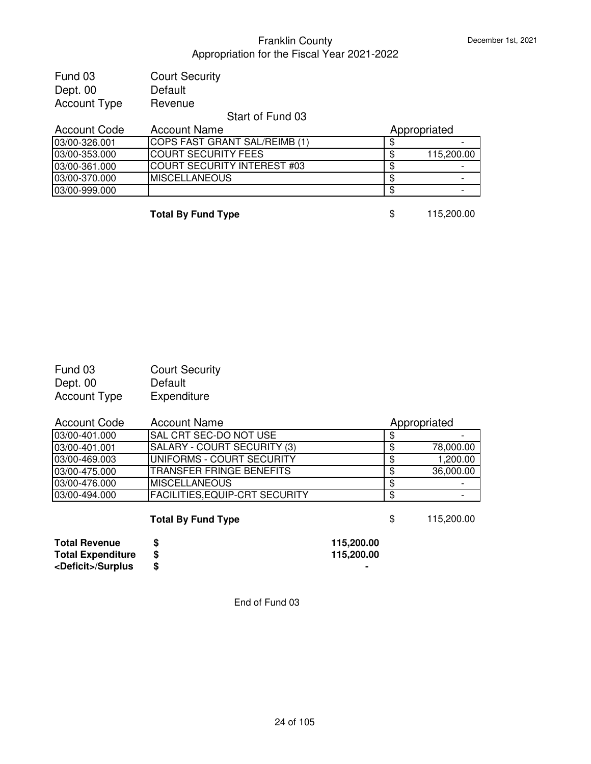| Fund 03             | <b>Court Security</b>              |                  |
|---------------------|------------------------------------|------------------|
| Dept. 00            | Default                            |                  |
| <b>Account Type</b> | Revenue                            |                  |
|                     | Start of Fund 03                   |                  |
| <b>Account Code</b> | <b>Account Name</b>                | Appropriated     |
| 03/00-326.001       | COPS FAST GRANT SAL/REIMB (1)      | \$               |
| 03/00-353.000       | <b>COURT SECURITY FEES</b>         | \$<br>115,200.00 |
| 03/00-361.000       | <b>COURT SECURITY INTEREST #03</b> | \$               |
| 03/00-370.000       | <b>MISCELLANEOUS</b>               | \$               |
| 03/00-999.000       |                                    | \$               |
|                     |                                    |                  |

**Total By Fund Type** \$ 115,200.00

Fund 03 Court Security Dept. 00 Default<br>Account Type Expenditure Account Type

| <b>Account Code</b> | Account Name                          | Appropriated |           |
|---------------------|---------------------------------------|--------------|-----------|
| 03/00-401.000       | ISAL CRT SEC-DO NOT USE               |              |           |
| 03/00-401.001       | SALARY - COURT SECURITY (3)           |              | 78,000.00 |
| 03/00-469.003       | IUNIFORMS - COURT SECURITY            | S            | 1,200.00  |
| 03/00-475.000       | ITRANSFER FRINGE BENEFITS             | \$.          | 36,000.00 |
| 03/00-476.000       | <b>IMISCELLANEOUS</b>                 | \$.          |           |
| 03/00-494.000       | <b>FACILITIES, EQUIP-CRT SECURITY</b> | \$           |           |

**Total By Fund Type** \$ 115,200.00

**Total Revenue \$ 115,200.00 Total Expenditure \$**<br><Deficit>/Surplus \$ **<Deficit>/Surplus \$ -**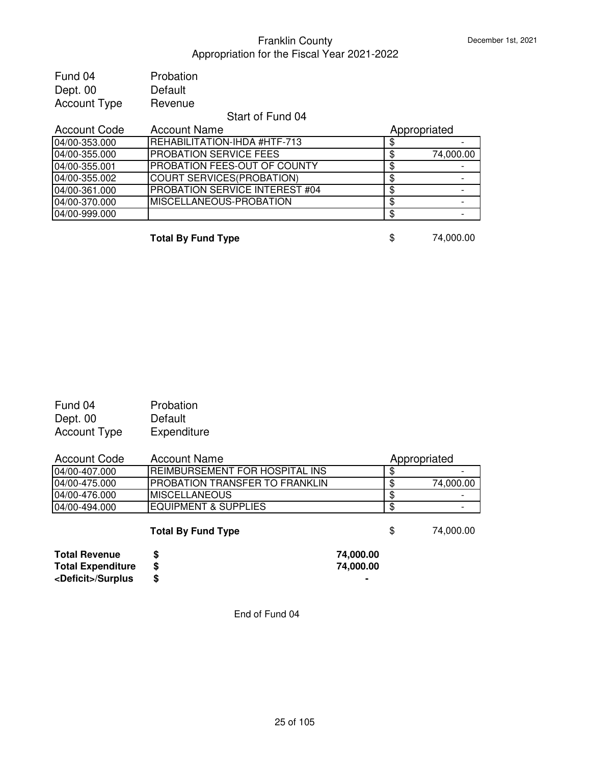| Probation                        |                 |
|----------------------------------|-----------------|
| Default                          |                 |
| Revenue                          |                 |
| Start of Fund 04                 |                 |
| <b>Account Name</b>              | Appropriated    |
| REHABILITATION-IHDA #HTF-713     | \$              |
| PROBATION SERVICE FEES           | \$<br>74,000.00 |
| PROBATION FEES-OUT OF COUNTY     | \$              |
| <b>COURT SERVICES(PROBATION)</b> | \$              |
| PROBATION SERVICE INTEREST #04   | \$              |
| MISCELLANEOUS-PROBATION          | \$              |
|                                  | \$              |
|                                  |                 |

**Total By Fund Type** \$ 74,000.00

| Fund 04             | Probation   |
|---------------------|-------------|
| Dept. 00            | Default     |
| <b>Account Type</b> | Expenditure |

| <b>Account Code</b> | <b>Account Name</b>                   | Appropriated    |
|---------------------|---------------------------------------|-----------------|
| 04/00-407.000       | REIMBURSEMENT FOR HOSPITAL INS        |                 |
| 04/00-475.000       | <b>PROBATION TRANSFER TO FRANKLIN</b> | 74,000.00       |
| 04/00-476.000       | <b>MISCELLANEOUS</b>                  |                 |
| 04/00-494.000       | <b>EQUIPMENT &amp; SUPPLIES</b>       |                 |
|                     | <b>Total By Fund Type</b>             | \$<br>74,000.00 |

| <b>Total Revenue</b>        | 74,000.00 |
|-----------------------------|-----------|
| <b>Total Expenditure</b>    | 74,000.00 |
| <deficit>/Surplus</deficit> |           |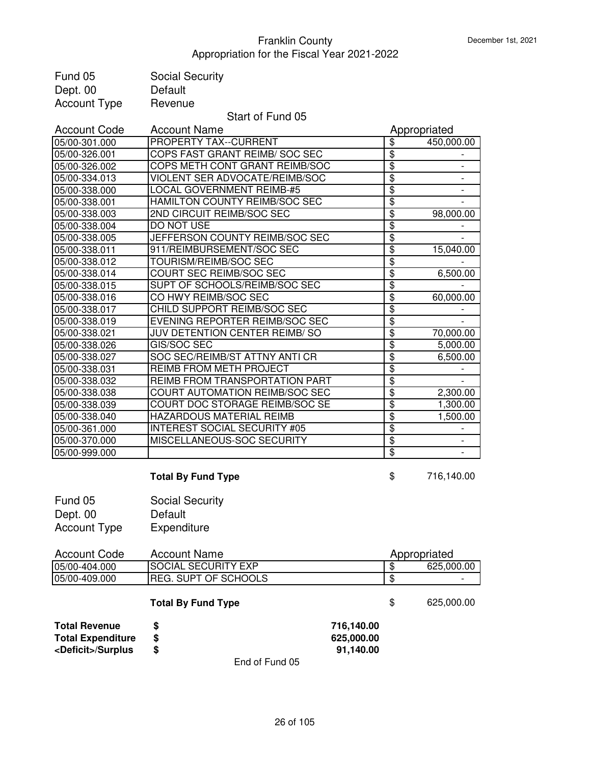| Fund 05                                                                         | <b>Social Security</b>           |                                       |                 |                          |
|---------------------------------------------------------------------------------|----------------------------------|---------------------------------------|-----------------|--------------------------|
| Dept. 00                                                                        | Default                          |                                       |                 |                          |
| <b>Account Type</b>                                                             | Revenue                          |                                       |                 |                          |
|                                                                                 | Start of Fund 05                 |                                       |                 |                          |
| <b>Account Code</b>                                                             | <b>Account Name</b>              |                                       |                 | Appropriated             |
| 05/00-301.000                                                                   | PROPERTY TAX--CURRENT            |                                       | \$              | 450,000.00               |
| 05/00-326.001                                                                   | COPS FAST GRANT REIMB/ SOC SEC   |                                       | \$              |                          |
| 05/00-326.002                                                                   | COPS METH CONT GRANT REIMB/SOC   |                                       | $\overline{\$}$ |                          |
| 05/00-334.013                                                                   | VIOLENT SER ADVOCATE/REIMB/SOC   |                                       | \$              | $\overline{\phantom{a}}$ |
| 05/00-338.000                                                                   | <b>LOCAL GOVERNMENT REIMB-#5</b> |                                       | \$              | $\overline{\phantom{0}}$ |
| 05/00-338.001                                                                   | HAMILTON COUNTY REIMB/SOC SEC    |                                       | \$              |                          |
| 05/00-338.003                                                                   | 2ND CIRCUIT REIMB/SOC SEC        |                                       | \$              | 98,000.00                |
| 05/00-338.004                                                                   | DO NOT USE                       |                                       | $\overline{\$}$ |                          |
| 05/00-338.005                                                                   | JEFFERSON COUNTY REIMB/SOC SEC   |                                       | \$              |                          |
| 05/00-338.011                                                                   | 911/REIMBURSEMENT/SOC SEC        |                                       | $\overline{\$}$ | 15,040.00                |
| 05/00-338.012                                                                   | <b>TOURISM/REIMB/SOC SEC</b>     |                                       | \$              |                          |
| 05/00-338.014                                                                   | COURT SEC REIMB/SOC SEC          |                                       | $\overline{\$}$ | 6,500.00                 |
| 05/00-338.015                                                                   | SUPT OF SCHOOLS/REIMB/SOC SEC    |                                       | \$              |                          |
| 05/00-338.016                                                                   | CO HWY REIMB/SOC SEC             |                                       | $\overline{\$}$ | 60,000.00                |
| 05/00-338.017                                                                   | CHILD SUPPORT REIMB/SOC SEC      |                                       | \$              |                          |
| 05/00-338.019                                                                   | EVENING REPORTER REIMB/SOC SEC   |                                       | $\overline{\$}$ |                          |
| 05/00-338.021                                                                   | JUV DETENTION CENTER REIMB/SO    |                                       | \$              | 70,000.00                |
| 05/00-338.026                                                                   | GIS/SOC SEC                      |                                       | $\overline{\$}$ | 5,000.00                 |
| 05/00-338.027                                                                   | SOC SEC/REIMB/ST ATTNY ANTI CR   |                                       | \$              | 6,500.00                 |
| 05/00-338.031                                                                   | REIMB FROM METH PROJECT          |                                       | $\overline{\$}$ |                          |
| 05/00-338.032                                                                   | REIMB FROM TRANSPORTATION PART   |                                       | \$              |                          |
| 05/00-338.038                                                                   | COURT AUTOMATION REIMB/SOC SEC   |                                       | \$              | 2,300.00                 |
| 05/00-338.039                                                                   | COURT DOC STORAGE REIMB/SOC SE   |                                       | \$              | 1,300.00                 |
| 05/00-338.040                                                                   | HAZARDOUS MATERIAL REIMB         |                                       | \$              | 1,500.00                 |
| 05/00-361.000                                                                   | INTEREST SOCIAL SECURITY #05     |                                       | \$              |                          |
| 05/00-370.000                                                                   | MISCELLANEOUS-SOC SECURITY       |                                       | $\overline{\$}$ |                          |
| 05/00-999.000                                                                   |                                  |                                       | $\overline{\$}$ |                          |
|                                                                                 |                                  |                                       |                 |                          |
|                                                                                 | <b>Total By Fund Type</b>        |                                       | \$              | 716,140.00               |
| Fund 05                                                                         | <b>Social Security</b>           |                                       |                 |                          |
| Dept. 00                                                                        | Default                          |                                       |                 |                          |
| <b>Account Type</b>                                                             | Expenditure                      |                                       |                 |                          |
|                                                                                 |                                  |                                       |                 |                          |
| <b>Account Code</b>                                                             | <b>Account Name</b>              |                                       |                 | Appropriated             |
| 05/00-404.000                                                                   | <b>SOCIAL SECURITY EXP</b>       |                                       | \$              | 625,000.00               |
| 05/00-409.000                                                                   | <b>REG. SUPT OF SCHOOLS</b>      |                                       | \$              |                          |
|                                                                                 | <b>Total By Fund Type</b>        |                                       | \$              | 625,000.00               |
| <b>Total Revenue</b><br><b>Total Expenditure</b><br><deficit>/Surplus</deficit> | \$<br>\$<br>\$<br>End of Fund 05 | 716,140.00<br>625,000.00<br>91,140.00 |                 |                          |
|                                                                                 |                                  |                                       |                 |                          |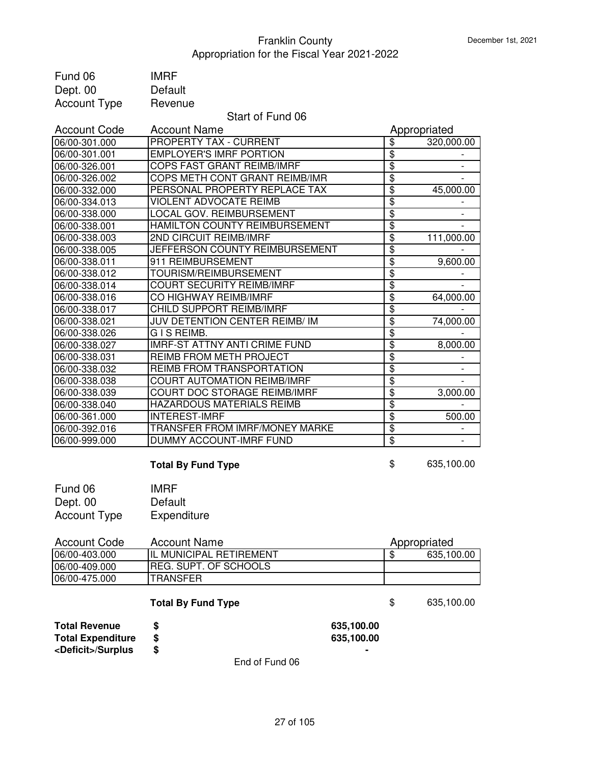| Fund 06                     | <b>IMRF</b>                          |            |                                  |              |
|-----------------------------|--------------------------------------|------------|----------------------------------|--------------|
| Dept. 00                    | Default                              |            |                                  |              |
| <b>Account Type</b>         | Revenue                              |            |                                  |              |
|                             | Start of Fund 06                     |            |                                  |              |
| <b>Account Code</b>         | <b>Account Name</b>                  |            |                                  | Appropriated |
| 06/00-301.000               | PROPERTY TAX - CURRENT               |            | \$                               | 320,000.00   |
| 06/00-301.001               | <b>EMPLOYER'S IMRF PORTION</b>       |            | $\overline{\boldsymbol{\theta}}$ |              |
| 06/00-326.001               | COPS FAST GRANT REIMB/IMRF           |            | $\overline{\$}$                  |              |
| 06/00-326.002               | COPS METH CONT GRANT REIMB/IMR       |            | $\overline{\$}$                  |              |
| 06/00-332.000               | PERSONAL PROPERTY REPLACE TAX        |            | $\overline{\$}$                  | 45,000.00    |
| 06/00-334.013               | <b>VIOLENT ADVOCATE REIMB</b>        |            | \$                               |              |
| 06/00-338.000               | <b>LOCAL GOV. REIMBURSEMENT</b>      |            | \$                               |              |
| 06/00-338.001               | HAMILTON COUNTY REIMBURSEMENT        |            | \$                               |              |
| 06/00-338.003               | 2ND CIRCUIT REIMB/IMRF               |            | \$                               | 111,000.00   |
| 06/00-338.005               | JEFFERSON COUNTY REIMBURSEMENT       |            | $\overline{\mathbf{S}}$          |              |
| 06/00-338.011               | 911 REIMBURSEMENT                    |            | \$                               | 9,600.00     |
| 06/00-338.012               | TOURISM/REIMBURSEMENT                |            | \$                               |              |
| 06/00-338.014               | <b>COURT SECURITY REIMB/IMRF</b>     |            | $\overline{\$}$                  |              |
| 06/00-338.016               | CO HIGHWAY REIMB/IMRF                |            | $\overline{\mathbf{e}}$          | 64,000.00    |
| 06/00-338.017               | CHILD SUPPORT REIMB/IMRF             |            | $\overline{\mathbf{e}}$          |              |
| 06/00-338.021               | JUV DETENTION CENTER REIMB/ IM       |            | \$                               | 74,000.00    |
| 06/00-338.026               | G I S REIMB.                         |            | \$                               |              |
| 06/00-338.027               | <b>IMRF-ST ATTNY ANTI CRIME FUND</b> |            | $\overline{\mathbf{3}}$          | 8,000.00     |
| 06/00-338.031               | REIMB FROM METH PROJECT              |            | \$                               |              |
| 06/00-338.032               | REIMB FROM TRANSPORTATION            |            | $\overline{\boldsymbol{\theta}}$ |              |
| 06/00-338.038               | <b>COURT AUTOMATION REIMB/IMRF</b>   |            | $\overline{\mathbf{3}}$          |              |
| 06/00-338.039               | COURT DOC STORAGE REIMB/IMRF         |            | \$                               | 3,000.00     |
| 06/00-338.040               | <b>HAZARDOUS MATERIALS REIMB</b>     |            | \$                               |              |
| 06/00-361.000               | <b>INTEREST-IMRF</b>                 |            | \$                               | 500.00       |
| 06/00-392.016               | TRANSFER FROM IMRF/MONEY MARKE       |            | $\overline{\mathbf{3}}$          |              |
| 06/00-999.000               | DUMMY ACCOUNT-IMRF FUND              |            | $\overline{\mathbf{3}}$          |              |
|                             | <b>Total By Fund Type</b>            |            | \$                               | 635,100.00   |
| Fund 06                     | <b>IMRF</b>                          |            |                                  |              |
|                             | Default                              |            |                                  |              |
| Dept. 00                    |                                      |            |                                  |              |
| <b>Account Type</b>         | Expenditure                          |            |                                  |              |
| <b>Account Code</b>         | <b>Account Name</b>                  |            |                                  | Appropriated |
| 06/00-403.000               | IL MUNICIPAL RETIREMENT              |            | \$                               | 635,100.00   |
| 06/00-409.000               | <b>REG. SUPT. OF SCHOOLS</b>         |            |                                  |              |
| 06/00-475.000               | <b>TRANSFER</b>                      |            |                                  |              |
|                             | <b>Total By Fund Type</b>            |            | \$                               | 635,100.00   |
| <b>Total Revenue</b>        | \$                                   | 635,100.00 |                                  |              |
| <b>Total Expenditure</b>    | \$                                   | 635,100.00 |                                  |              |
| <deficit>/Surplus</deficit> | \$                                   |            |                                  |              |
|                             | End of Fund 06                       |            |                                  |              |
|                             |                                      |            |                                  |              |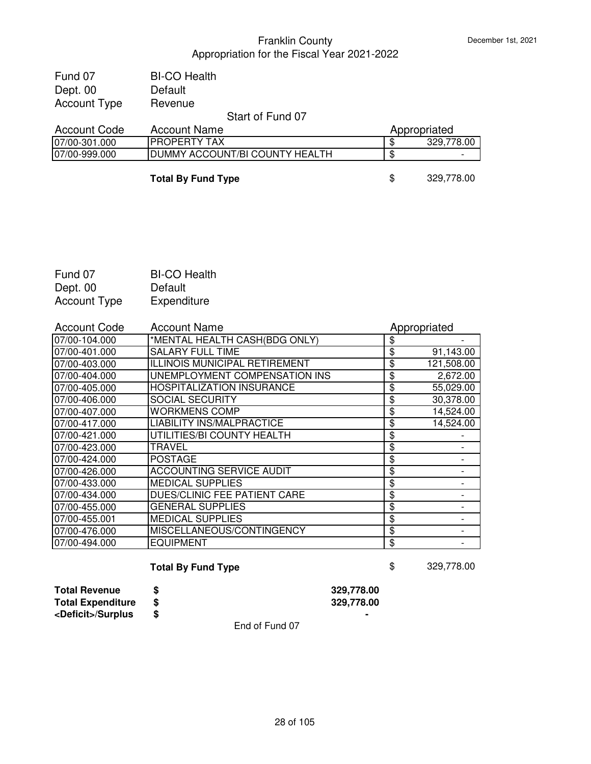| Fund 07             | <b>BI-CO Health</b>            |                  |
|---------------------|--------------------------------|------------------|
| Dept. 00            | Default                        |                  |
| <b>Account Type</b> | Revenue                        |                  |
|                     | Start of Fund 07               |                  |
| <b>Account Code</b> | <b>Account Name</b>            | Appropriated     |
| 07/00-301.000       | <b>IPROPERTY TAX</b>           | 329,778.00<br>\$ |
| 07/00-999.000       | DUMMY ACCOUNT/BI COUNTY HEALTH | ß.               |

**Total By Fund Type** \$ 329,778.00

| Fund 07             | <b>BI-CO Health</b> |
|---------------------|---------------------|
| Dept. 00            | Default             |
| <b>Account Type</b> | Expenditure         |

| <b>Account Code</b> | <b>Account Name</b>                  | Appropriated     |
|---------------------|--------------------------------------|------------------|
| 07/00-104.000       | *MENTAL HEALTH CASH(BDG ONLY)        | \$               |
| 07/00-401.000       | <b>SALARY FULL TIME</b>              | \$<br>91,143.00  |
| 07/00-403.000       | <b>ILLINOIS MUNICIPAL RETIREMENT</b> | \$<br>121,508.00 |
| 07/00-404.000       | UNEMPLOYMENT COMPENSATION INS        | \$<br>2,672.00   |
| 07/00-405.000       | <b>HOSPITALIZATION INSURANCE</b>     | \$<br>55,029.00  |
| 07/00-406.000       | <b>SOCIAL SECURITY</b>               | \$<br>30,378.00  |
| 07/00-407.000       | <b>WORKMENS COMP</b>                 | \$<br>14,524.00  |
| 07/00-417.000       | <b>LIABILITY INS/MALPRACTICE</b>     | \$<br>14,524.00  |
| 07/00-421.000       | UTILITIES/BI COUNTY HEALTH           | \$               |
| 07/00-423.000       | TRAVEL                               | \$               |
| 07/00-424.000       | <b>POSTAGE</b>                       | \$               |
| 07/00-426.000       | <b>ACCOUNTING SERVICE AUDIT</b>      | \$               |
| 07/00-433.000       | <b>MEDICAL SUPPLIES</b>              | \$               |
| 07/00-434.000       | DUES/CLINIC FEE PATIENT CARE         | \$               |
| 07/00-455.000       | GENERAL SUPPLIES                     | \$               |
| 07/00-455.001       | <b>MEDICAL SUPPLIES</b>              | \$               |
| 07/00-476.000       | MISCELLANEOUS/CONTINGENCY            | \$               |
| 07/00-494.000       | <b>EQUIPMENT</b>                     | \$               |

**Total By Fund Type** \$ 329,778.00

**Total Revenue \$ 329,778.00 Total Expenditure \$ 329,778.00 <Deficit>/Surplus \$ -**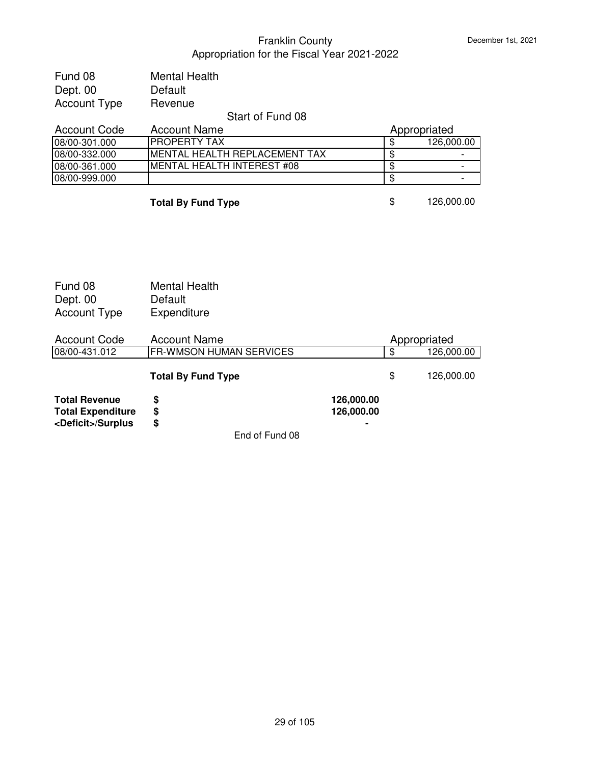| Fund 08             | <b>Mental Health</b> |               |
|---------------------|----------------------|---------------|
| Dept. 00            | Default              |               |
| <b>Account Type</b> | Revenue              |               |
|                     |                      | <b>OUTPUT</b> |

#### Start of Fund 08

| Account Code  | Account Name                   | Appropriated |            |
|---------------|--------------------------------|--------------|------------|
| 08/00-301.000 | <b>IPROPERTY TAX</b>           |              | 126,000.00 |
| 08/00-332.000 | IMENTAL HEALTH REPLACEMENT TAX |              | -          |
| 08/00-361.000 | IMENTAL HEALTH INTEREST #08    |              | -          |
| 08/00-999.000 |                                |              | -          |

**Total By Fund Type** \$ 126,000.00

| Fund 08             | <b>Mental Health</b> |
|---------------------|----------------------|
| Dept. 00            | Default              |
| <b>Account Type</b> | Expenditure          |

| <b>Account Code</b>         | <b>Account Name</b>            |                |     | Appropriated |
|-----------------------------|--------------------------------|----------------|-----|--------------|
| 08/00-431.012               | <b>FR-WMSON HUMAN SERVICES</b> |                | \$  | 126,000.00   |
|                             | <b>Total By Fund Type</b>      |                | \$. | 126,000.00   |
| <b>Total Revenue</b>        | S                              | 126,000.00     |     |              |
| <b>Total Expenditure</b>    | S                              | 126,000.00     |     |              |
| <deficit>/Surplus</deficit> | S                              | $\blacksquare$ |     |              |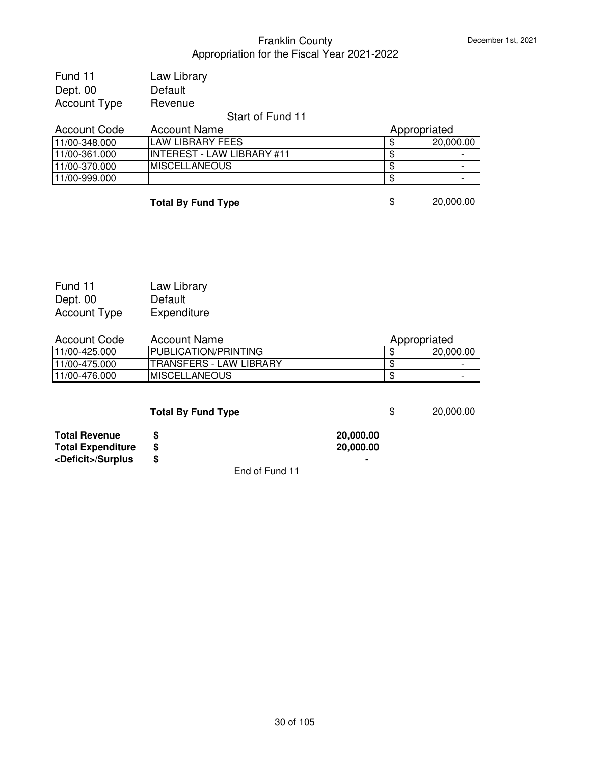| Fund 11             | Law Library |                  |  |
|---------------------|-------------|------------------|--|
| Dept. 00            | Default     |                  |  |
| <b>Account Type</b> | Revenue     |                  |  |
|                     |             | Start of Fund 11 |  |
|                     |             |                  |  |

| <b>Account Code</b> | <b>Account Name</b>         | Appropriated |  |
|---------------------|-----------------------------|--------------|--|
| 11/00-348.000       | LAW LIBRARY FEES            | 20,000.00    |  |
| 11/00-361.000       | IINTEREST - LAW LIBRARY #11 |              |  |
| 11/00-370.000       | <b>IMISCELLANEOUS</b>       |              |  |
| 11/00-999.000       |                             |              |  |
|                     |                             |              |  |

| <b>Total By Fund Type</b> |  |
|---------------------------|--|
|                           |  |

| Fund 11             | Law Library |
|---------------------|-------------|
| Dept. 00            | Default     |
| <b>Account Type</b> | Expenditure |

| <b>Account Code</b> | <b>Account Name</b>         | Appropriated |                          |
|---------------------|-----------------------------|--------------|--------------------------|
| 11/00-425.000       | <b>PUBLICATION/PRINTING</b> |              | 20,000,00                |
| 11/00-475.000       | ITRANSFERS - LAW LIBRARY    |              | $\overline{\phantom{0}}$ |
| 11/00-476.000       | <b>IMISCELLANEOUS</b>       |              | -                        |

| <b>Total By Fund Type</b> | 20,000.00 |
|---------------------------|-----------|
|                           |           |

|  | 20,0 |  |
|--|------|--|
|--|------|--|

**Total By Fund Type** \$ 20,000.00

| <b>Total Revenue</b>        | 20,000,00 |
|-----------------------------|-----------|
| <b>Total Expenditure</b>    | 20,000,00 |
| <deficit>/Surplus</deficit> |           |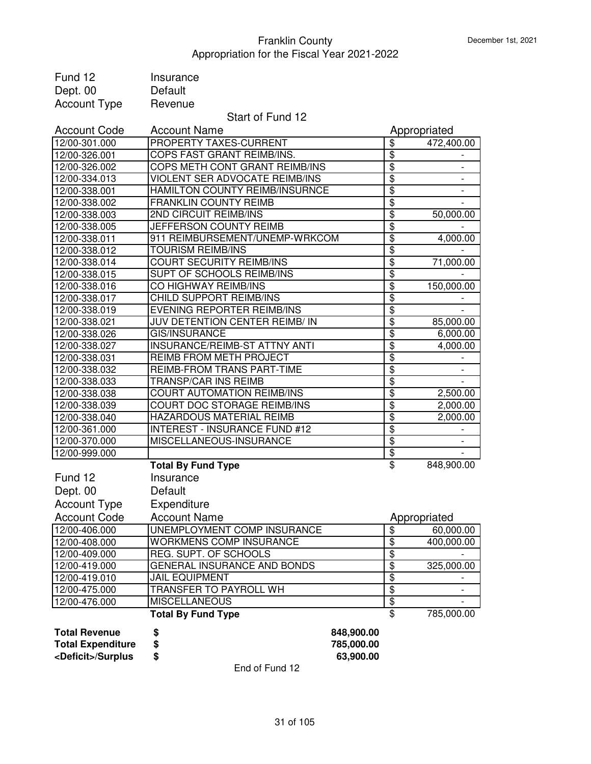| Fund 12                     | Insurance                            |                                  |                          |
|-----------------------------|--------------------------------------|----------------------------------|--------------------------|
| Dept. 00                    | Default                              |                                  |                          |
| <b>Account Type</b>         | Revenue                              |                                  |                          |
|                             | Start of Fund 12                     |                                  |                          |
| <b>Account Code</b>         | <b>Account Name</b>                  |                                  | Appropriated             |
| 12/00-301.000               | PROPERTY TAXES-CURRENT               | \$                               | 472,400.00               |
| 12/00-326.001               | COPS FAST GRANT REIMB/INS.           | $\overline{\$}$                  |                          |
| 12/00-326.002               | COPS METH CONT GRANT REIMB/INS       | $\overline{\$}$                  | $\overline{\phantom{a}}$ |
| 12/00-334.013               | VIOLENT SER ADVOCATE REIMB/INS       | $\overline{\$}$                  | $\overline{\phantom{0}}$ |
| 12/00-338.001               | HAMILTON COUNTY REIMB/INSURNCE       | $\overline{\$}$                  |                          |
| 12/00-338.002               | <b>FRANKLIN COUNTY REIMB</b>         | $\overline{\mathfrak{s}}$        |                          |
| 12/00-338.003               | 2ND CIRCUIT REIMB/INS                | $\overline{\mathbf{S}}$          | 50,000.00                |
| 12/00-338.005               | JEFFERSON COUNTY REIMB               | $\overline{\mathfrak{s}}$        |                          |
| 12/00-338.011               | 911 REIMBURSEMENT/UNEMP-WRKCOM       | $\overline{\mathfrak{s}}$        | 4,000.00                 |
| 12/00-338.012               | <b>TOURISM REIMB/INS</b>             | \$                               |                          |
| 12/00-338.014               | <b>COURT SECURITY REIMB/INS</b>      | $\overline{\mathfrak{s}}$        | 71,000.00                |
| 12/00-338.015               | SUPT OF SCHOOLS REIMB/INS            | \$                               |                          |
| 12/00-338.016               | CO HIGHWAY REIMB/INS                 | $\overline{\mathbf{S}}$          | 150,000.00               |
| 12/00-338.017               | <b>CHILD SUPPORT REIMB/INS</b>       | \$                               |                          |
| 12/00-338.019               | <b>EVENING REPORTER REIMB/INS</b>    | $\overline{\mathbf{S}}$          |                          |
| 12/00-338.021               | JUV DETENTION CENTER REIMB/ IN       | \$                               | 85,000.00                |
| 12/00-338.026               | <b>GIS/INSURANCE</b>                 | $\overline{\$}$                  | 6,000.00                 |
| 12/00-338.027               | INSURANCE/REIMB-ST ATTNY ANTI        | $\overline{\mathfrak{s}}$        | 4,000.00                 |
| 12/00-338.031               | REIMB FROM METH PROJECT              | $\overline{\$}$                  |                          |
| 12/00-338.032               | REIMB-FROM TRANS PART-TIME           | $\overline{\$}$                  | $\overline{\phantom{a}}$ |
| 12/00-338.033               | <b>TRANSP/CAR INS REIMB</b>          | $\overline{\$}$                  |                          |
| 12/00-338.038               | <b>COURT AUTOMATION REIMB/INS</b>    | $\overline{\mathfrak{s}}$        | 2,500.00                 |
| 12/00-338.039               | COURT DOC STORAGE REIMB/INS          | $\overline{\mathfrak{s}}$        | 2,000.00                 |
| 12/00-338.040               | HAZARDOUS MATERIAL REIMB             | $\overline{\mathfrak{s}}$        | 2,000.00                 |
| 12/00-361.000               | <b>INTEREST - INSURANCE FUND #12</b> | $\overline{\mathbf{S}}$          |                          |
| 12/00-370.000               | MISCELLANEOUS-INSURANCE              | $\overline{\$}$                  |                          |
| 12/00-999.000               |                                      | $\overline{\boldsymbol{\theta}}$ |                          |
|                             | <b>Total By Fund Type</b>            | $\overline{\mathbf{e}}$          | 848,900.00               |
| Fund 12                     | Insurance                            |                                  |                          |
|                             |                                      |                                  |                          |
| Dept. 00                    | Default                              |                                  |                          |
| <b>Account Type</b>         | Expenditure                          |                                  |                          |
| <b>Account Code</b>         | <b>Account Name</b>                  |                                  | Appropriated             |
| 12/00-406.000               | UNEMPLOYMENT COMP INSURANCE          | \$                               | 60,000.00                |
| 12/00-408.000               | <b>WORKMENS COMP INSURANCE</b>       | $\overline{\$}$                  | 400,000.00               |
| 12/00-409.000               | <b>REG. SUPT. OF SCHOOLS</b>         | $\overline{\$}$                  |                          |
| 12/00-419.000               | GENERAL INSURANCE AND BONDS          | $\overline{\$}$                  | 325,000.00               |
| 12/00-419.010               | <b>JAIL EQUIPMENT</b>                | $\overline{\$}$                  |                          |
| 12/00-475.000               | <b>TRANSFER TO PAYROLL WH</b>        | $\overline{\$}$                  |                          |
| 12/00-476.000               | <b>MISCELLANEOUS</b>                 | $\overline{\$}$                  |                          |
|                             | <b>Total By Fund Type</b>            | \$                               | 785,000.00               |
| <b>Total Revenue</b>        | \$                                   | 848,900.00                       |                          |
| <b>Total Expenditure</b>    | \$                                   | 785,000.00                       |                          |
| <deficit>/Surplus</deficit> | \$                                   | 63,900.00                        |                          |
|                             |                                      |                                  |                          |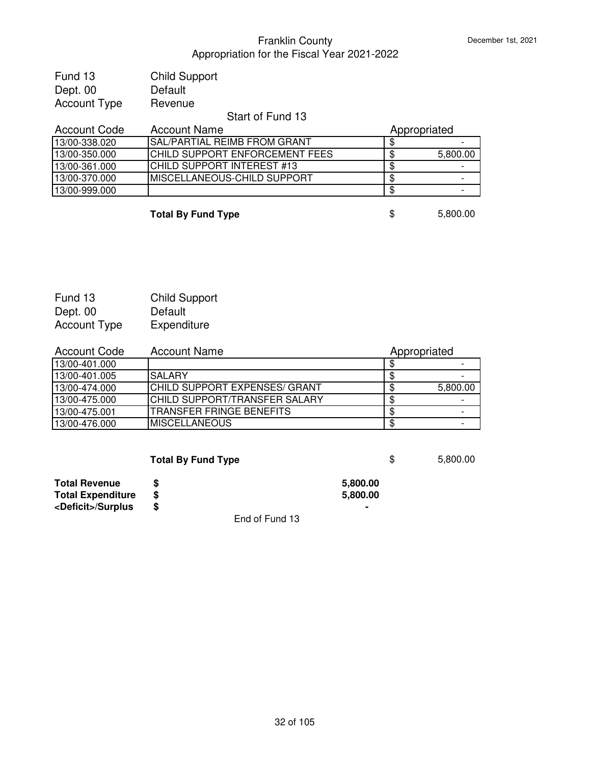| Fund 13             | <b>Child Support</b>           |                |
|---------------------|--------------------------------|----------------|
| Dept. 00            | Default                        |                |
| <b>Account Type</b> | Revenue                        |                |
|                     | Start of Fund 13               |                |
| <b>Account Code</b> | <b>Account Name</b>            | Appropriated   |
| 13/00-338.020       | SAL/PARTIAL REIMB FROM GRANT   | \$             |
| 13/00-350.000       | CHILD SUPPORT ENFORCEMENT FEES | \$<br>5,800.00 |
| 13/00-361.000       | CHILD SUPPORT INTEREST #13     | \$             |
| 13/00-370.000       | MISCELLANEOUS-CHILD SUPPORT    | \$             |
| 13/00-999.000       |                                | \$             |

**Total By Fund Type**  $\qquad$  \$ 5,800.00

| Fund 13      | <b>Child Support</b> |
|--------------|----------------------|
| Dept. 00     | Default              |
| Account Type | Expenditure          |

| <b>Account Code</b> | <b>Account Name</b>            | Appropriated |  |
|---------------------|--------------------------------|--------------|--|
| 13/00-401.000       |                                |              |  |
| 13/00-401.005       | <b>SALARY</b>                  |              |  |
| 13/00-474.000       | ICHILD SUPPORT EXPENSES/ GRANT | 5,800.00     |  |
| 13/00-475.000       | ICHILD SUPPORT/TRANSFER SALARY |              |  |
| 13/00-475.001       | ITRANSFER FRINGE BENEFITS      |              |  |
| 13/00-476.000       | <b>MISCELLANEOUS</b>           |              |  |

|                             | <b>Total By Fund Type</b> |          | S | 5,800.00 |
|-----------------------------|---------------------------|----------|---|----------|
| <b>Total Revenue</b>        |                           | 5,800.00 |   |          |
| <b>Total Expenditure</b>    | S                         | 5,800.00 |   |          |
| <deficit>/Surplus</deficit> | S                         |          |   |          |
|                             | End of Fund 13            |          |   |          |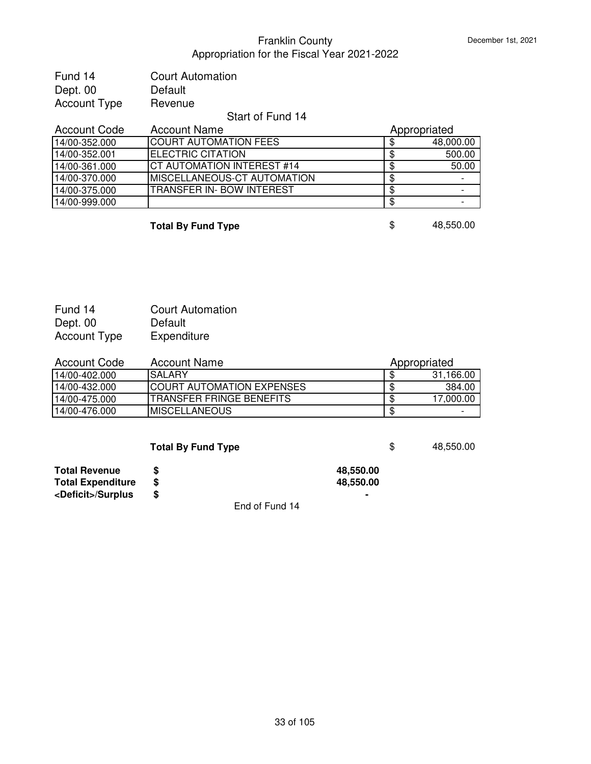| Fund 14             | <b>Court Automation</b> |
|---------------------|-------------------------|
| Dept. 00            | Default                 |
| <b>Account Type</b> | Revenue                 |
|                     | $0.1 - 0.1 - 0.1$       |

# Start of Fund 14

| <b>Account Code</b> | <b>Account Name</b>               | Appropriated |
|---------------------|-----------------------------------|--------------|
| 14/00-352.000       | <b>COURT AUTOMATION FEES</b>      | 48,000.00    |
| 14/00-352.001       | ELECTRIC CITATION                 | 500.00       |
| 14/00-361.000       | <b>CT AUTOMATION INTEREST #14</b> | 50.00        |
| 14/00-370.000       | IMISCELLANEOUS-CT AUTOMATION      |              |
| 14/00-375.000       | TRANSFER IN- BOW INTEREST         |              |
| 14/00-999.000       |                                   |              |

**Total By Fund Type 18.650.00** 

| Fund 14             | <b>Court Automation</b> |
|---------------------|-------------------------|
| Dept. 00            | Default                 |
| <b>Account Type</b> | Expenditure             |

| <b>Account Code</b> | <b>Account Name</b>               | Appropriated |
|---------------------|-----------------------------------|--------------|
| 14/00-402.000       | ISAI ARY                          | 31,166.00    |
| 14/00-432.000       | <b>ICOURT AUTOMATION EXPENSES</b> | 384.00       |
| 14/00-475.000       | ITRANSFER FRINGE BENEFITS         | 17.000.00    |
| 14/00-476.000       | IMISCELLANEOUS                    |              |

|                             | <b>Total By Fund Type</b> |                | \$. | 48.550.00 |
|-----------------------------|---------------------------|----------------|-----|-----------|
| <b>Total Revenue</b>        |                           | 48,550.00      |     |           |
| <b>Total Expenditure</b>    | S                         | 48,550.00      |     |           |
| <deficit>/Surplus</deficit> | S                         | $\blacksquare$ |     |           |
|                             |                           |                |     |           |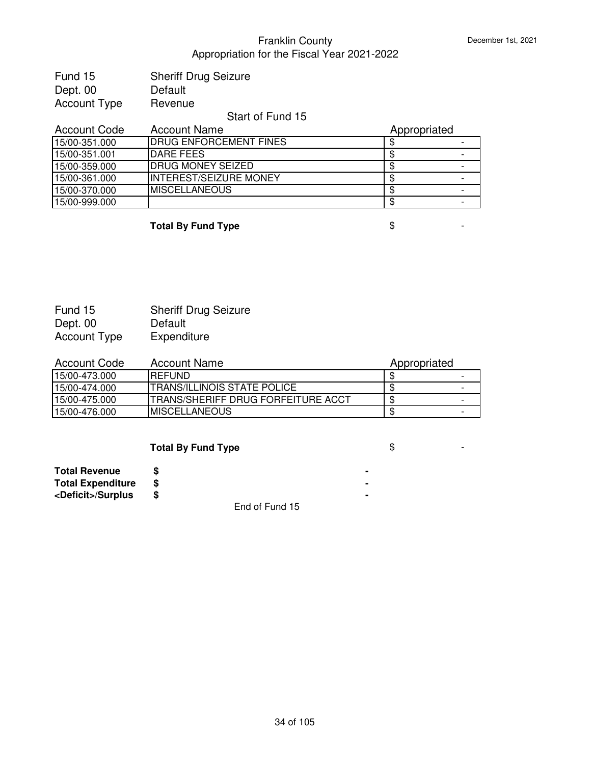| Fund 15             | <b>Sheriff Drug Seizure</b> |
|---------------------|-----------------------------|
| Dept. 00            | Default                     |
| <b>Account Type</b> | Revenue                     |
|                     | Start of Fund 15            |
| $A - 2 - 3$         | A 1 N                       |

| <b>Account Name</b><br><b>Account Code</b> |                                | Appropriated |  |
|--------------------------------------------|--------------------------------|--------------|--|
| 15/00-351.000                              | <b>IDRUG ENFORCEMENT FINES</b> |              |  |
| 15/00-351.001                              | DARE FEES                      |              |  |
| 15/00-359.000                              | <b>DRUG MONEY SEIZED</b>       |              |  |
| 15/00-361.000                              | <b>INTEREST/SEIZURE MONEY</b>  |              |  |
| 15/00-370.000                              | <b>IMISCELLANEOUS</b>          |              |  |
| 15/00-999.000                              |                                |              |  |

**Total By Fund Type**  $\qquad$  $\qquad$  $\qquad$  **5**  $\qquad$  **-**

| Fund 15             | <b>Sheriff Drug Seizure</b> |
|---------------------|-----------------------------|
| Dept. 00            | Default                     |
| <b>Account Type</b> | Expenditure                 |

| Account Code  | Account Name                        | Appropriated |  |
|---------------|-------------------------------------|--------------|--|
| 15/00-473.000 | <b>IREFUND</b>                      |              |  |
| 15/00-474.000 | ITRANS/ILLINOIS STATE POLICE        |              |  |
| 15/00-475.000 | ITRANS/SHERIFF DRUG FORFEITURE ACCT |              |  |
| 15/00-476.000 | <b>IMISCELLANEOUS</b>               |              |  |

| <b>Total By Fund Type</b> |  |
|---------------------------|--|
|---------------------------|--|

| <b>Total Revenue</b>        |  |
|-----------------------------|--|
| <b>Total Expenditure</b>    |  |
| <deficit>/Surplus</deficit> |  |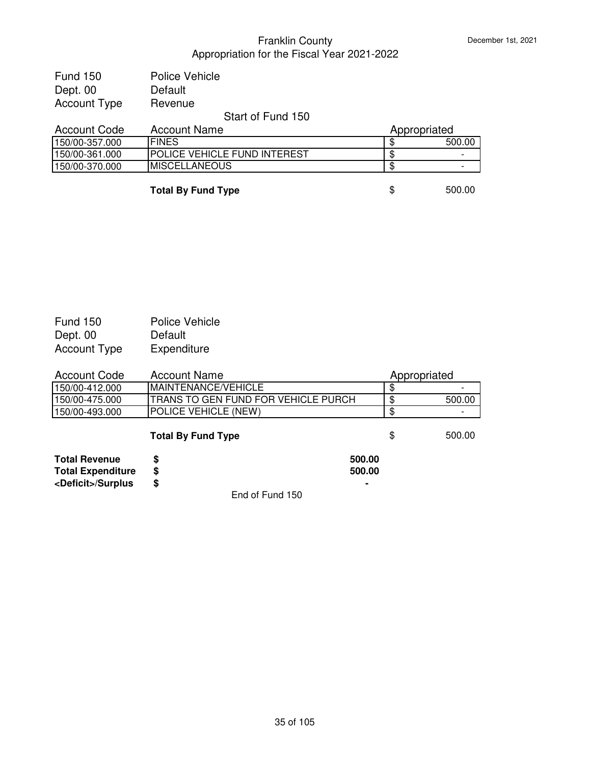| Fund 150            | Police Vehicle                      |              |        |
|---------------------|-------------------------------------|--------------|--------|
| Dept. 00            | Default                             |              |        |
| <b>Account Type</b> | Revenue                             |              |        |
|                     | Start of Fund 150                   |              |        |
| <b>Account Code</b> | <b>Account Name</b>                 | Appropriated |        |
| 150/00-357.000      | <b>IFINES</b>                       |              | 500.00 |
| 150/00-361.000      | <b>POLICE VEHICLE FUND INTEREST</b> |              |        |
| 150/00-370.000      | <b>MISCELLANEOUS</b>                | \$           |        |

**Total By Fund Type \$** 500.00

| <b>Fund 150</b>     | Police Vehicle |
|---------------------|----------------|
| Dept. 00            | Default        |
| <b>Account Type</b> | Expenditure    |

| Account Code   | Account Name                                | Appropriated |                          |
|----------------|---------------------------------------------|--------------|--------------------------|
| 150/00-412.000 | <b>IMAINTENANCE/VEHICLE</b>                 |              | $\overline{\phantom{0}}$ |
| 150/00-475.000 | <b>ITRANS TO GEN FUND FOR VEHICLE PURCH</b> |              | 500.00                   |
| 150/00-493.000 | <b>IPOLICE VEHICLE (NEW)</b>                |              |                          |

# **Total By Fund Type \$** 500.00

| <b>Total Revenue</b>        | 500.00 |
|-----------------------------|--------|
| <b>Total Expenditure</b>    | 500.00 |
| <deficit>/Surplus</deficit> | ۰      |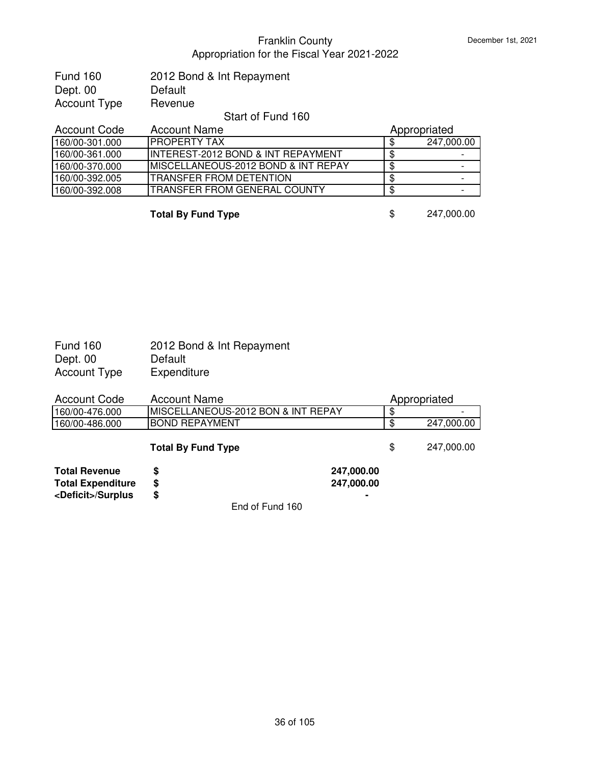| 2012 Bond & Int Repayment |
|---------------------------|
| Default                   |
| Revenue                   |
|                           |

#### Start of Fund 160

| <b>Account Code</b> | <b>Account Name</b>                             | Appropriated |            |
|---------------------|-------------------------------------------------|--------------|------------|
| 160/00-301.000      | IPROPERTY TAX                                   |              | 247,000.00 |
| 160/00-361.000      | IINTEREST-2012 BOND & INT REPAYMENT             |              |            |
| 160/00-370.000      | <b>IMISCELLANEOUS-2012 BOND &amp; INT REPAY</b> | ۰D           |            |
| 160/00-392.005      | <b>ITRANSFER FROM DETENTION</b>                 |              |            |
| 160/00-392.008      | <b>ITRANSFER FROM GENERAL COUNTY</b>            |              |            |

**Total By Fund Type** \$ 247,000.00

| <b>Fund 160</b> | 2012 Bond & Int Repayment |
|-----------------|---------------------------|
| Dept. 00        | Default                   |
| Account Type    | Expenditure               |

| <b>Account Code</b>         | <b>Account Name</b>                |                | Appropriated |            |
|-----------------------------|------------------------------------|----------------|--------------|------------|
| 160/00-476.000              | MISCELLANEOUS-2012 BON & INT REPAY |                | \$           |            |
| 160/00-486.000              | <b>BOND REPAYMENT</b>              |                | ß.           | 247,000.00 |
|                             | <b>Total By Fund Type</b>          |                | \$           | 247,000.00 |
| <b>Total Revenue</b>        | S                                  | 247,000.00     |              |            |
| <b>Total Expenditure</b>    | \$                                 | 247,000.00     |              |            |
| <deficit>/Surplus</deficit> | \$                                 | $\blacksquare$ |              |            |
|                             | End of Fund 160                    |                |              |            |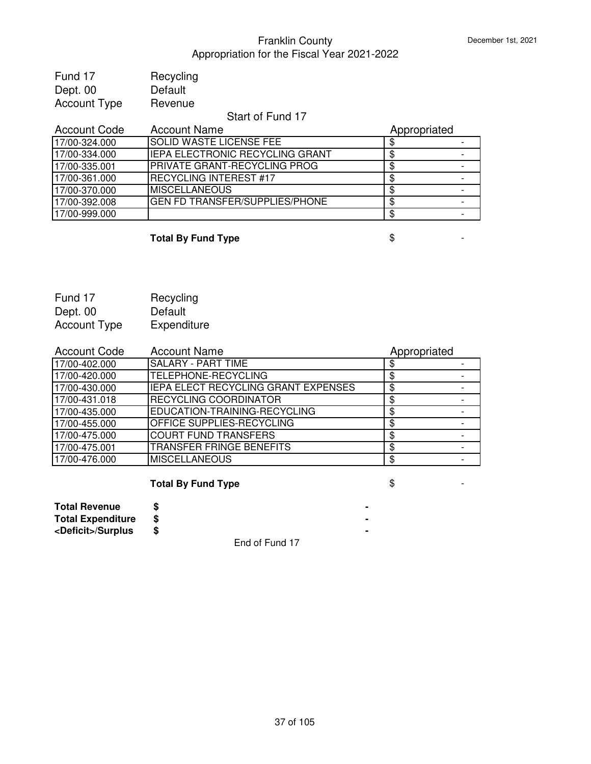| Fund 17             | Recycling |
|---------------------|-----------|
| Dept. 00            | Default   |
| <b>Account Type</b> | Revenue   |

### Start of Fund 17

| <b>Account Code</b> | <b>Account Name</b>                    | Appropriated |  |
|---------------------|----------------------------------------|--------------|--|
| 17/00-324.000       | <b>SOLID WASTE LICENSE FEE</b>         |              |  |
| 17/00-334.000       | <b>IEPA ELECTRONIC RECYCLING GRANT</b> |              |  |
| 17/00-335.001       | <b>PRIVATE GRANT-RECYCLING PROG</b>    |              |  |
| 17/00-361.000       | <b>RECYCLING INTEREST #17</b>          |              |  |
| 17/00-370.000       | <b>IMISCELLANEOUS</b>                  |              |  |
| 17/00-392.008       | <b>GEN FD TRANSFER/SUPPLIES/PHONE</b>  | S            |  |
| 17/00-999.000       |                                        |              |  |

# **Total By Fund Type**  $\qquad$  $\qquad$  $\qquad$  $\qquad$  $\qquad$  **-**

| Fund 17             | Recycling   |
|---------------------|-------------|
| Dept. 00            | Default     |
| <b>Account Type</b> | Expenditure |

| <b>Account Code</b> | <b>Account Name</b>                 | Appropriated |  |
|---------------------|-------------------------------------|--------------|--|
| 17/00-402.000       | <b>SALARY - PART TIME</b>           |              |  |
| 17/00-420.000       | <b>TELEPHONE-RECYCLING</b>          |              |  |
| 17/00-430.000       | IEPA ELECT RECYCLING GRANT EXPENSES |              |  |
| 17/00-431.018       | RECYCLING COORDINATOR               |              |  |
| 17/00-435.000       | EDUCATION-TRAINING-RECYCLING        |              |  |
| 17/00-455.000       | <b>OFFICE SUPPLIES-RECYCLING</b>    |              |  |
| 17/00-475.000       | <b>COURT FUND TRANSFERS</b>         |              |  |
| 17/00-475.001       | <b>TRANSFER FRINGE BENEFITS</b>     |              |  |
| 17/00-476.000       | <b>MISCELLANEOUS</b>                | S            |  |

# **Total By Fund Type**  $\qquad$  $\qquad$  $\qquad$  $\qquad$  $\qquad$  **-**

| <b>Total Revenue</b>        |                                           |  |
|-----------------------------|-------------------------------------------|--|
| <b>Total Expenditure</b>    |                                           |  |
| <deficit>/Surplus</deficit> |                                           |  |
|                             | $\Gamma$ and affect $\Gamma$ and $\Gamma$ |  |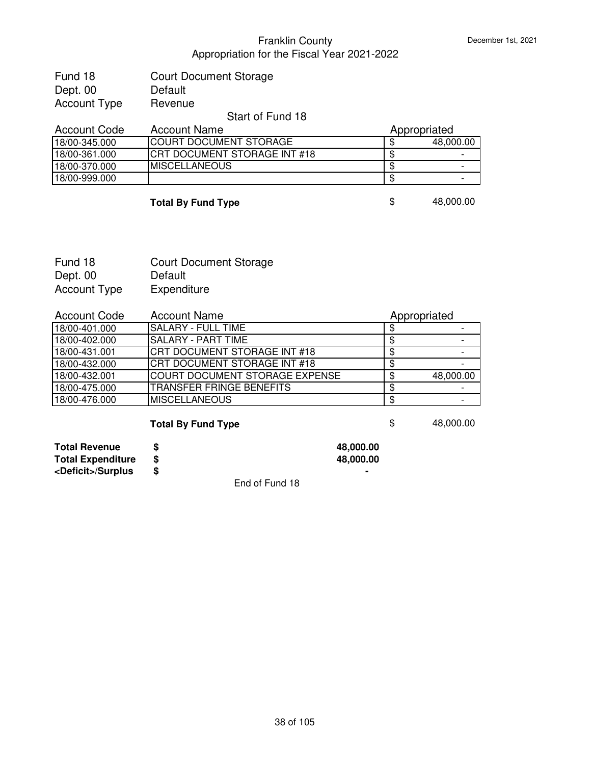| Fund 18      | <b>Court Document Storage</b>      |
|--------------|------------------------------------|
| Dept. 00     | Default                            |
| Account Type | Revenue                            |
|              | $Q_1$ and $Q_2$ $\Gamma$ and $Q_3$ |

#### Start of Fund 18

| Account Code  | <b>Account Name</b>            | Appropriated |                          |
|---------------|--------------------------------|--------------|--------------------------|
| 18/00-345.000 | <b>ICOURT DOCUMENT STORAGE</b> |              | 48,000.00                |
| 18/00-361.000 | ICRT DOCUMENT STORAGE INT #18  |              | $\overline{\phantom{0}}$ |
| 18/00-370.000 | <b>IMISCELLANEOUS</b>          |              | $\overline{\phantom{0}}$ |
| 18/00-999.000 |                                |              | -                        |

### **Total By Fund Type**  $\qquad$  **\$** 48,000.00

| Fund 18      | <b>Court Document Storage</b> |
|--------------|-------------------------------|
| Dept. 00     | Default                       |
| Account Type | Expenditure                   |

| <b>Account Code</b> | <b>Account Name</b>                 | Appropriated |           |
|---------------------|-------------------------------------|--------------|-----------|
| 18/00-401.000       | <b>ISALARY - FULL TIME</b>          |              |           |
| 18/00-402.000       | SALARY - PART TIME                  |              |           |
| 18/00-431.001       | CRT DOCUMENT STORAGE INT #18        |              |           |
| 18/00-432.000       | <b>CRT DOCUMENT STORAGE INT #18</b> |              |           |
| 18/00-432.001       | COURT DOCUMENT STORAGE EXPENSE      |              | 48,000.00 |
| 18/00-475.000       | <b>TRANSFER FRINGE BENEFITS</b>     |              |           |
| 18/00-476.000       | <b>MISCELLANEOUS</b>                |              |           |

# **Total By Fund Type 6 and 1999 10 and 1999 10 and 1999 10 and 1999 10 and 1999 10 and 1999 10 and 1999 10 and 1999 10 and 1999 10 and 1999 10 and 1999 10 and 1999 10 and 1999 10 and 1999 10 and 1999 10 and 1999 10 and 19**

| <b>Total Revenue</b>        | 48,000.00 |
|-----------------------------|-----------|
| <b>Total Expenditure</b>    | 48,000,00 |
| <deficit>/Surplus</deficit> | ۰         |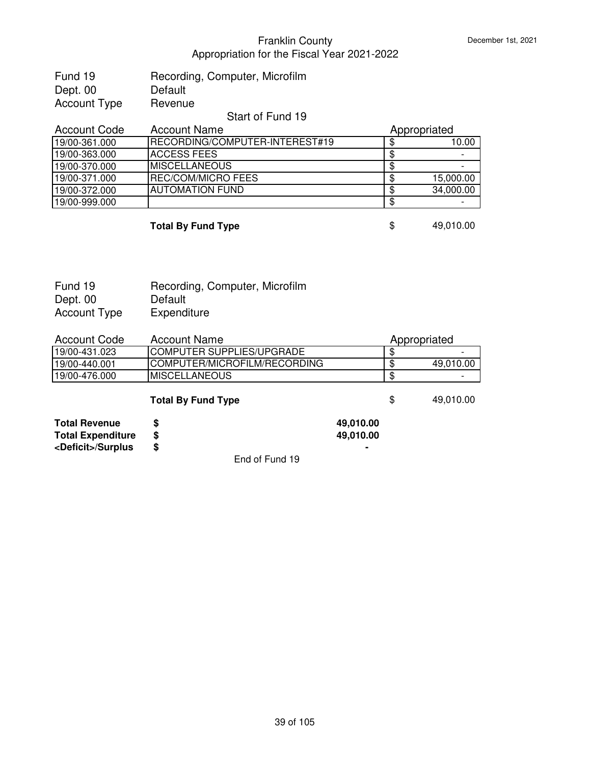| Fund 19      | Recording, Computer, Microfilm |
|--------------|--------------------------------|
| Dept. 00     | Default                        |
| Account Type | Revenue                        |

# Start of Fund 19

| <b>Account Code</b> | <b>Account Name</b>                    | Appropriated |
|---------------------|----------------------------------------|--------------|
| 19/00-361.000       | <b>IRECORDING/COMPUTER-INTEREST#19</b> | 10.00        |
| 19/00-363.000       | ACCESS FEES                            |              |
| 19/00-370.000       | IMISCELLANEOUS                         |              |
| 19/00-371.000       | IREC/COM/MICRO FEES                    | 15,000.00    |
| 19/00-372.000       | <b>AUTOMATION FUND</b>                 | 34,000.00    |
| 19/00-999.000       |                                        |              |

| <b>Total By Fund Type</b> | 49,010.00 |
|---------------------------|-----------|

| Fund 19             | Recording, Computer, Microfilm |
|---------------------|--------------------------------|
| Dept. 00            | Default                        |
| <b>Account Type</b> | Expenditure                    |

| Account Code  | <b>Account Name</b>              | Appropriated |           |
|---------------|----------------------------------|--------------|-----------|
| 19/00-431.023 | <b>COMPUTER SUPPLIES/UPGRADE</b> |              | -         |
| 19/00-440.001 | ICOMPUTER/MICROFILM/RECORDING    |              | 49,010.00 |
| 19/00-476.000 | IMISCELLANEOUS                   |              |           |
|               |                                  |              |           |

**Total By Fund Type**  $\qquad$  **\$** 49,010.00

| <b>Total Revenue</b>        | 49,010.00 |
|-----------------------------|-----------|
| <b>Total Expenditure</b>    | 49,010.00 |
| <deficit>/Surplus</deficit> | ۰         |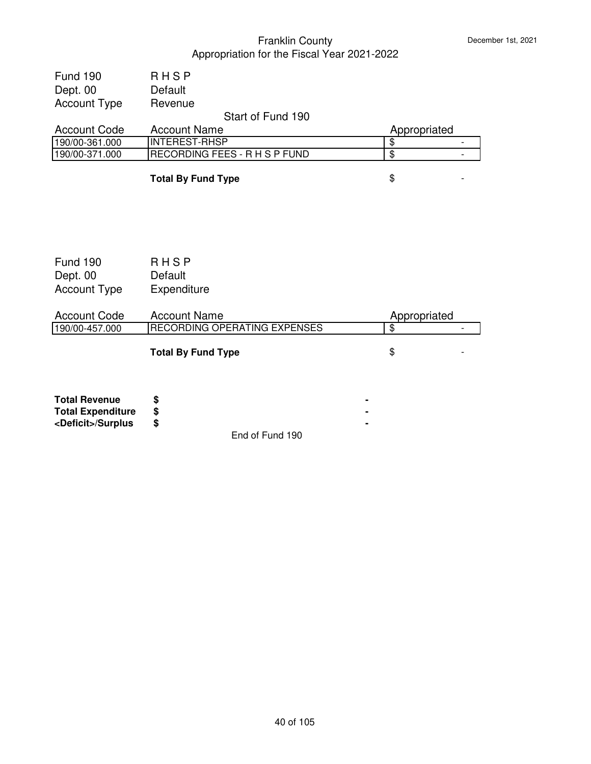| <b>RHSP</b>         |                                                               |  |
|---------------------|---------------------------------------------------------------|--|
| Default             |                                                               |  |
| Revenue             |                                                               |  |
| Start of Fund 190   |                                                               |  |
| <b>Account Name</b> | Appropriated                                                  |  |
|                     |                                                               |  |
|                     |                                                               |  |
|                     | <b>INTEREST-RHSP</b><br><b>IRECORDING FEES - R H S P FUND</b> |  |

**Total By Fund Type**  $\qquad$  $\qquad$  $\qquad$  $\qquad$  $\qquad$  **-**

| <b>Fund 190</b><br>Dept. 00<br><b>Account Type</b> | RHSP<br>Default<br>Expenditure |              |  |
|----------------------------------------------------|--------------------------------|--------------|--|
| <b>Account Code</b>                                | <b>Account Name</b>            | Appropriated |  |
| 190/00-457.000                                     | RECORDING OPERATING EXPENSES   | \$           |  |
|                                                    | <b>Total By Fund Type</b>      | \$           |  |
| <b>Total Dovanua</b>                               | ¢                              |              |  |

| <b>Total Revenue</b>        |                 |  |
|-----------------------------|-----------------|--|
| <b>Total Expenditure</b>    |                 |  |
| <deficit>/Surplus</deficit> |                 |  |
|                             | End of Fund 190 |  |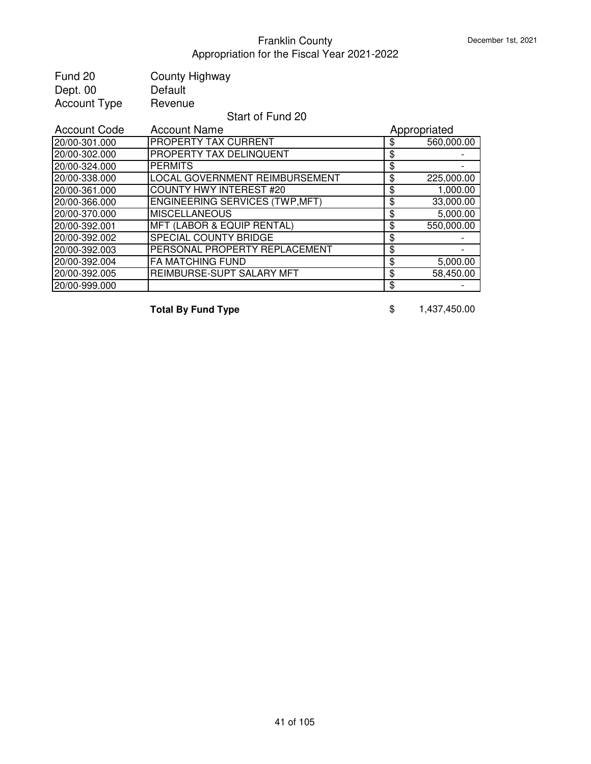| Fund 20<br>Dept. 00<br><b>Account Type</b> | County Highway<br>Default<br>Revenue  |                  |
|--------------------------------------------|---------------------------------------|------------------|
|                                            | Start of Fund 20                      |                  |
| <b>Account Code</b>                        | <b>Account Name</b>                   | Appropriated     |
| 20/00-301.000                              | PROPERTY TAX CURRENT                  | \$<br>560,000.00 |
| 20/00-302.000                              | PROPERTY TAX DELINQUENT               | \$               |
| 20/00-324.000                              | <b>PERMITS</b>                        | \$               |
| 20/00-338.000                              | LOCAL GOVERNMENT REIMBURSEMENT        | \$<br>225,000.00 |
| 20/00-361.000                              | <b>COUNTY HWY INTEREST #20</b>        | \$<br>1,000.00   |
| 20/00-366.000                              | <b>ENGINEERING SERVICES (TWP,MFT)</b> | \$<br>33,000.00  |
| 20/00-370.000                              | <b>MISCELLANEOUS</b>                  | \$<br>5,000.00   |
| 20/00-392.001                              | <b>MFT (LABOR &amp; EQUIP RENTAL)</b> | \$<br>550,000.00 |
| 20/00-392.002                              | SPECIAL COUNTY BRIDGE                 | \$               |
| 20/00-392.003                              | PERSONAL PROPERTY REPLACEMENT         | \$               |
| 20/00-392.004                              | <b>FA MATCHING FUND</b>               | \$<br>5,000.00   |
| 20/00-392.005                              | REIMBURSE-SUPT SALARY MFT             | \$<br>58,450.00  |
| 20/00-999.000                              |                                       | \$               |

**Total By Fund Type**  $$ 1,437,450.00$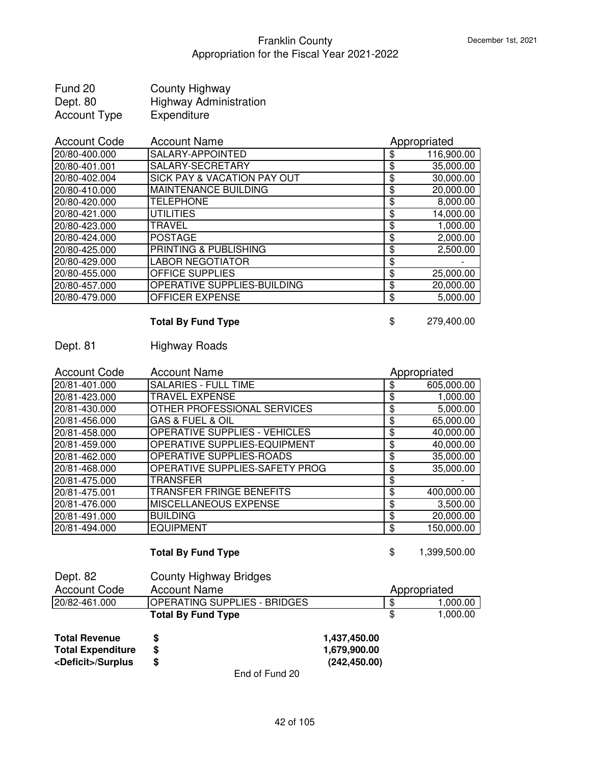| Fund 20      | <b>County Highway</b>         |
|--------------|-------------------------------|
| Dept. 80     | <b>Highway Administration</b> |
| Account Type | Expenditure                   |

| <b>Account Code</b> | <b>Account Name</b>                    | Appropriated     |
|---------------------|----------------------------------------|------------------|
| 20/80-400.000       | SALARY-APPOINTED                       | \$<br>116,900.00 |
| 20/80-401.001       | SALARY-SECRETARY                       | \$<br>35,000.00  |
| 20/80-402.004       | <b>SICK PAY &amp; VACATION PAY OUT</b> | \$<br>30,000.00  |
| 20/80-410.000       | <b>MAINTENANCE BUILDING</b>            | \$<br>20,000.00  |
| 20/80-420.000       | <b>TELEPHONE</b>                       | \$<br>8,000.00   |
| 20/80-421.000       | <b>UTILITIES</b>                       | \$<br>14,000.00  |
| 20/80-423.000       | <b>TRAVEL</b>                          | \$<br>1,000.00   |
| 20/80-424.000       | <b>POSTAGE</b>                         | \$<br>2,000.00   |
| 20/80-425.000       | PRINTING & PUBLISHING                  | \$<br>2,500.00   |
| 20/80-429.000       | <b>LABOR NEGOTIATOR</b>                | \$               |
| 20/80-455.000       | OFFICE SUPPLIES                        | \$<br>25,000.00  |
| 20/80-457.000       | OPERATIVE SUPPLIES-BUILDING            | \$<br>20,000.00  |
| 20/80-479.000       | <b>OFFICER EXPENSE</b>                 | \$<br>5,000.00   |

# **Total By Fund Type 8 279,400.00**

# Dept. 81 Highway Roads

| <b>Account Code</b> | <b>Account Name</b>                  | Appropriated     |
|---------------------|--------------------------------------|------------------|
| 20/81-401.000       | <b>SALARIES - FULL TIME</b>          | \$<br>605,000.00 |
| 20/81-423.000       | TRAVEL EXPENSE                       | \$<br>1,000.00   |
| 20/81-430.000       | OTHER PROFESSIONAL SERVICES          | \$<br>5,000.00   |
| 20/81-456.000       | <b>GAS &amp; FUEL &amp; OIL</b>      | \$<br>65,000.00  |
| 20/81-458.000       | <b>OPERATIVE SUPPLIES - VEHICLES</b> | \$<br>40,000.00  |
| 20/81-459.000       | OPERATIVE SUPPLIES-EQUIPMENT         | \$<br>40,000.00  |
| 20/81-462.000       | OPERATIVE SUPPLIES-ROADS             | \$<br>35,000.00  |
| 20/81-468.000       | OPERATIVE SUPPLIES-SAFETY PROG       | \$<br>35,000.00  |
| 20/81-475.000       | TRANSFER                             | \$               |
| 20/81-475.001       | <b>TRANSFER FRINGE BENEFITS</b>      | \$<br>400,000.00 |
| 20/81-476.000       | <b>MISCELLANEOUS EXPENSE</b>         | \$<br>3,500.00   |
| 20/81-491.000       | <b>BUILDING</b>                      | \$<br>20,000.00  |
| 20/81-494.000       | <b>EQUIPMENT</b>                     | \$<br>150,000.00 |

# **Total By Fund Type 1,399,500.00**

| Dept. 82                    | County Highway Bridges       |               |                 |
|-----------------------------|------------------------------|---------------|-----------------|
| <b>Account Code</b>         | <b>Account Name</b>          |               | Appropriated    |
| 20/82-461.000               | OPERATING SUPPLIES - BRIDGES |               | \$<br>00.000, ا |
|                             | <b>Total By Fund Type</b>    |               | 1,000.00        |
| <b>Total Revenue</b>        | S                            | 1,437,450.00  |                 |
| <b>Total Expenditure</b>    | S                            | 1,679,900.00  |                 |
| <deficit>/Surplus</deficit> | S                            | (242, 450.00) |                 |
|                             |                              |               |                 |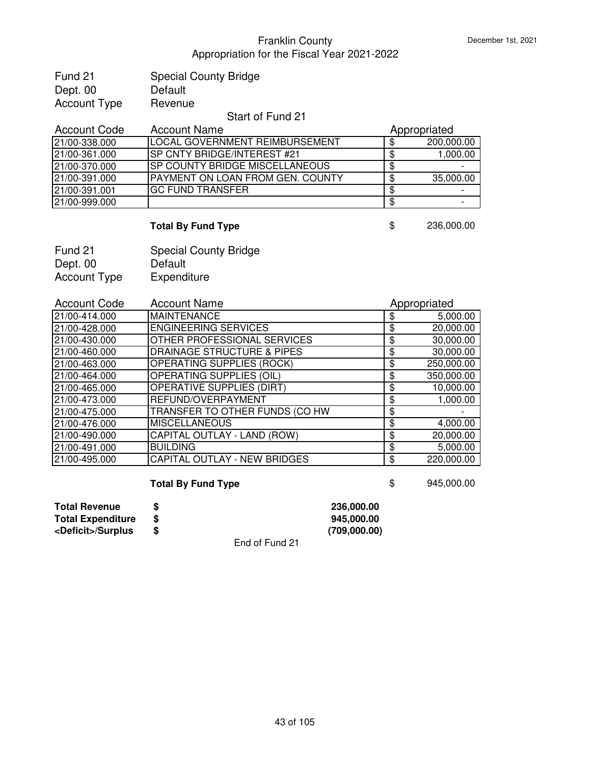| Fund 21      | <b>Special County Bridge</b> |
|--------------|------------------------------|
| Dept. 00     | Default                      |
| Account Type | Revenue                      |
|              |                              |

#### Start of Fund 21

| <b>Account Code</b> | <b>Account Name</b>                     |  | Appropriated |  |
|---------------------|-----------------------------------------|--|--------------|--|
| 21/00-338.000       | LOCAL GOVERNMENT REIMBURSEMENT          |  | 200,000.00   |  |
| 21/00-361.000       | <b>SP CNTY BRIDGE/INTEREST #21</b>      |  | 1,000.00     |  |
| 21/00-370.000       | ISP COUNTY BRIDGE MISCELLANEOUS         |  |              |  |
| 21/00-391.000       | <b>PAYMENT ON LOAN FROM GEN. COUNTY</b> |  | 35,000.00    |  |
| 21/00-391.001       | <b>IGC FUND TRANSFER</b>                |  |              |  |
| 21/00-999.000       |                                         |  |              |  |

# **Total By Fund Type** \$ 236,000.00

| Fund 21      | <b>Special County Bridge</b> |
|--------------|------------------------------|
| Dept. 00     | Default                      |
| Account Type | Expenditure                  |

| <b>Account Code</b> | <b>Account Name</b>                   | Appropriated     |
|---------------------|---------------------------------------|------------------|
| 21/00-414.000       | <b>MAINTENANCE</b>                    | \$<br>5,000.00   |
| 21/00-428.000       | <b>ENGINEERING SERVICES</b>           | \$<br>20,000.00  |
| 21/00-430.000       | OTHER PROFESSIONAL SERVICES           | \$<br>30,000.00  |
| 21/00-460.000       | <b>DRAINAGE STRUCTURE &amp; PIPES</b> | \$<br>30,000.00  |
| 21/00-463.000       | <b>OPERATING SUPPLIES (ROCK)</b>      | \$<br>250,000.00 |
| 21/00-464.000       | <b>OPERATING SUPPLIES (OIL)</b>       | \$<br>350,000.00 |
| 21/00-465.000       | <b>OPERATIVE SUPPLIES (DIRT)</b>      | \$<br>10,000.00  |
| 21/00-473.000       | REFUND/OVERPAYMENT                    | \$<br>1,000.00   |
| 21/00-475.000       | TRANSFER TO OTHER FUNDS (CO HW        | \$               |
| 21/00-476.000       | <b>MISCELLANEOUS</b>                  | \$<br>4,000.00   |
| 21/00-490.000       | CAPITAL OUTLAY - LAND (ROW)           | \$<br>20,000.00  |
| 21/00-491.000       | <b>BUILDING</b>                       | \$<br>5,000.00   |
| 21/00-495.000       | CAPITAL OUTLAY - NEW BRIDGES          | \$<br>220,000.00 |

# **Total By Fund Type 8 8 8 945,000.00**

| <b>Total Revenue</b>        |                                                       | 236,000,00   |
|-----------------------------|-------------------------------------------------------|--------------|
| <b>Total Expenditure</b>    |                                                       | 945,000,00   |
| <deficit>/Surplus</deficit> |                                                       | (709,000.00) |
|                             | $\Gamma_{\text{total}}$ of $\Gamma_{\text{total}}$ 04 |              |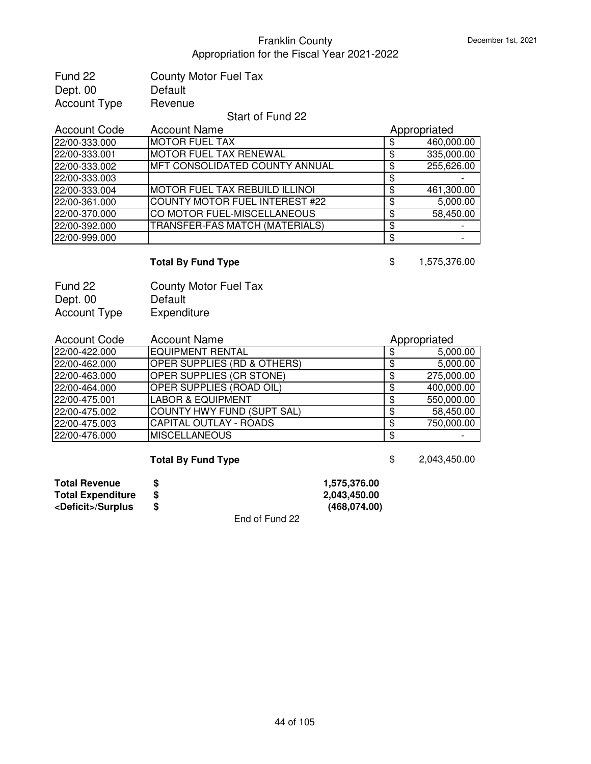| <b>County Motor Fuel Tax</b> |
|------------------------------|
| Default                      |
| Revenue                      |
|                              |

#### Start of Fund 22

| <b>Account Code</b> | <b>Account Name</b>                   | Appropriated |
|---------------------|---------------------------------------|--------------|
| 22/00-333.000       | <b>IMOTOR FUEL TAX</b>                | 460,000.00   |
| 22/00-333.001       | <b>MOTOR FUEL TAX RENEWAL</b>         | 335,000.00   |
| 22/00-333.002       | <b>MFT CONSOLIDATED COUNTY ANNUAL</b> | 255,626.00   |
| 22/00-333.003       |                                       |              |
| 22/00-333.004       | <b>MOTOR FUEL TAX REBUILD ILLINOI</b> | 461,300.00   |
| 22/00-361.000       | <b>COUNTY MOTOR FUEL INTEREST #22</b> | 5,000.00     |
| 22/00-370.000       | CO MOTOR FUEL-MISCELLANEOUS           | 58,450.00    |
| 22/00-392.000       | TRANSFER-FAS MATCH (MATERIALS)        |              |
| 22/00-999.000       |                                       |              |

# **Total By Fund Type 6 1,575,376.00**

| Fund 22             | <b>County Motor Fuel Tax</b> |
|---------------------|------------------------------|
| Dept. 00            | Default                      |
| <b>Account Type</b> | Expenditure                  |

| <b>Account Code</b> | <b>Account Name</b>                    |    | Appropriated |  |
|---------------------|----------------------------------------|----|--------------|--|
| 22/00-422.000       | <b>EQUIPMENT RENTAL</b>                | \$ | 5,000.00     |  |
| 22/00-462.000       | <b>OPER SUPPLIES (RD &amp; OTHERS)</b> | \$ | 5,000.00     |  |
| 22/00-463.000       | OPER SUPPLIES (CR STONE)               | \$ | 275,000.00   |  |
| 22/00-464.000       | OPER SUPPLIES (ROAD OIL)               | \$ | 400,000.00   |  |
| 22/00-475.001       | <b>LABOR &amp; EQUIPMENT</b>           | \$ | 550,000.00   |  |
| 22/00-475.002       | COUNTY HWY FUND (SUPT SAL)             | \$ | 58,450.00    |  |
| 22/00-475.003       | <b>CAPITAL OUTLAY - ROADS</b>          | S  | 750,000.00   |  |
| 22/00-476.000       | <b>MISCELLANEOUS</b>                   | S  |              |  |

# **Total By Fund Type**  $$ 2,043,450.00$

| <b>Total Revenue</b>        |   |                | 1.575.376.00 |
|-----------------------------|---|----------------|--------------|
| <b>Total Expenditure</b>    |   |                | 2.043.450.00 |
| <deficit>/Surplus</deficit> | S |                | (468,074.00) |
|                             |   | End of Fund 22 |              |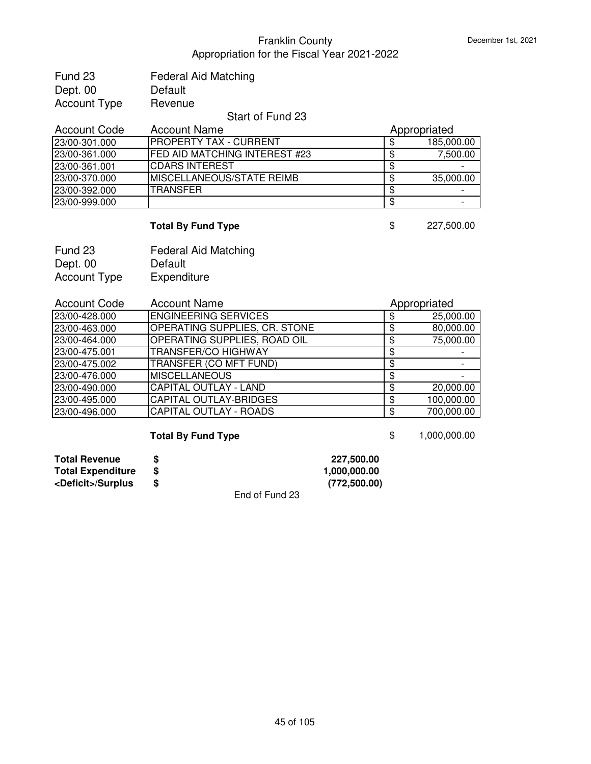| Fund 23             | <b>Federal Aid Matching</b> |
|---------------------|-----------------------------|
| Dept. 00            | Default                     |
| <b>Account Type</b> | Revenue                     |
|                     | $\epsilon$ $\equiv$         |

### Start of Fund 23

| <b>Account Code</b> | <b>Account Name</b>                   |  | Appropriated |  |
|---------------------|---------------------------------------|--|--------------|--|
| 23/00-301.000       | IPROPERTY TAX - CURRENT               |  | 185,000.00   |  |
| 23/00-361.000       | <b>IFED AID MATCHING INTEREST #23</b> |  | 7,500.00     |  |
| 23/00-361.001       | ICDARS INTEREST                       |  |              |  |
| 23/00-370.000       | IMISCELLANEOUS/STATE REIMB            |  | 35,000.00    |  |
| 23/00-392.000       | <b>ITRANSFER</b>                      |  |              |  |
| 23/00-999.000       |                                       |  |              |  |

# **Total By Fund Type** \$ 227,500.00

| Fund 23      | <b>Federal Aid Matching</b> |
|--------------|-----------------------------|
| Dept. 00     | Default                     |
| Account Type | Expenditure                 |

| <b>Account Code</b> | <b>Account Name</b>           |    | Appropriated |
|---------------------|-------------------------------|----|--------------|
| 23/00-428.000       | <b>ENGINEERING SERVICES</b>   | \$ | 25,000.00    |
| 23/00-463.000       | OPERATING SUPPLIES, CR. STONE | \$ | 80,000.00    |
| 23/00-464.000       | OPERATING SUPPLIES, ROAD OIL  | S  | 75,000.00    |
| 23/00-475.001       | <b>TRANSFER/CO HIGHWAY</b>    | S  |              |
| 23/00-475.002       | TRANSFER (CO MFT FUND)        | S  |              |
| 23/00-476.000       | <b>MISCELLANEOUS</b>          | Ф  |              |
| 23/00-490.000       | <b>CAPITAL OUTLAY - LAND</b>  | \$ | 20,000.00    |
| 23/00-495.000       | <b>CAPITAL OUTLAY-BRIDGES</b> | S  | 100,000.00   |
| 23/00-496.000       | CAPITAL OUTLAY - ROADS        |    | 700,000.00   |

# **Total By Fund Type 6 1,000,000.00**

| <b>Total Revenue</b>        |     | 227,500.00   |
|-----------------------------|-----|--------------|
| <b>Total Expenditure</b>    |     | 1,000,000.00 |
| <deficit>/Surplus</deficit> |     | (772,500.00) |
|                             | - - |              |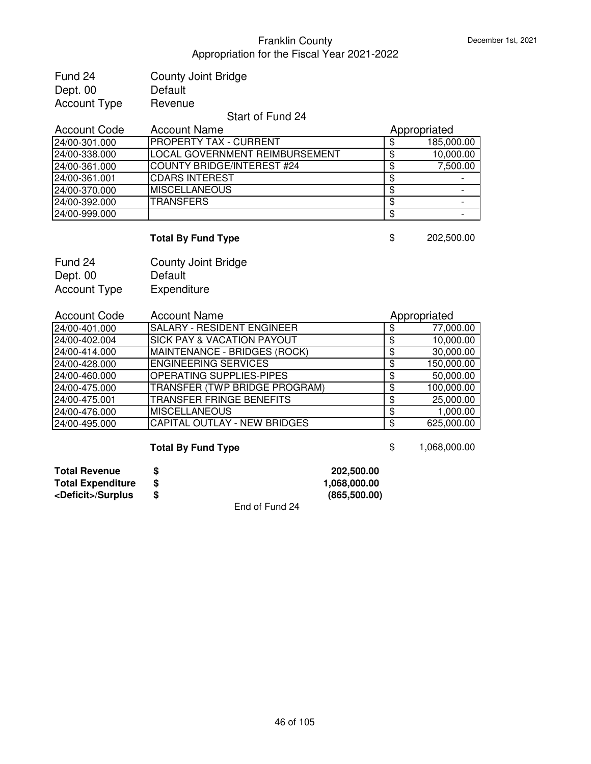| Fund 24             | <b>County Joint Bridge</b>                                       |
|---------------------|------------------------------------------------------------------|
| Dept. 00            | Default                                                          |
| <b>Account Type</b> | Revenue                                                          |
|                     | $\mathbf{O}$ $\mathbf{L}$ $\mathbf{L}$ $\mathbf{L}$ $\mathbf{L}$ |

## Start of Fund 24

| <b>Account Code</b> | <b>Account Name</b>            | Appropriated |
|---------------------|--------------------------------|--------------|
| 24/00-301.000       | <b>PROPERTY TAX - CURRENT</b>  | 185,000.00   |
| 24/00-338.000       | LOCAL GOVERNMENT REIMBURSEMENT | 10,000.00    |
| 24/00-361.000       | COUNTY BRIDGE/INTEREST #24     | 7,500.00     |
| 24/00-361.001       | <b>CDARS INTEREST</b>          |              |
| 24/00-370.000       | <b>MISCELLANEOUS</b>           |              |
| 24/00-392.000       | <b>TRANSFERS</b>               |              |
| 24/00-999.000       |                                |              |

# **Total By Fund Type \$** 202,500.00

| Fund 24             | <b>County Joint Bridge</b> |
|---------------------|----------------------------|
| Dept. 00            | Default                    |
| <b>Account Type</b> | Expenditure                |

| <b>Account Code</b> | <b>Account Name</b>                   |    | Appropriated |
|---------------------|---------------------------------------|----|--------------|
| 24/00-401.000       | <b>SALARY - RESIDENT ENGINEER</b>     |    | 77,000.00    |
| 24/00-402.004       | <b>SICK PAY &amp; VACATION PAYOUT</b> | \$ | 10,000.00    |
| 24/00-414.000       | MAINTENANCE - BRIDGES (ROCK)          |    | 30,000.00    |
| 24/00-428.000       | <b>ENGINEERING SERVICES</b>           | \$ | 150,000.00   |
| 24/00-460.000       | <b>OPERATING SUPPLIES-PIPES</b>       | \$ | 50,000.00    |
| 24/00-475.000       | TRANSFER (TWP BRIDGE PROGRAM)         | \$ | 100,000.00   |
| 24/00-475.001       | <b>TRANSFER FRINGE BENEFITS</b>       | ጥ  | 25,000.00    |
| 24/00-476.000       | <b>MISCELLANEOUS</b>                  | S  | 1,000.00     |
| 24/00-495.000       | <b>CAPITAL OUTLAY - NEW BRIDGES</b>   | \$ | 625,000.00   |

# **Total By Fund Type 1,068,000.00**

| <b>Total Revenue</b>        |   |                | 202.500.00   |
|-----------------------------|---|----------------|--------------|
| <b>Total Expenditure</b>    |   |                | 1,068,000.00 |
| <deficit>/Surplus</deficit> | S |                | (865,500.00) |
|                             |   | End of Fund 24 |              |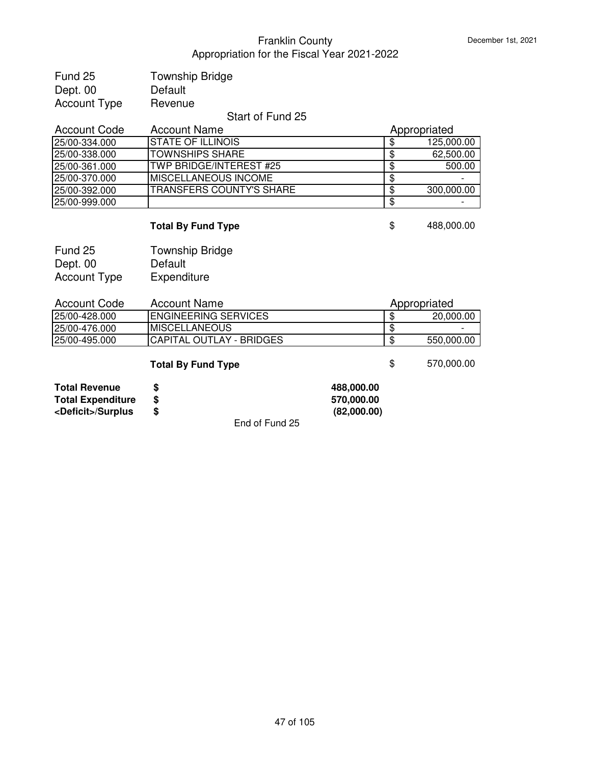| Fund 25             | <b>Township Bridge</b> |
|---------------------|------------------------|
| Dept. 00            | Default                |
| <b>Account Type</b> | Revenue                |
|                     | <b>CL-4</b>            |

## Start of Fund 25

| <b>Account Code</b> | <b>Account Name</b>          |      | Appropriated |  |
|---------------------|------------------------------|------|--------------|--|
| 25/00-334.000       | ISTATE OF ILLINOIS           |      | 125,000.00   |  |
| 25/00-338.000       | <b>TOWNSHIPS SHARE</b>       | -36  | 62,500.00    |  |
| 25/00-361.000       | TWP BRIDGE/INTEREST #25      | - \$ | 500.00       |  |
| 25/00-370.000       | <b>IMISCELLANEOUS INCOME</b> |      |              |  |
| 25/00-392.000       | TRANSFERS COUNTY'S SHARE     | -36  | 300,000.00   |  |
| 25/00-999.000       |                              | -36  |              |  |

# **Total By Fund Type 6 and 1998 \$** 488,000.00

| Fund 25             | <b>Township Bridge</b> |
|---------------------|------------------------|
| Dept. 00            | Default                |
| <b>Account Type</b> | Expenditure            |

| Account Code  | Account Name                    |   | Appropriated |  |
|---------------|---------------------------------|---|--------------|--|
| 25/00-428.000 | <b>ENGINEERING SERVICES</b>     | Ф | 20,000,00    |  |
| 25/00-476.000 | IMISCELLANEOUS                  |   | -            |  |
| 25/00-495.000 | <b>CAPITAL OUTLAY - BRIDGES</b> |   | 550,000.00   |  |
|               |                                 |   |              |  |

# **Total By Fund Type 6 670,000.00**

| 488,000.00  |
|-------------|
| 570,000.00  |
| (82,000.00) |
|             |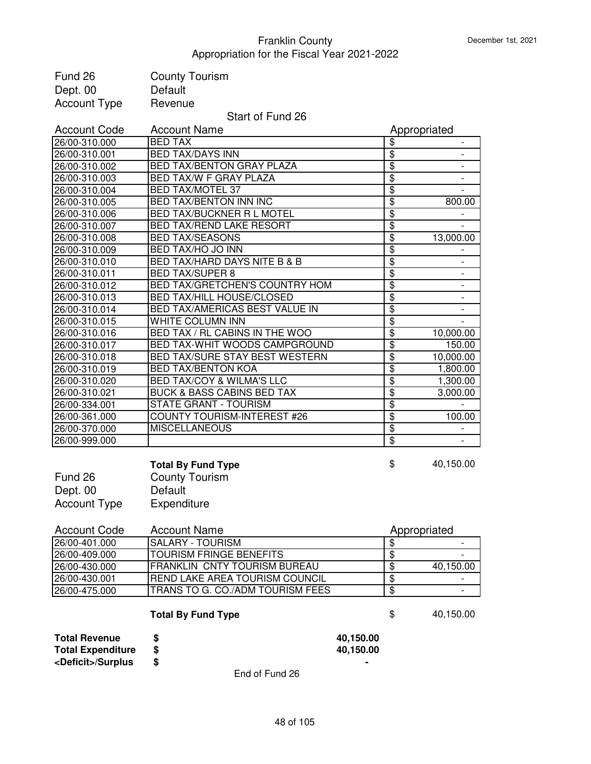| Fund 26                     | <b>County Tourism</b>                 |                        |                           |                              |
|-----------------------------|---------------------------------------|------------------------|---------------------------|------------------------------|
| Dept. 00                    | Default                               |                        |                           |                              |
| <b>Account Type</b>         | Revenue                               |                        |                           |                              |
|                             | Start of Fund 26                      |                        |                           |                              |
| <b>Account Code</b>         | <b>Account Name</b>                   |                        |                           | Appropriated                 |
| 26/00-310.000               | <b>BED TAX</b>                        |                        | \$                        |                              |
| 26/00-310.001               | <b>BED TAX/DAYS INN</b>               |                        | \$                        |                              |
| 26/00-310.002               | BED TAX/BENTON GRAY PLAZA             |                        | $\overline{\$}$           | $\overline{\phantom{a}}$     |
| 26/00-310.003               | BED TAX/W F GRAY PLAZA                |                        | $\overline{\$}$           | $\qquad \qquad \blacksquare$ |
| 26/00-310.004               | <b>BED TAX/MOTEL 37</b>               |                        | $\overline{\$}$           |                              |
| 26/00-310.005               | <b>BED TAX/BENTON INN INC</b>         |                        | \$                        | 800.00                       |
| 26/00-310.006               | <b>BED TAX/BUCKNER R L MOTEL</b>      |                        | $\overline{\$}$           |                              |
| 26/00-310.007               | <b>BED TAX/REND LAKE RESORT</b>       |                        | \$                        |                              |
| 26/00-310.008               | <b>BED TAX/SEASONS</b>                |                        | \$                        | 13,000.00                    |
| 26/00-310.009               | BED TAX/HO JO INN                     |                        | $\overline{\mathfrak{s}}$ |                              |
| 26/00-310.010               | BED TAX/HARD DAYS NITE B & B          |                        | $\overline{\mathbf{S}}$   |                              |
| 26/00-310.011               | <b>BED TAX/SUPER 8</b>                |                        | $\overline{\mathbf{S}}$   |                              |
| 26/00-310.012               | BED TAX/GRETCHEN'S COUNTRY HOM        |                        | $\overline{\$}$           |                              |
| 26/00-310.013               | <b>BED TAX/HILL HOUSE/CLOSED</b>      |                        | $\overline{\$}$           |                              |
| 26/00-310.014               | BED TAX/AMERICAS BEST VALUE IN        |                        | $\overline{\mathfrak{s}}$ |                              |
| 26/00-310.015               | WHITE COLUMN INN                      |                        | $\overline{\mathbf{S}}$   |                              |
| 26/00-310.016               | BED TAX / RL CABINS IN THE WOO        |                        | $\overline{\mathbf{e}}$   | 10,000.00                    |
| 26/00-310.017               | BED TAX-WHIT WOODS CAMPGROUND         |                        | \$                        | 150.00                       |
| 26/00-310.018               | BED TAX/SURE STAY BEST WESTERN        |                        | \$                        | 10,000.00                    |
| 26/00-310.019               | <b>BED TAX/BENTON KOA</b>             |                        | \$                        | 1,800.00                     |
| 26/00-310.020               | <b>BED TAX/COY &amp; WILMA'S LLC</b>  |                        | $\overline{\mathfrak{s}}$ | 1,300.00                     |
| 26/00-310.021               | <b>BUCK &amp; BASS CABINS BED TAX</b> |                        | $\overline{\mathbf{S}}$   | 3,000.00                     |
| 26/00-334.001               | <b>STATE GRANT - TOURISM</b>          |                        | $\overline{\mathbf{S}}$   |                              |
| 26/00-361.000               | COUNTY TOURISM-INTEREST #26           |                        | $\overline{\mathbf{S}}$   | 100.00                       |
| 26/00-370.000               | <b>MISCELLANEOUS</b>                  |                        | \$                        |                              |
| 26/00-999.000               |                                       |                        | $\overline{\mathbf{3}}$   |                              |
|                             |                                       |                        |                           |                              |
|                             | <b>Total By Fund Type</b>             |                        | \$                        | 40,150.00                    |
| Fund 26                     | <b>County Tourism</b>                 |                        |                           |                              |
| Dept. 00                    | Default                               |                        |                           |                              |
| <b>Account Type</b>         | Expenditure                           |                        |                           |                              |
|                             |                                       |                        |                           |                              |
| <b>Account Code</b>         | <b>Account Name</b>                   |                        |                           | Appropriated                 |
| 26/00-401.000               | <b>SALARY - TOURISM</b>               |                        | \$                        | $\qquad \qquad -$            |
| 26/00-409.000               | <b>TOURISM FRINGE BENEFITS</b>        |                        | $\overline{\$}$           |                              |
| 26/00-430.000               | <b>FRANKLIN CNTY TOURISM BUREAU</b>   |                        | $\overline{\$}$           | 40,150.00                    |
| 26/00-430.001               | REND LAKE AREA TOURISM COUNCIL        |                        | $\overline{\$}$           |                              |
| 26/00-475.000               | TRANS TO G. CO./ADM TOURISM FEES      |                        | $\overline{\mathbf{e}}$   |                              |
|                             |                                       |                        |                           |                              |
|                             | <b>Total By Fund Type</b>             |                        | \$                        | 40,150.00                    |
| <b>Total Revenue</b>        |                                       |                        |                           |                              |
| <b>Total Expenditure</b>    | \$<br>\$                              | 40,150.00<br>40,150.00 |                           |                              |
| <deficit>/Surplus</deficit> | \$                                    |                        |                           |                              |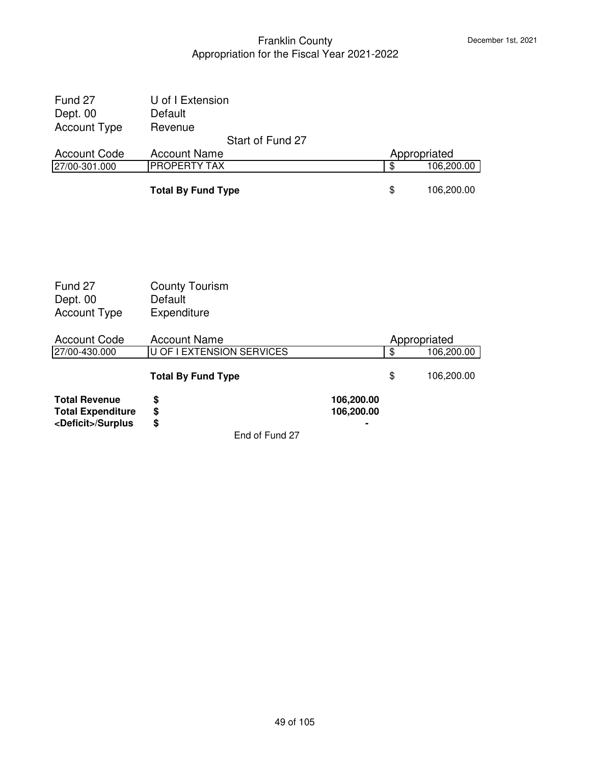| Fund 27<br>Dept. 00                                                             | U of I Extension<br>Default                     |                  |                          |                          |            |
|---------------------------------------------------------------------------------|-------------------------------------------------|------------------|--------------------------|--------------------------|------------|
| <b>Account Type</b>                                                             | Revenue                                         |                  |                          |                          |            |
|                                                                                 |                                                 | Start of Fund 27 |                          |                          |            |
| <b>Account Code</b>                                                             | <b>Account Name</b>                             |                  |                          | Appropriated             |            |
| 27/00-301.000                                                                   | <b>PROPERTY TAX</b>                             |                  |                          | $\overline{\mathcal{S}}$ | 106,200.00 |
|                                                                                 | <b>Total By Fund Type</b>                       |                  |                          | \$                       | 106,200.00 |
|                                                                                 |                                                 |                  |                          |                          |            |
| Fund 27<br>Dept. 00<br><b>Account Type</b>                                      | <b>County Tourism</b><br>Default<br>Expenditure |                  |                          |                          |            |
| <b>Account Code</b>                                                             | <b>Account Name</b>                             |                  |                          | Appropriated             |            |
| 27/00-430.000                                                                   | U OF I EXTENSION SERVICES                       |                  |                          | $\overline{\$}$          | 106,200.00 |
|                                                                                 | <b>Total By Fund Type</b>                       |                  |                          | \$                       | 106,200.00 |
| <b>Total Revenue</b><br><b>Total Expenditure</b><br><deficit>/Surplus</deficit> | \$<br>\$<br>\$                                  |                  | 106,200.00<br>106,200.00 |                          |            |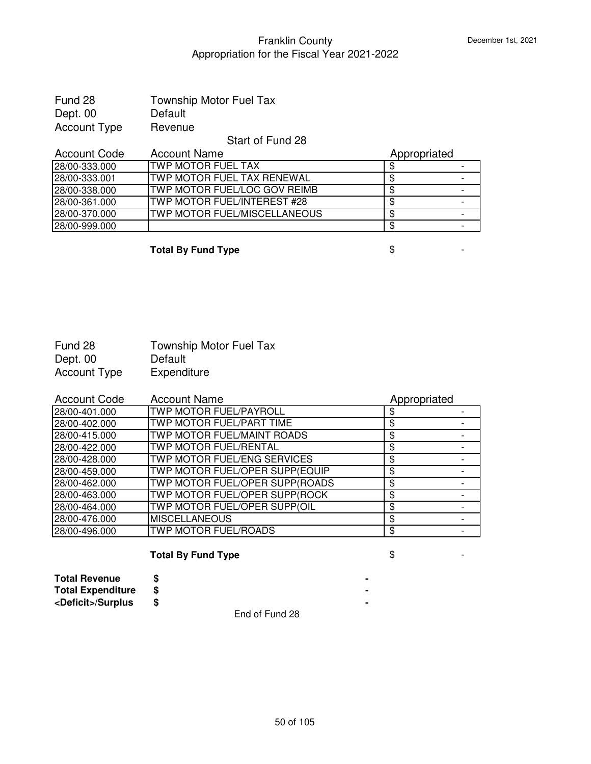| Fund 28      | <b>Township Motor Fuel Tax</b> |
|--------------|--------------------------------|
| Dept. 00     | Default                        |
| Account Type | Revenue                        |

Start of Fund 28

| <b>Account Code</b> | <b>Account Name</b>           | Appropriated |  |
|---------------------|-------------------------------|--------------|--|
| 28/00-333.000       | <b>ITWP MOTOR FUEL TAX</b>    |              |  |
| 28/00-333.001       | ITWP MOTOR FUEL TAX RENEWAL   |              |  |
| 28/00-338.000       | ITWP MOTOR FUEL/LOC GOV REIMB |              |  |
| 28/00-361.000       | ITWP MOTOR FUEL/INTEREST #28  |              |  |
| 28/00-370.000       | ITWP MOTOR FUEL/MISCELLANEOUS |              |  |
| 28/00-999.000       |                               |              |  |

**Total By Fund Type**  $\qquad$  $\qquad$  $\qquad$  $\qquad$  $\qquad$  $\qquad$  $\qquad$  $\qquad$  $\qquad$  $\qquad$  $\qquad$  $\qquad$  $\qquad$  $\qquad$  $\qquad$  $\qquad$  $\qquad$  $\qquad$  $\qquad$  $\qquad$  $\qquad$  $\qquad$  $\qquad$  $\qquad$  $\qquad$  $\qquad$  $\qquad$  $\qquad$  $\qquad$  $\qquad$  $\qquad$  $\qquad$  $\qquad$  **\qquad** 

| Fund 28      | <b>Township Motor Fuel Tax</b> |
|--------------|--------------------------------|
| Dept. 00     | Default                        |
| Account Type | Expenditure                    |

| <b>Account Code</b> | <b>Account Name</b>            | Appropriated |  |
|---------------------|--------------------------------|--------------|--|
| 28/00-401.000       | TWP MOTOR FUEL/PAYROLL         |              |  |
| 28/00-402.000       | TWP MOTOR FUEL/PART TIME       | S            |  |
| 28/00-415.000       | TWP MOTOR FUEL/MAINT ROADS     | \$           |  |
| 28/00-422.000       | TWP MOTOR FUEL/RENTAL          | \$           |  |
| 28/00-428.000       | TWP MOTOR FUEL/ENG SERVICES    | S            |  |
| 28/00-459.000       | TWP MOTOR FUEL/OPER SUPP(EQUIP | S            |  |
| 28/00-462.000       | TWP MOTOR FUEL/OPER SUPP(ROADS | \$           |  |
| 28/00-463.000       | TWP MOTOR FUEL/OPER SUPP(ROCK  | \$           |  |
| 28/00-464.000       | TWP MOTOR FUEL/OPER SUPP(OIL   | S            |  |
| 28/00-476.000       | <b>MISCELLANEOUS</b>           | \$           |  |
| 28/00-496.000       | <b>TWP MOTOR FUEL/ROADS</b>    | \$           |  |

# **Total By Fund Type**  $\qquad$  $\qquad$  $\qquad$  $\qquad$  $\qquad$  **-**

| <b>Total Revenue</b>        |  |  |  |  |
|-----------------------------|--|--|--|--|
| <b>Total Expenditure</b>    |  |  |  |  |
| <deficit>/Surplus</deficit> |  |  |  |  |
|                             |  |  |  |  |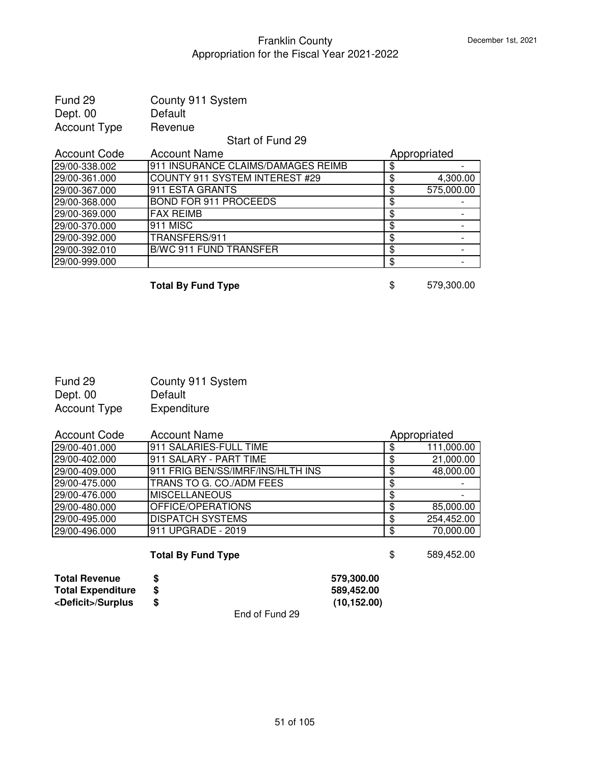| Fund 29<br>Dept. 00 | County 911 System<br>Default       |              |            |
|---------------------|------------------------------------|--------------|------------|
|                     |                                    |              |            |
| <b>Account Type</b> | Revenue                            |              |            |
|                     | Start of Fund 29                   |              |            |
| <b>Account Code</b> | <b>Account Name</b>                | Appropriated |            |
| 29/00-338.002       | 911 INSURANCE CLAIMS/DAMAGES REIMB | \$           |            |
| 29/00-361.000       | COUNTY 911 SYSTEM INTEREST #29     | \$           | 4,300.00   |
| 29/00-367.000       | 911 ESTA GRANTS                    | \$           | 575,000.00 |
| 29/00-368.000       | <b>BOND FOR 911 PROCEEDS</b>       | \$           |            |
| 29/00-369.000       | <b>FAX REIMB</b>                   | \$           |            |
| 29/00-370.000       | 911 MISC                           | \$           |            |
| 29/00-392.000       | TRANSFERS/911                      | \$           |            |
| 29/00-392.010       | <b>B/WC 911 FUND TRANSFER</b>      | \$           |            |
| 29/00-999.000       |                                    | \$           |            |

**Total By Fund Type 6 679,300.00** 

| Fund 29             | County 911 System |
|---------------------|-------------------|
| Dept. 00            | Default           |
| <b>Account Type</b> | Expenditure       |

| <b>Account Code</b> | <b>Account Name</b>               |     | Appropriated |
|---------------------|-----------------------------------|-----|--------------|
| 29/00-401.000       | 911 SALARIES-FULL TIME            |     | 111,000.00   |
| 29/00-402.000       | 911 SALARY - PART TIME            |     | 21,000.00    |
| 29/00-409.000       | 911 FRIG BEN/SS/IMRF/INS/HLTH INS |     | 48,000.00    |
| 29/00-475.000       | TRANS TO G. CO./ADM FEES          | S   |              |
| 29/00-476.000       | <b>MISCELLANEOUS</b>              |     |              |
| 29/00-480.000       | OFFICE/OPERATIONS                 |     | 85,000.00    |
| 29/00-495.000       | <b>DISPATCH SYSTEMS</b>           | -SS | 254,452.00   |
| 29/00-496.000       | 911 UPGRADE - 2019                | -S  | 70,000.00    |

**Total By Fund Type 8 689,452.00** 

| <b>Total Revenue</b>        |                | 579.300.00   |
|-----------------------------|----------------|--------------|
| <b>Total Expenditure</b>    |                | 589.452.00   |
| <deficit>/Surplus</deficit> |                | (10, 152.00) |
|                             | End of Fund 29 |              |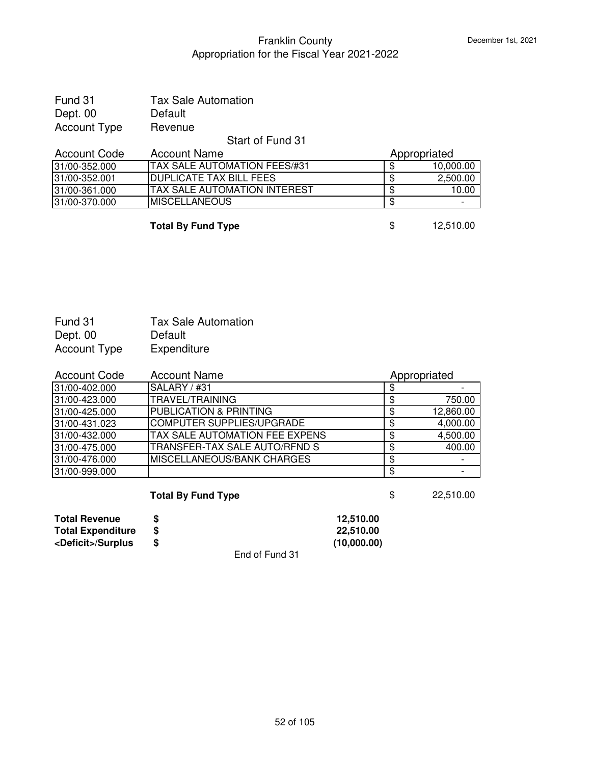| Fund 31      | <b>Tax Sale Automation</b> |
|--------------|----------------------------|
| Dept. 00     | Default                    |
| Account Type | Revenue                    |

Start of Fund 31

| Account Code  | <b>Account Name</b>                  | Appropriated |           |
|---------------|--------------------------------------|--------------|-----------|
| 31/00-352.000 | <b>ITAX SALE AUTOMATION FEES/#31</b> |              | 10,000.00 |
| 31/00-352.001 | <b>IDUPLICATE TAX BILL FEES</b>      |              | 2,500.00  |
| 31/00-361.000 | <b>ITAX SALE AUTOMATION INTEREST</b> |              | 10.00     |
| 31/00-370.000 | <b>IMISCELLANEOUS</b>                |              | -         |
|               |                                      |              |           |

**Total By Fund Type** \$ 12,510.00

| Fund 31             | <b>Tax Sale Automation</b> |
|---------------------|----------------------------|
| Dept. 00            | Default                    |
| <b>Account Type</b> | Expenditure                |

| <b>Account Code</b> | <b>Account Name</b>                   | Appropriated |
|---------------------|---------------------------------------|--------------|
| 31/00-402.000       | SALARY / #31                          |              |
| 31/00-423.000       | TRAVEL/TRAINING                       | 750.00       |
| 31/00-425.000       | <b>PUBLICATION &amp; PRINTING</b>     | 12,860.00    |
| 31/00-431.023       | <b>COMPUTER SUPPLIES/UPGRADE</b>      | 4,000.00     |
| 31/00-432.000       | <b>TAX SALE AUTOMATION FEE EXPENS</b> | 4,500.00     |
| 31/00-475.000       | TRANSFER-TAX SALE AUTO/RFND S         | 400.00       |
| 31/00-476.000       | <b>IMISCELLANEOUS/BANK CHARGES</b>    |              |
| 31/00-999.000       |                                       |              |

**Total By Fund Type \$** 22,510.00

| <b>Total Revenue</b>        |                | 12.510.00   |
|-----------------------------|----------------|-------------|
| Total Expenditure           |                | 22.510.00   |
| <deficit>/Surplus</deficit> |                | (10,000.00) |
|                             | End of Fund 31 |             |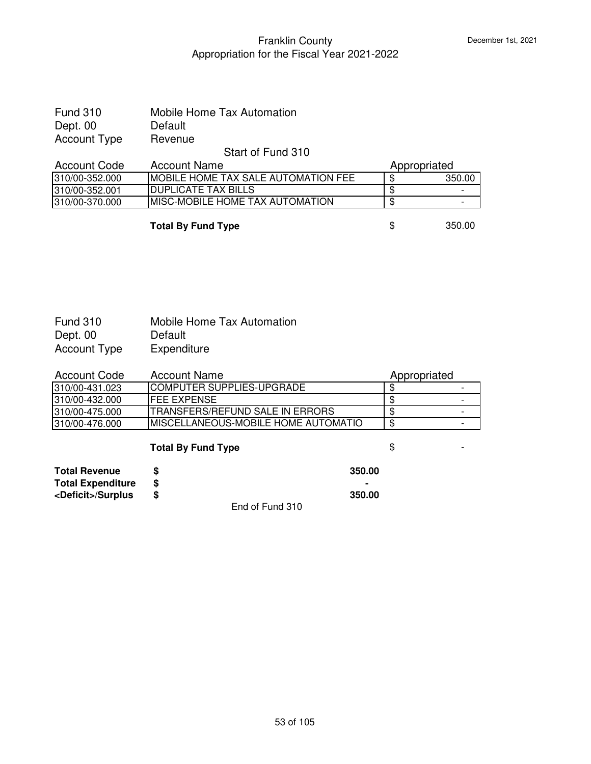| <b>Fund 310</b> | Mobile Home Tax Automation |
|-----------------|----------------------------|
| Dept. 00        | Default                    |
| Account Type    | Revenue                    |

### Start of Fund 310

| Account Code<br>Account Name                                   | Appropriated |
|----------------------------------------------------------------|--------------|
| <b>IMOBILE HOME TAX SALE AUTOMATION FEE</b><br>1310/00-352.000 | 350.0C       |
| IDUPLICATE TAX BILLS<br>1310/00-352.001                        | -            |
| IMISC-MOBILE HOME TAX AUTOMATION<br>1310/00-370.000            |              |

**Total By Fund Type \$** 350.00

| <b>Fund 310</b> | <b>Mobile Home Tax Automation</b> |
|-----------------|-----------------------------------|
| Dept. 00        | Default                           |
| Account Type    | Expenditure                       |

| <b>Account Code</b> | Account Name                         | Appropriated |  |
|---------------------|--------------------------------------|--------------|--|
| l310/00-431.023     | <b>ICOMPUTER SUPPLIES-UPGRADE</b>    |              |  |
| 310/00-432.000      | IFEE EXPENSE                         |              |  |
| 310/00-475.000      | TRANSFERS/REFUND SALE IN ERRORS      |              |  |
| 310/00-476.000      | IMISCELLANEOUS-MOBILE HOME AUTOMATIO |              |  |

# **Total By Fund Type**  $\qquad$  $\qquad$  $\qquad$  $\qquad$  $\qquad$  **-**

| Total Revenue               |                 | 350.00 |
|-----------------------------|-----------------|--------|
| <b>Total Expenditure</b>    |                 |        |
| <deficit>/Surplus</deficit> |                 | 350.00 |
|                             | End of Fund 310 |        |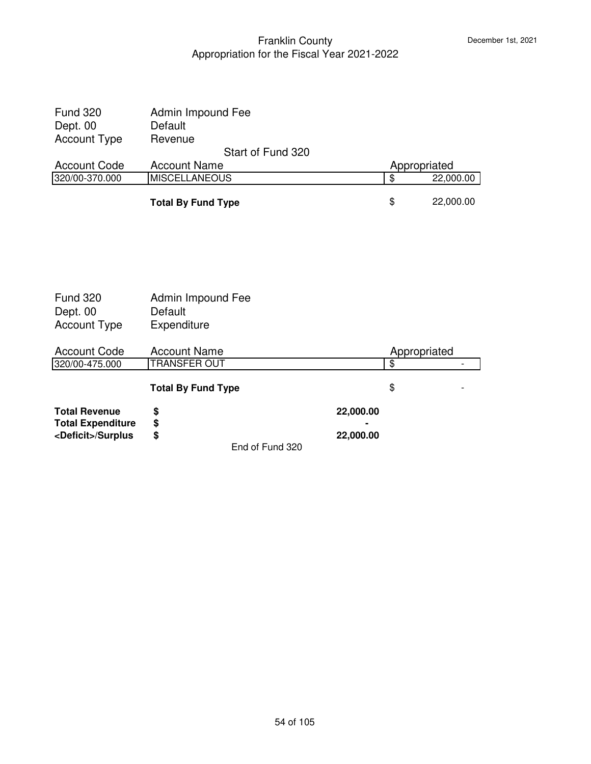| <b>Fund 320</b><br>Dept. 00<br><b>Account Type</b> | Admin Impound Fee<br>Default<br>Revenue  |           |                                 |           |
|----------------------------------------------------|------------------------------------------|-----------|---------------------------------|-----------|
| <b>Account Code</b>                                | Start of Fund 320<br><b>Account Name</b> |           |                                 |           |
| 320/00-370.000                                     | <b>MISCELLANEOUS</b>                     |           | Appropriated<br>$\overline{\$}$ | 22,000.00 |
|                                                    | <b>Total By Fund Type</b>                |           | \$                              | 22,000.00 |
|                                                    |                                          |           |                                 |           |
|                                                    |                                          |           |                                 |           |
| <b>Fund 320</b>                                    | Admin Impound Fee                        |           |                                 |           |
| Dept. 00                                           | Default                                  |           |                                 |           |
| <b>Account Type</b>                                | Expenditure                              |           |                                 |           |
| <b>Account Code</b>                                | <b>Account Name</b>                      |           | Appropriated                    |           |
| 320/00-475.000                                     | <b>TRANSFER OUT</b>                      |           | $\overline{\mathbf{e}}$         |           |
|                                                    | <b>Total By Fund Type</b>                |           | \$                              |           |
| <b>Total Revenue</b>                               | \$                                       | 22,000.00 |                                 |           |

End of Fund 320

**Total Expenditure \$ - <Deficit>/Surplus \$ 22,000.00**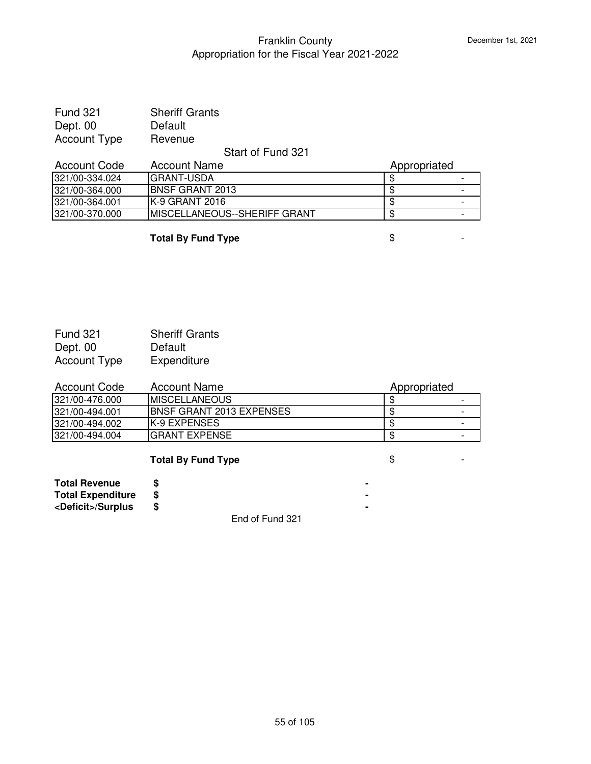| <b>Fund 321</b>     | <b>Sheriff Grants</b> |
|---------------------|-----------------------|
| Dept. 00            | Default               |
| <b>Account Type</b> | Revenue               |

### Start of Fund 321

| Account Code    | <b>Account Name</b>                  | Appropriated |   |
|-----------------|--------------------------------------|--------------|---|
| 321/00-334.024  | IGRANT-USDA                          |              |   |
| 321/00-364.000  | <b>IBNSF GRANT 2013</b>              |              | - |
| 1321/00-364.001 | IK-9 GRANT 2016                      |              |   |
| 321/00-370.000  | <b>IMISCELLANEOUS--SHERIFF GRANT</b> |              | - |

**Total By Fund Type**  $\qquad$  $\qquad$  $\qquad$  $\qquad$  $\qquad$  $\qquad$  $\qquad$  $\qquad$  $\qquad$  $\qquad$  $\qquad$  $\qquad$  $\qquad$  $\qquad$  $\qquad$  $\qquad$  $\qquad$  $\qquad$  $\qquad$  $\qquad$  $\qquad$  $\qquad$  $\qquad$  $\qquad$  $\qquad$  $\qquad$  $\qquad$  $\qquad$  $\qquad$  $\qquad$  $\qquad$  $\qquad$  $\qquad$  **\qquad** 

| <b>Fund 321</b>     | <b>Sheriff Grants</b> |
|---------------------|-----------------------|
| Dept. 00            | Default               |
| <b>Account Type</b> | Expenditure           |

| Account Code    | <b>Account Name</b>      | Appropriated |                          |
|-----------------|--------------------------|--------------|--------------------------|
| l321/00-476.000 | IMISCELLANEOUS           |              | $\overline{\phantom{0}}$ |
| l321/00-494.001 | BNSF GRANT 2013 EXPENSES |              |                          |
| l321/00-494.002 | IK-9 EXPENSES            |              |                          |
| 321/00-494.004  | IGRANT EXPENSE           |              |                          |

# **Total By Fund Type**  $\qquad$  $\qquad$  $\qquad$  $\qquad$  $\qquad$  **-**

| <b>Total Revenue</b>        |                 |  |
|-----------------------------|-----------------|--|
| <b>Total Expenditure</b>    |                 |  |
| <deficit>/Surplus</deficit> |                 |  |
|                             | End of Fund 321 |  |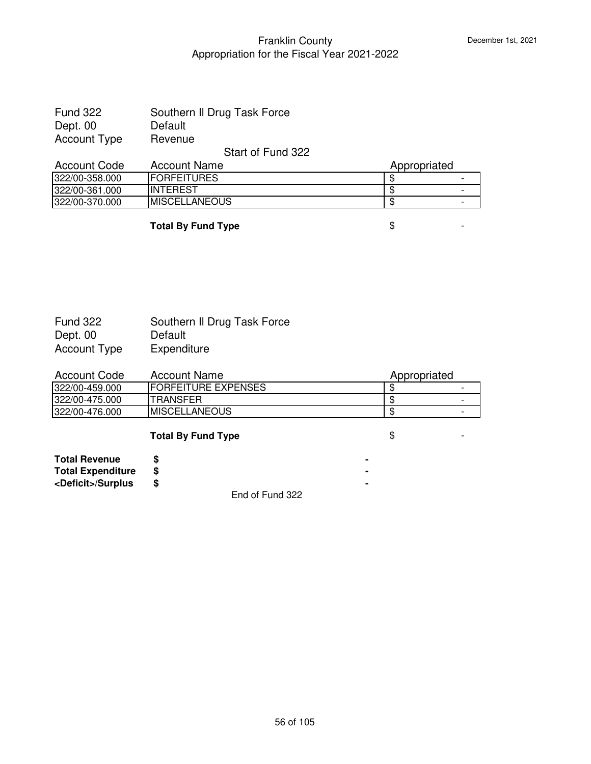| <b>Fund 322</b> | Southern II Drug Task Force |
|-----------------|-----------------------------|
| Dept. 00        | Default                     |
| Account Type    | Revenue                     |

### Start of Fund 322

| <b>Account Code</b> | <b>Account Name</b>   | Appropriated |   |
|---------------------|-----------------------|--------------|---|
| 322/00-358.000      | <b>IFORFEITURES</b>   |              |   |
| 322/00-361.000      | <b>INTEREST</b>       |              |   |
| 322/00-370.000      | <b>IMISCELLANEOUS</b> |              | - |

**Total By Fund Type**  $\qquad$  $\qquad$  $\qquad$  $\qquad$  $\qquad$ 

| <b>Fund 322</b> | Southern II Drug Task Force |
|-----------------|-----------------------------|
| Dept. 00        | Default                     |
| Account Type    | Expenditure                 |

| Account Code    | Account Name               | Appropriated |
|-----------------|----------------------------|--------------|
| l322/00-459.000 | <b>FORFEITURE EXPENSES</b> | -            |
| l322/00-475.000 | ITRANSFER                  | -            |
| l322/00-476.000 | <b>IMISCELLANEOUS</b>      | -            |

# **Total By Fund Type**  $\qquad$  **\$**

**Total Revenue \$ - Total Expenditure \$ - <Deficit>/Surplus \$ -**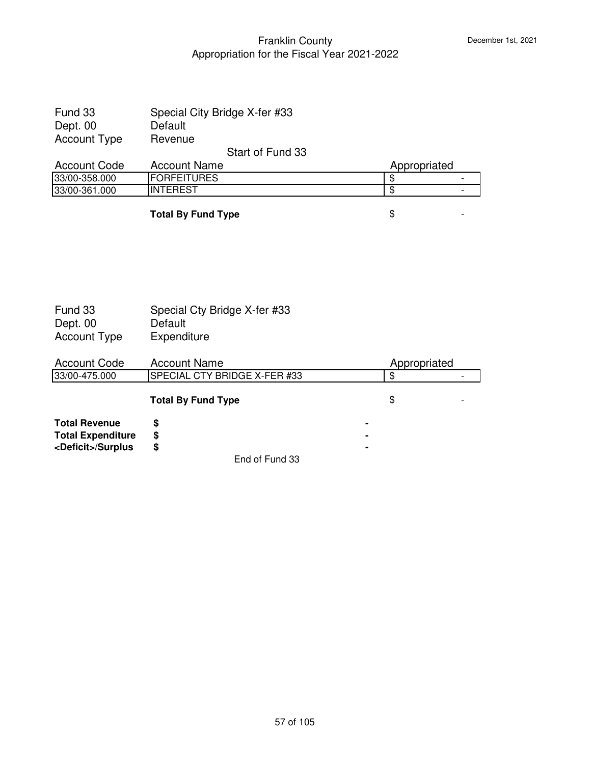| Fund 33             | Special City Bridge X-fer #33 |              |  |
|---------------------|-------------------------------|--------------|--|
| Dept. 00            | Default                       |              |  |
| <b>Account Type</b> | Revenue                       |              |  |
|                     | Start of Fund 33              |              |  |
| <b>Account Code</b> | <b>Account Name</b>           | Appropriated |  |
| 33/00-358.000       | <b>FORFEITURES</b>            |              |  |
| 33/00-361.000       | <b>INTEREST</b>               |              |  |

**Total By Fund Type**  $\qquad$  $\qquad$  $\qquad$  $\qquad$  $\qquad$  **-**

| Fund 33<br>Dept. 00         | Special Cty Bridge X-fer #33<br>Default |              |
|-----------------------------|-----------------------------------------|--------------|
| <b>Account Type</b>         | Expenditure                             |              |
| <b>Account Code</b>         | <b>Account Name</b>                     | Appropriated |
| 33/00-475.000               | SPECIAL CTY BRIDGE X-FER #33            | \$           |
|                             | <b>Total By Fund Type</b>               | \$           |
| <b>Total Revenue</b>        | \$                                      |              |
| <b>Total Expenditure</b>    | \$                                      |              |
| <deficit>/Surplus</deficit> | \$                                      |              |
|                             | End of Fund 33                          |              |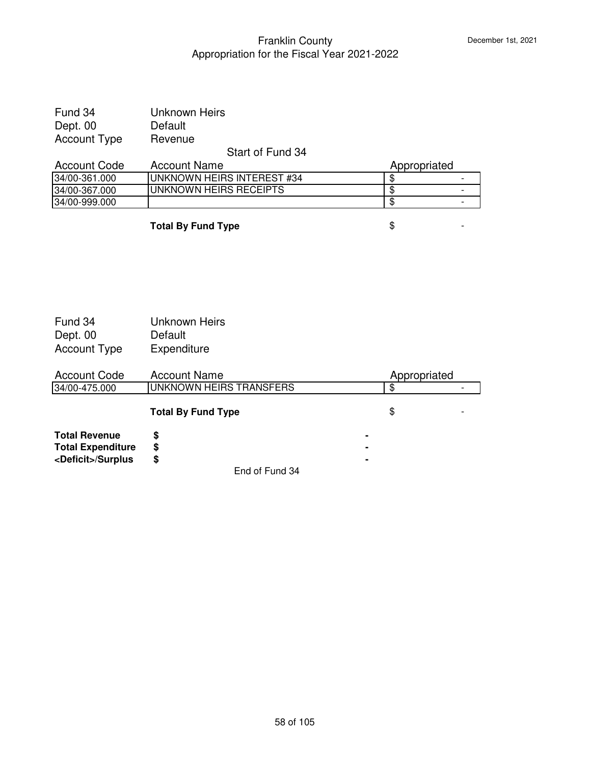| Fund 34             | Unknown Heirs              |              |  |
|---------------------|----------------------------|--------------|--|
| Dept. 00            | Default                    |              |  |
| <b>Account Type</b> | Revenue                    |              |  |
|                     | Start of Fund 34           |              |  |
| <b>Account Code</b> | <b>Account Name</b>        | Appropriated |  |
| 34/00-361.000       | UNKNOWN HEIRS INTEREST #34 | \$.          |  |
| 34/00-367.000       | UNKNOWN HEIRS RECEIPTS     | \$           |  |
| 34/00-999.000       |                            | \$           |  |

**Total By Fund Type**  $\qquad$  $\qquad$  $\qquad$  $\qquad$  $\qquad$  $\qquad$  **-**

| Fund 34<br>Dept. 00<br><b>Account Type</b> | Unknown Heirs<br>Default<br>Expenditure |                |              |  |
|--------------------------------------------|-----------------------------------------|----------------|--------------|--|
| <b>Account Code</b>                        | <b>Account Name</b>                     |                | Appropriated |  |
| 34/00-475.000                              | UNKNOWN HEIRS TRANSFERS                 |                | \$           |  |
|                                            | <b>Total By Fund Type</b>               |                | \$           |  |
| <b>Total Revenue</b>                       | \$                                      | $\blacksquare$ |              |  |
| <b>Total Expenditure</b>                   | \$                                      | $\blacksquare$ |              |  |
| <deficit>/Surplus</deficit>                | \$                                      |                |              |  |
|                                            | _ _ . _ .                               |                |              |  |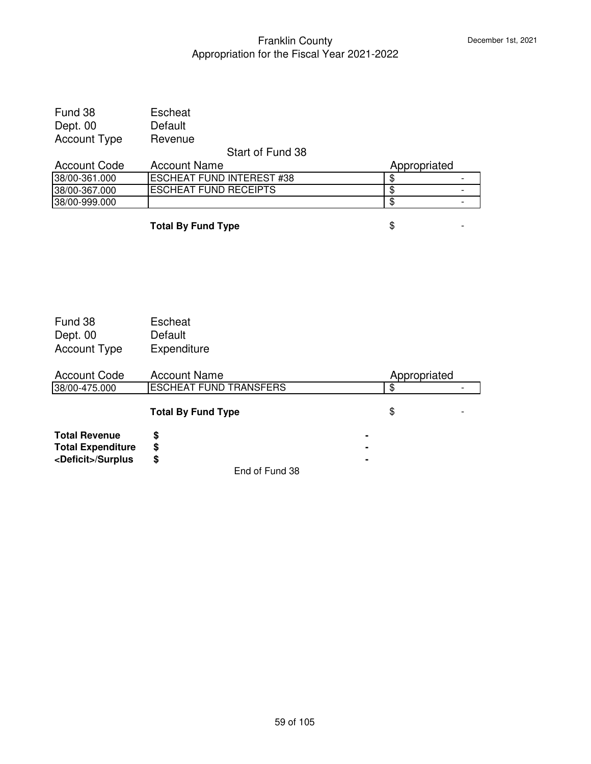| Fund 38             | Escheat                          |              |  |
|---------------------|----------------------------------|--------------|--|
| Dept. 00            | Default                          |              |  |
| <b>Account Type</b> | Revenue                          |              |  |
|                     | Start of Fund 38                 |              |  |
|                     |                                  |              |  |
| <b>Account Code</b> | <b>Account Name</b>              | Appropriated |  |
| 38/00-361.000       | <b>ESCHEAT FUND INTEREST #38</b> |              |  |
| 38/00-367.000       | <b>ESCHEAT FUND RECEIPTS</b>     |              |  |

**Total By Fund Type**  $\qquad$  $\qquad$  $\qquad$  $\qquad$  $\qquad$  **-**

| Fund 38             | Escheat     |
|---------------------|-------------|
| Dept. 00            | Default     |
| <b>Account Type</b> | Expenditure |

| <b>Account Code</b>                              | <b>Account Name</b>           | Appropriated        |  |
|--------------------------------------------------|-------------------------------|---------------------|--|
| 38/00-475.000                                    | <b>ESCHEAT FUND TRANSFERS</b> |                     |  |
|                                                  | <b>Total By Fund Type</b>     | \$                  |  |
| <b>Total Revenue</b><br><b>Total Expenditure</b> | S<br>S                        | ٠<br>$\blacksquare$ |  |
| <deficit>/Surplus</deficit>                      | S                             | ٠                   |  |
|                                                  | End of Fund 38                |                     |  |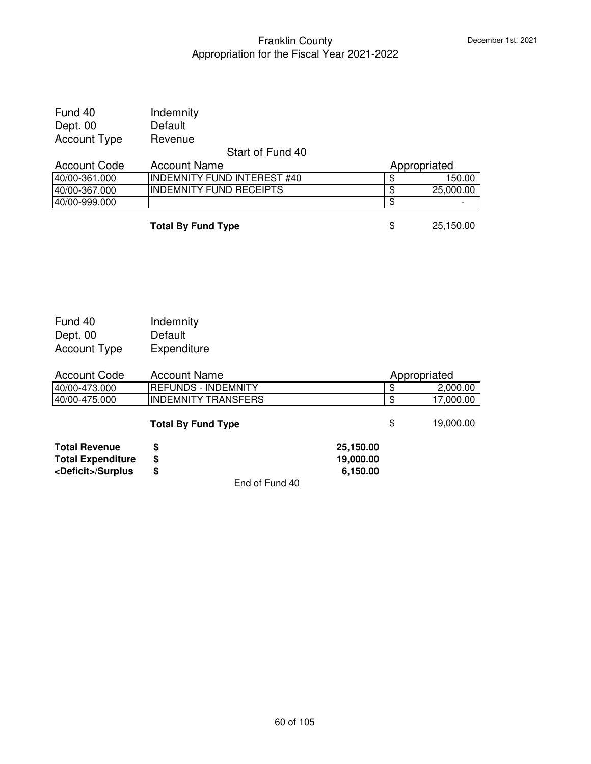| Fund 40<br>Dept. 00 | Indemnity<br>Default               |   |              |
|---------------------|------------------------------------|---|--------------|
| <b>Account Type</b> | Revenue                            |   |              |
|                     | Start of Fund 40                   |   |              |
| <b>Account Code</b> | <b>Account Name</b>                |   | Appropriated |
| 40/00-361.000       | <b>INDEMNITY FUND INTEREST #40</b> | S | 150.00       |
| 40/00-367.000       | <b>INDEMNITY FUND RECEIPTS</b>     | S | 25,000.00    |
| 40/00-999.000       |                                    | S |              |
|                     |                                    |   |              |

**Total By Fund Type 8 35,150.00** 

| Fund 40             | Indemnity   |
|---------------------|-------------|
| Dept. 00            | Default     |
| <b>Account Type</b> | Expenditure |

| <b>Account Code</b>         | <b>Account Name</b>        |           | Appropriated |           |
|-----------------------------|----------------------------|-----------|--------------|-----------|
| 40/00-473.000               | <b>REFUNDS - INDEMNITY</b> |           | \$           | 2,000.00  |
| 40/00-475.000               | <b>INDEMNITY TRANSFERS</b> |           | \$           | 17,000.00 |
|                             | <b>Total By Fund Type</b>  |           | \$           | 19,000.00 |
| <b>Total Revenue</b>        | S                          | 25,150.00 |              |           |
| <b>Total Expenditure</b>    | \$                         | 19,000.00 |              |           |
| <deficit>/Surplus</deficit> | \$                         | 6,150.00  |              |           |
|                             | End of Fund 40             |           |              |           |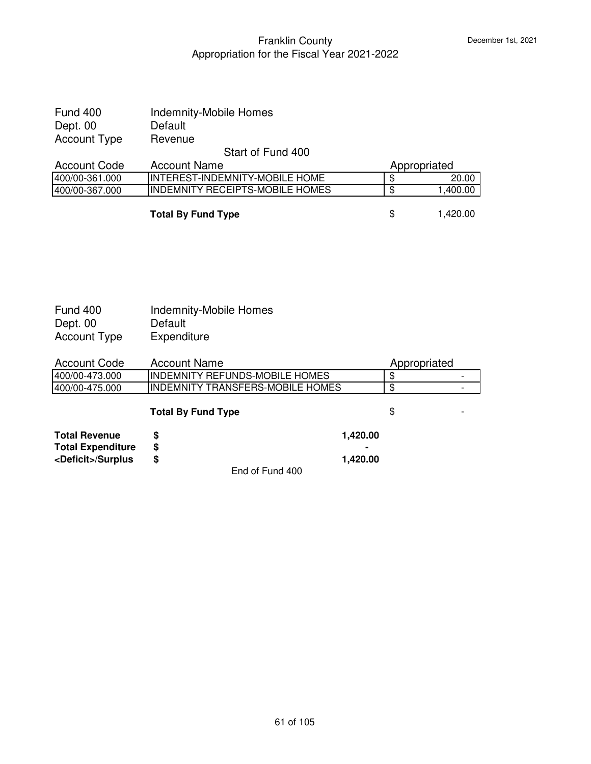| Fund 400            | <b>Indemnity-Mobile Homes</b>          |                |
|---------------------|----------------------------------------|----------------|
| Dept. 00            | Default                                |                |
| <b>Account Type</b> | Revenue                                |                |
|                     | Start of Fund 400                      |                |
| <b>Account Code</b> | <b>Account Name</b>                    | Appropriated   |
| 400/00-361.000      | INTEREST-INDEMNITY-MOBILE HOME         | \$<br>20.00    |
| 400/00-367.000      | <b>INDEMNITY RECEIPTS-MOBILE HOMES</b> | \$<br>1,400.00 |
|                     |                                        |                |
|                     | <b>Total By Fund Type</b>              | \$<br>1,420.00 |

| <b>Fund 400</b><br>Dept. 00<br><b>Account Type</b> | <b>Indemnity-Mobile Homes</b><br>Default<br>Expenditure |          |              |  |
|----------------------------------------------------|---------------------------------------------------------|----------|--------------|--|
| <b>Account Code</b>                                | <b>Account Name</b>                                     |          | Appropriated |  |
| 400/00-473.000                                     | INDEMNITY REFUNDS-MOBILE HOMES                          |          | \$           |  |
| 400/00-475.000                                     | <b>INDEMNITY TRANSFERS-MOBILE HOMES</b>                 |          | \$           |  |
|                                                    | <b>Total By Fund Type</b>                               |          | \$           |  |
| <b>Total Revenue</b>                               | \$                                                      | 1,420.00 |              |  |
| <b>Total Expenditure</b>                           | \$                                                      |          |              |  |
| <deficit>/Surplus</deficit>                        | \$                                                      | 1,420.00 |              |  |
|                                                    | End of Fund 400                                         |          |              |  |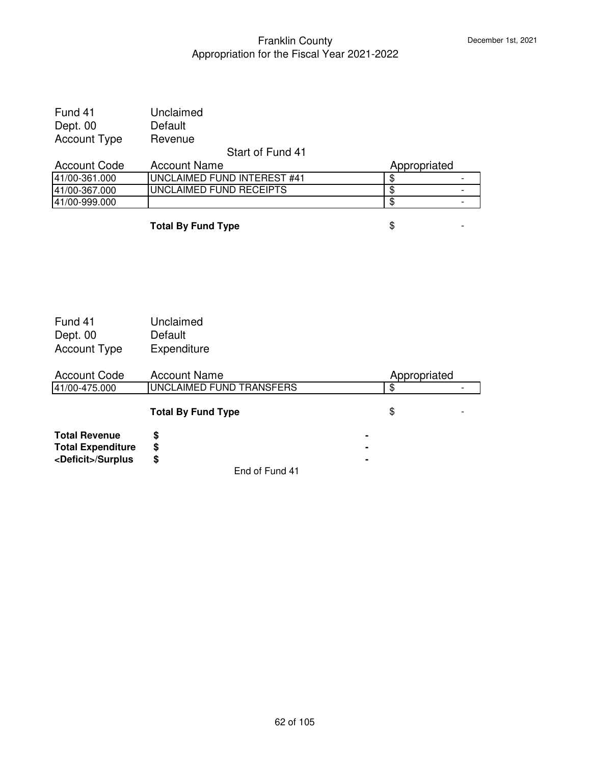| Fund 41             | Unclaimed                          |              |  |
|---------------------|------------------------------------|--------------|--|
| Dept. 00            | Default                            |              |  |
| <b>Account Type</b> | Revenue                            |              |  |
|                     | Start of Fund 41                   |              |  |
| <b>Account Code</b> | <b>Account Name</b>                | Appropriated |  |
| 41/00-361.000       | <b>UNCLAIMED FUND INTEREST #41</b> |              |  |
| 41/00-367.000       | UNCLAIMED FUND RECEIPTS            |              |  |
| 41/00-999.000       |                                    |              |  |

**Total By Fund Type**  $\qquad$  $\qquad$  $\qquad$  $\qquad$  $\qquad$  **-**

| Fund 41             | Unclaimed   |
|---------------------|-------------|
| Dept. 00            | Default     |
| <b>Account Type</b> | Expenditure |

| <b>Account Code</b>         | <b>Account Name</b>       | Appropriated   |  |
|-----------------------------|---------------------------|----------------|--|
| 41/00-475.000               | UNCLAIMED FUND TRANSFERS  | \$             |  |
|                             | <b>Total By Fund Type</b> | \$             |  |
| <b>Total Revenue</b>        | S                         |                |  |
| <b>Total Expenditure</b>    | \$                        |                |  |
| <deficit>/Surplus</deficit> | \$                        | $\blacksquare$ |  |
|                             | End of Fund 41            |                |  |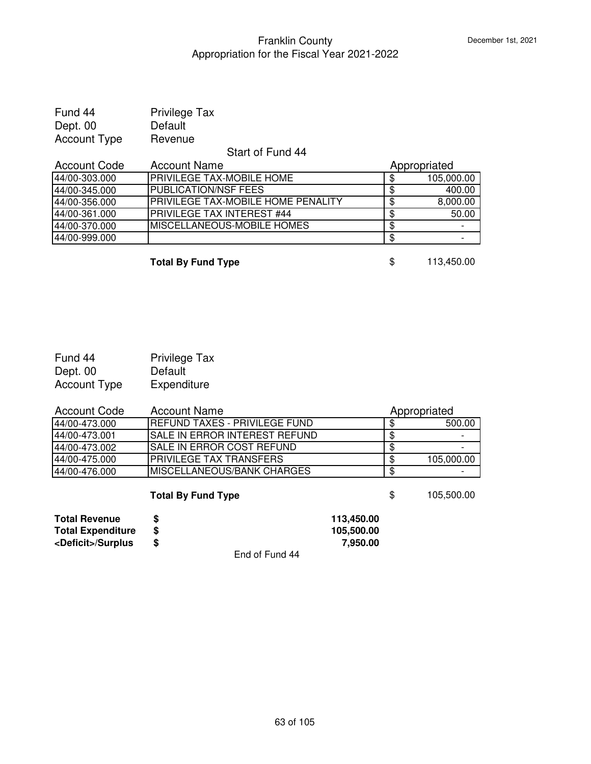| Fund 44             | Privilege Tax                      |    |              |
|---------------------|------------------------------------|----|--------------|
| Dept. 00            | Default                            |    |              |
| <b>Account Type</b> | Revenue                            |    |              |
|                     | Start of Fund 44                   |    |              |
| <b>Account Code</b> | <b>Account Name</b>                |    | Appropriated |
| 44/00-303.000       | PRIVILEGE TAX-MOBILE HOME          | \$ | 105,000.00   |
| 44/00-345.000       | <b>PUBLICATION/NSF FEES</b>        | \$ | 400.00       |
| 44/00-356.000       | PRIVILEGE TAX-MOBILE HOME PENALITY | \$ | 8,000.00     |
| 44/00-361.000       | PRIVILEGE TAX INTEREST #44         | S  | 50.00        |
| 44/00-370.000       | <b>MISCELLANEOUS-MOBILE HOMES</b>  | \$ |              |
| 44/00-999.000       |                                    | \$ |              |

**Total By Fund Type** \$ 113,450.00

| Fund 44             | <b>Privilege Tax</b> |
|---------------------|----------------------|
| Dept. 00            | Default              |
| <b>Account Type</b> | Expenditure          |

| <b>Account Code</b> | <b>Account Name</b>                  |    | Appropriated |
|---------------------|--------------------------------------|----|--------------|
| 44/00-473.000       | <b>REFUND TAXES - PRIVILEGE FUND</b> |    | 500.00       |
| 44/00-473.001       | <b>SALE IN ERROR INTEREST REFUND</b> |    |              |
| 44/00-473.002       | SALE IN ERROR COST REFUND            | Œ  |              |
| 44/00-475.000       | PRIVILEGE TAX TRANSFERS              |    | 105,000.00   |
| 44/00-476.000       | <b>IMISCELLANEOUS/BANK CHARGES</b>   |    |              |
|                     | <b>Total By Fund Type</b>            | \$ | 105,500.00   |

| <b>Total Revenue</b>        |   |                | 113.450.00 |
|-----------------------------|---|----------------|------------|
| <b>Total Expenditure</b>    |   |                | 105.500.00 |
| <deficit>/Surplus</deficit> | S |                | 7.950.00   |
|                             |   | End of Fund 44 |            |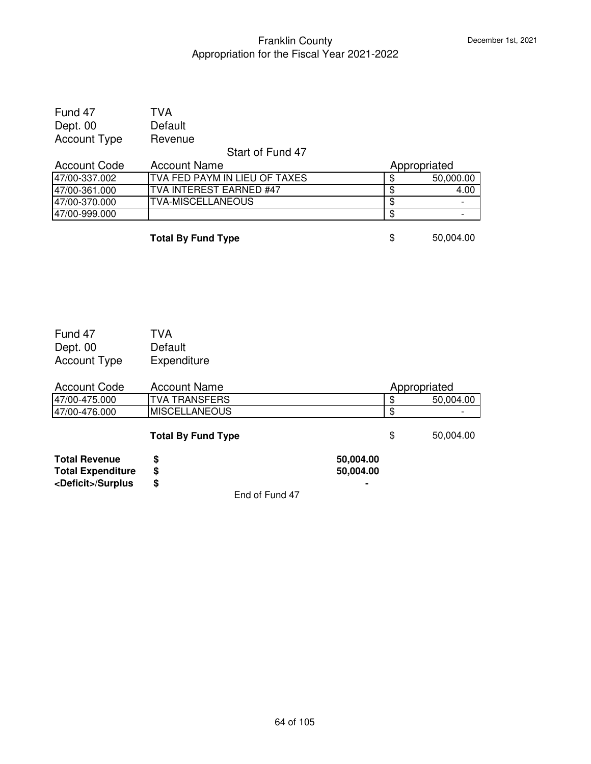| Fund 47             | TVA     |
|---------------------|---------|
| Dept. 00            | Default |
| <b>Account Type</b> | Revenue |

#### Start of Fund 47

| <b>Account Code</b> | <b>Account Name</b>            | Appropriated |           |
|---------------------|--------------------------------|--------------|-----------|
| 47/00-337.002       | ITVA FED PAYM IN LIEU OF TAXES |              | 50,000.00 |
| 47/00-361.000       | ITVA INTEREST EARNED #47       |              | 4.00      |
| 47/00-370.000       | <b>TVA-MISCELLANEOUS</b>       |              | -         |
| 47/00-999.000       |                                |              | -         |

**Total By Fund Type**  $$50,004.00$ 

| Fund 47             | TVA         |
|---------------------|-------------|
| Dept. 00            | Default     |
| <b>Account Type</b> | Expenditure |

| <b>Account Code</b>       | <b>Account Name</b>       |            | Appropriated |
|---------------------------|---------------------------|------------|--------------|
| 47/00-475.000             | <b>ITVA TRANSFERS</b>     |            | 50,004.00    |
| 47/00-476.000             | IMISCELLANEOUS            |            |              |
|                           | <b>Total By Fund Type</b> | \$.        | 50,004.00    |
| <b>Total Revenue</b>      | S                         | 50,004.00  |              |
| <b>Tatal Fondandition</b> | æ                         | EO OO 4 OO |              |

**Total Expenditure \$ 50,004.00 <Deficit>/Surplus \$ -**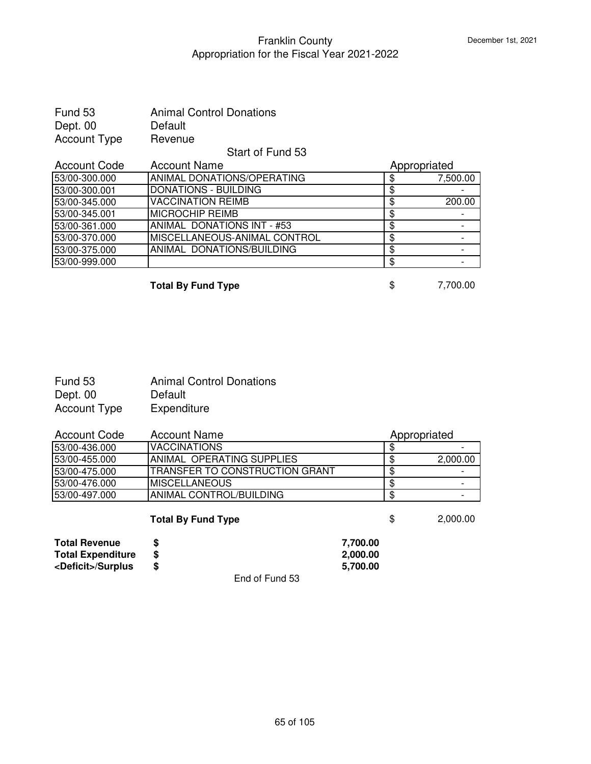| Fund 53             | <b>Animal Control Donations</b> |                |
|---------------------|---------------------------------|----------------|
| Dept. 00            | Default                         |                |
| <b>Account Type</b> | Revenue                         |                |
|                     | Start of Fund 53                |                |
| <b>Account Code</b> | <b>Account Name</b>             | Appropriated   |
| 53/00-300.000       | ANIMAL DONATIONS/OPERATING      | \$<br>7,500.00 |
| 53/00-300.001       | <b>DONATIONS - BUILDING</b>     | \$             |
| 53/00-345.000       | <b>VACCINATION REIMB</b>        | \$<br>200.00   |
| 53/00-345.001       | <b>MICROCHIP REIMB</b>          | \$             |
| 53/00-361.000       | ANIMAL DONATIONS INT - #53      | \$             |
| 53/00-370.000       | MISCELLANEOUS-ANIMAL CONTROL    | \$             |
| 53/00-375.000       | ANIMAL DONATIONS/BUILDING       | \$             |
| 53/00-999.000       |                                 | \$             |
|                     |                                 |                |

**Total By Fund Type**  $\qquad$  **\$** 7,700.00

| Fund 53      | <b>Animal Control Donations</b> |
|--------------|---------------------------------|
| Dept. 00     | Default                         |
| Account Type | Expenditure                     |

| Account Code  | Account Name                           | Appropriated |          |
|---------------|----------------------------------------|--------------|----------|
| 53/00-436.000 | <b>VACCINATIONS</b>                    |              |          |
| 53/00-455.000 | ANIMAL OPERATING SUPPLIES              |              | 2,000.00 |
| 53/00-475.000 | <b>ITRANSFER TO CONSTRUCTION GRANT</b> | S            |          |
| 53/00-476.000 | IMISCELLANEOUS                         |              |          |
| 53/00-497.000 | ANIMAL CONTROL/BUILDING                |              |          |

|                             | <b>Total By Fund Type</b> |          | 2,000.00 |
|-----------------------------|---------------------------|----------|----------|
| <b>Total Revenue</b>        |                           | 7.700.00 |          |
| <b>Total Expenditure</b>    | S                         | 2.000.00 |          |
| <deficit>/Surplus</deficit> | S                         | 5.700.00 |          |
|                             | -<br>- -<br>$ -$          |          |          |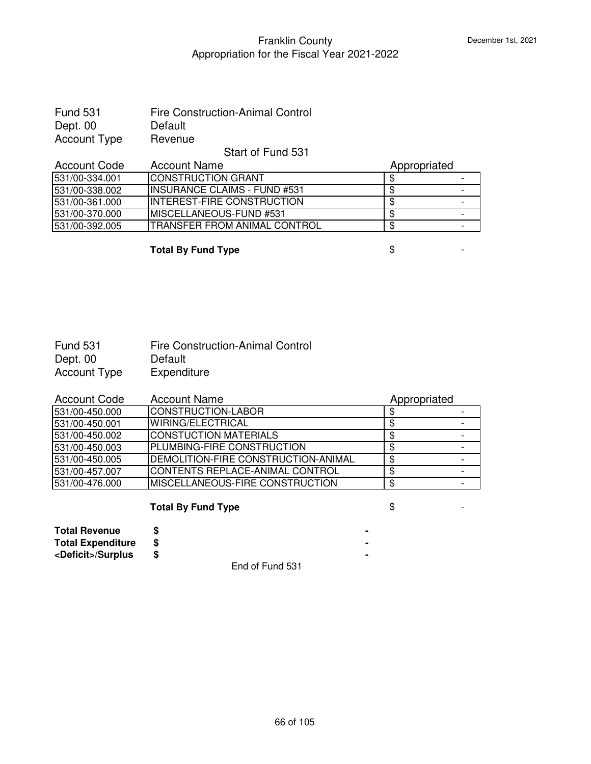| <b>Fund 531</b> | <b>Fire Construction-Animal Control</b> |
|-----------------|-----------------------------------------|
| Dept. 00        | Default                                 |
| Account Type    | Revenue                                 |

### Start of Fund 531

| <b>Account Code</b> | <b>Account Name</b>                  | Appropriated |  |
|---------------------|--------------------------------------|--------------|--|
| 531/00-334.001      | <b>ICONSTRUCTION GRANT</b>           |              |  |
| 531/00-338.002      | <b>IINSURANCE CLAIMS - FUND #531</b> |              |  |
| 531/00-361.000      | INTEREST-FIRE CONSTRUCTION           |              |  |
| 531/00-370.000      | <b>IMISCELLANEOUS-FUND #531</b>      |              |  |
| 531/00-392.005      | ITRANSFER FROM ANIMAL CONTROL        |              |  |

**Total By Fund Type**  $\qquad$  $\qquad$  $\qquad$  $\qquad$  $\qquad$  $\qquad$  $\qquad$  $\qquad$  $\qquad$  $\qquad$  $\qquad$  $\qquad$  $\qquad$  $\qquad$  $\qquad$  $\qquad$  $\qquad$  $\qquad$  $\qquad$  $\qquad$  $\qquad$  $\qquad$  $\qquad$  $\qquad$  $\qquad$  $\qquad$  $\qquad$  $\qquad$  $\qquad$  $\qquad$  $\qquad$  $\qquad$  $\qquad$  **\qquad** 

| <b>Fund 531</b> | <b>Fire Construction-Animal Control</b> |
|-----------------|-----------------------------------------|
| Dept. 00        | Default                                 |
| Account Type    | Expenditure                             |

| <b>Account Code</b> | <b>Account Name</b>                 | Appropriated |  |
|---------------------|-------------------------------------|--------------|--|
| 531/00-450.000      | CONSTRUCTION-LABOR                  |              |  |
| 531/00-450.001      | WIRING/ELECTRICAL                   |              |  |
| 531/00-450.002      | <b>CONSTUCTION MATERIALS</b>        |              |  |
| 531/00-450.003      | PLUMBING-FIRE CONSTRUCTION          |              |  |
| 531/00-450.005      | DEMOLITION-FIRE CONSTRUCTION-ANIMAL |              |  |
| 531/00-457.007      | CONTENTS REPLACE-ANIMAL CONTROL     |              |  |
| 531/00-476.000      | MISCELLANEOUS-FIRE CONSTRUCTION     |              |  |

# **Total By Fund Type**  $\qquad$  $\qquad$  $\qquad$  $\qquad$  $\qquad$  **-**

| <b>Total Revenue</b>        |  |  |  |  |
|-----------------------------|--|--|--|--|
| <b>Total Expenditure</b>    |  |  |  |  |
| <deficit>/Surplus</deficit> |  |  |  |  |
|                             |  |  |  |  |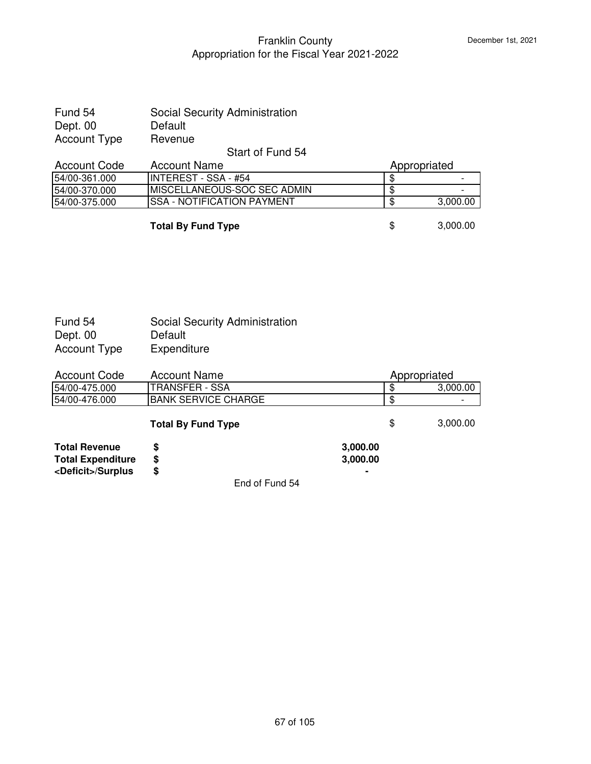| Fund 54             | Social Security Administration |
|---------------------|--------------------------------|
| Dept. 00            | Default                        |
| <b>Account Type</b> | Revenue                        |
|                     | Start of Fund 54               |

|                | <del>ט</del> נס טווט די טומוט |              |          |
|----------------|-------------------------------|--------------|----------|
| Account Code   | Account Name                  | Appropriated |          |
| 54/00-361.000  | IINTEREST - SSA - #54         |              |          |
| 154/00-370.000 | IMISCELLANEOUS-SOC SEC ADMIN  |              |          |
| 154/00-375.000 | ISSA - NOTIFICATION PAYMENT   |              | 3,000.00 |
|                |                               |              |          |

**Total By Fund Type**  $\qquad$  **\$** 3,000.00

| Fund 54      | <b>Social Security Administration</b> |
|--------------|---------------------------------------|
| Dept. 00     | Default                               |
| Account Type | Expenditure                           |

| <b>Account Code</b>                                                             | <b>Account Name</b><br>Appropriated |                      |     |          |
|---------------------------------------------------------------------------------|-------------------------------------|----------------------|-----|----------|
| 54/00-475.000                                                                   | <b>TRANSFER - SSA</b>               |                      | ß.  | 3,000.00 |
| 54/00-476.000                                                                   | <b>BANK SERVICE CHARGE</b>          |                      |     |          |
|                                                                                 | <b>Total By Fund Type</b>           |                      | \$. | 3,000.00 |
| <b>Total Revenue</b><br><b>Total Expenditure</b><br><deficit>/Surplus</deficit> | S<br>\$<br>\$                       | 3,000.00<br>3,000.00 |     |          |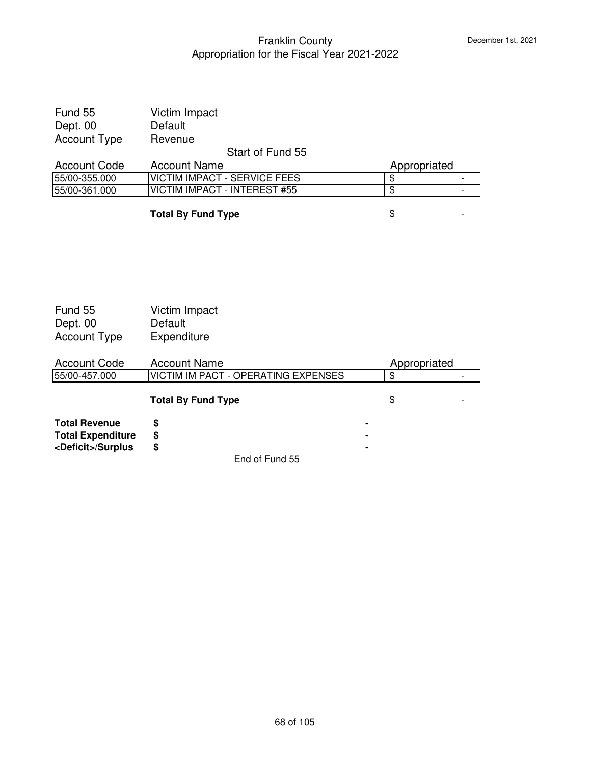| Fund 55             | Victim Impact                       |              |  |
|---------------------|-------------------------------------|--------------|--|
| Dept. 00            | Default                             |              |  |
| <b>Account Type</b> | Revenue                             |              |  |
|                     | Start of Fund 55                    |              |  |
| <b>Account Code</b> | <b>Account Name</b>                 | Appropriated |  |
| 55/00-355.000       | <b>VICTIM IMPACT - SERVICE FEES</b> | \$           |  |
| 55/00-361.000       | VICTIM IMPACT - INTEREST #55        | \$           |  |
|                     |                                     |              |  |
|                     | <b>Total By Fund Type</b>           | S            |  |

| Fund 55                     | Victim Impact                       |                |  |
|-----------------------------|-------------------------------------|----------------|--|
| Dept. 00                    | Default                             |                |  |
| <b>Account Type</b>         | Expenditure                         |                |  |
| <b>Account Code</b>         | <b>Account Name</b>                 | Appropriated   |  |
| 55/00-457.000               | VICTIM IM PACT - OPERATING EXPENSES | \$             |  |
|                             | <b>Total By Fund Type</b>           | \$             |  |
| <b>Total Revenue</b>        | \$                                  | $\blacksquare$ |  |
| <b>Total Expenditure</b>    | \$                                  | ۰              |  |
| <deficit>/Surplus</deficit> | \$                                  |                |  |
|                             | End of Fund 55                      |                |  |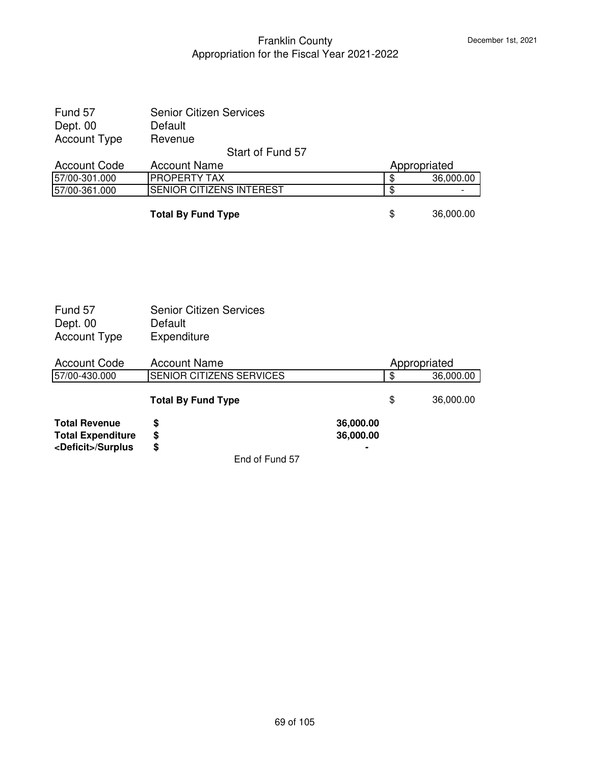| Fund 57                                                                         | <b>Senior Citizen Services</b>                           |                        |                                  |           |
|---------------------------------------------------------------------------------|----------------------------------------------------------|------------------------|----------------------------------|-----------|
| Dept. 00                                                                        | Default                                                  |                        |                                  |           |
| <b>Account Type</b>                                                             | Revenue                                                  |                        |                                  |           |
|                                                                                 | Start of Fund 57                                         |                        |                                  |           |
| <b>Account Code</b>                                                             | <b>Account Name</b>                                      |                        | Appropriated                     |           |
| 57/00-301.000                                                                   | PROPERTY TAX                                             |                        | \$                               | 36,000.00 |
| 57/00-361.000                                                                   | <b>SENIOR CITIZENS INTEREST</b>                          |                        | $\overline{\$}$                  |           |
|                                                                                 | <b>Total By Fund Type</b>                                |                        | \$                               | 36,000.00 |
|                                                                                 |                                                          |                        |                                  |           |
| Fund 57<br>Dept. 00<br><b>Account Type</b>                                      | <b>Senior Citizen Services</b><br>Default<br>Expenditure |                        |                                  |           |
| <b>Account Code</b>                                                             | <b>Account Name</b>                                      |                        | Appropriated                     |           |
| 57/00-430.000                                                                   | SENIOR CITIZENS SERVICES                                 |                        | $\overline{\boldsymbol{\theta}}$ | 36,000.00 |
|                                                                                 | <b>Total By Fund Type</b>                                |                        | \$                               | 36,000.00 |
| <b>Total Revenue</b><br><b>Total Expenditure</b><br><deficit>/Surplus</deficit> | \$<br>\$<br>\$                                           | 36,000.00<br>36,000.00 |                                  |           |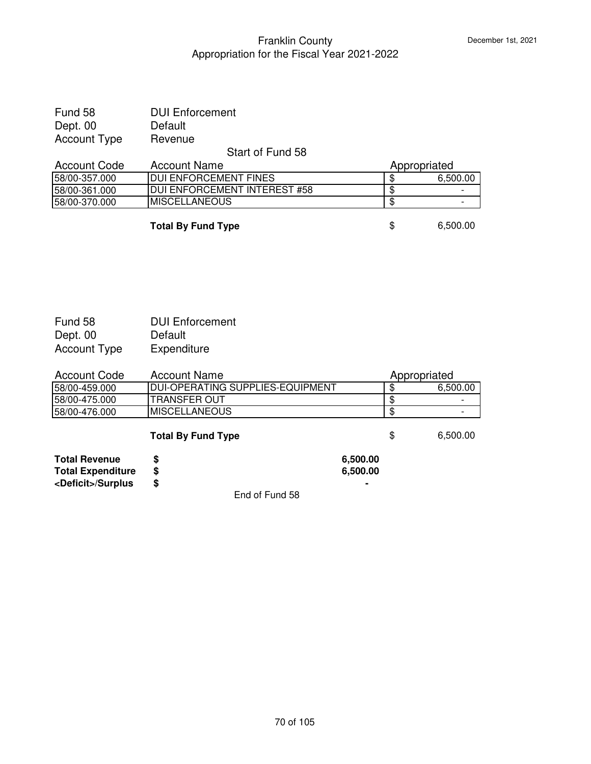| <b>DUI Enforcement</b>        |     |              |
|-------------------------------|-----|--------------|
| Default                       |     |              |
| Revenue                       |     |              |
| Start of Fund 58              |     |              |
| <b>Account Name</b>           |     | Appropriated |
| <b>IDUI ENFORCEMENT FINES</b> | \$. | 6,500.00     |
| DUI ENFORCEMENT INTEREST #58  | -SS |              |
| <b>MISCELLANEOUS</b>          | -S  |              |
|                               |     |              |

**Total By Fund Type** 6,500.00

| Fund 58             | <b>DUI Enforcement</b> |
|---------------------|------------------------|
| Dept. 00            | Default                |
| <b>Account Type</b> | Expenditure            |

| <b>Account Code</b> | Account Name                      | Appropriated |
|---------------------|-----------------------------------|--------------|
| 58/00-459.000       | IDUI-OPERATING SUPPLIES-EQUIPMENT | 6.500.00     |
| 58/00-475.000       | ITRANSFER OUT                     |              |
| 58/00-476.000       | IMISCELLANEOUS                    |              |

# **Total By Fund Type**  $\qquad$  **\$** 6,500.00

| <b>Total Revenue</b>        | 6.500.00 |
|-----------------------------|----------|
| <b>Total Expenditure</b>    | 6.500.00 |
| <deficit>/Surplus</deficit> | ۰        |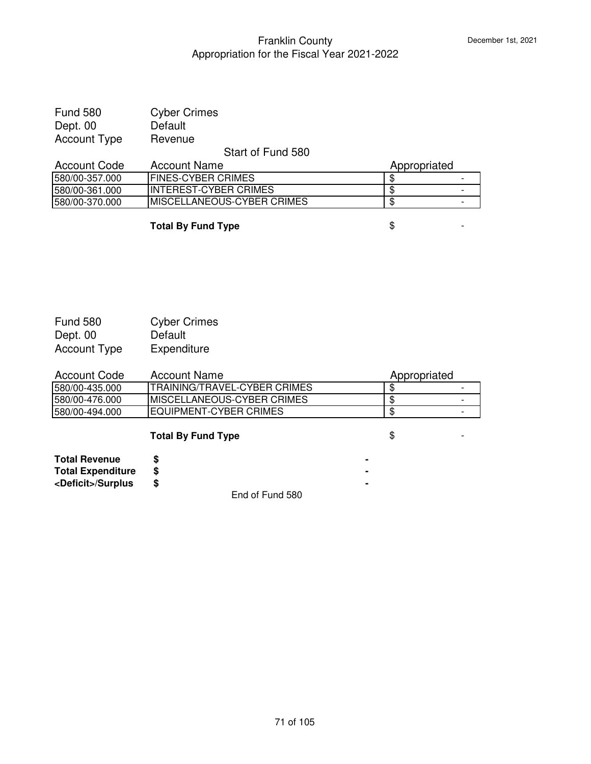| <b>Fund 580</b>     | <b>Cyber Crimes</b> |
|---------------------|---------------------|
| Dept. 00            | Default             |
| <b>Account Type</b> | Revenue             |

### Start of Fund 580

| Account Code    | Account Name                | Appropriated |   |
|-----------------|-----------------------------|--------------|---|
| 1580/00-357.000 | <b>IFINES-CYBER CRIMES</b>  |              | - |
| 1580/00-361.000 | IINTEREST-CYBER CRIMES      |              | - |
| 1580/00-370.000 | IMISCELLANEOUS-CYBER CRIMES |              | - |

**Total By Fund Type**  $\qquad$  $\qquad$  $\qquad$  $\qquad$  $\qquad$  **-**

| <b>Fund 580</b>     | <b>Cyber Crimes</b> |
|---------------------|---------------------|
| Dept. 00            | Default             |
| <b>Account Type</b> | Expenditure         |

| <b>Account Code</b> | Account Name                        | Appropriated |  |
|---------------------|-------------------------------------|--------------|--|
| 1580/00-435.000     | <b>TRAINING/TRAVEL-CYBER CRIMES</b> |              |  |
| 1580/00-476.000     | <b>IMISCELLANEOUS-CYBER CRIMES</b>  |              |  |
| 1580/00-494.000     | EQUIPMENT-CYBER CRIMES              |              |  |

# **Total By Fund Type**  $\qquad$  $\qquad$  $\qquad$  $\qquad$  $\qquad$  **-**

| <b>Total Revenue</b>        |  |
|-----------------------------|--|
| <b>Total Expenditure</b>    |  |
| <deficit>/Surplus</deficit> |  |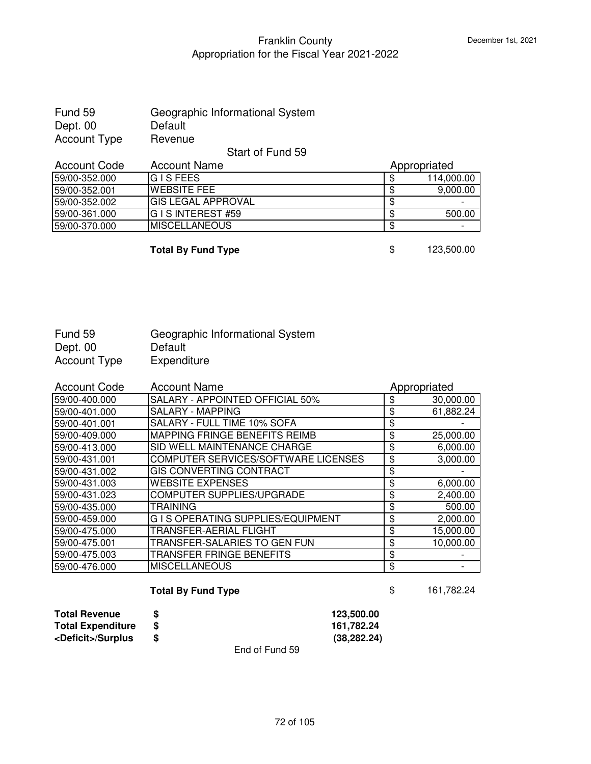| Fund 59      | Geographic Informational System |
|--------------|---------------------------------|
| Dept. 00     | Default                         |
| Account Type | Revenue                         |

Start of Fund 59

| <b>Account Name</b><br><b>Account Code</b> |                       | Appropriated |            |  |
|--------------------------------------------|-----------------------|--------------|------------|--|
| 59/00-352.000                              | IG I S FEES           |              | 114,000.00 |  |
| 59/00-352.001                              | IWEBSITE FEE          |              | 9,000.00   |  |
| 59/00-352.002                              | IGIS LEGAL APPROVAL   | Œ            |            |  |
| 59/00-361.000                              | IG I S INTEREST #59   | ۰T)          | 500.00     |  |
| 59/00-370.000                              | <b>IMISCELLANEOUS</b> | Œ            |            |  |

**Total By Fund Type** \$ 123,500.00

| Fund 59      | Geographic Informational System |
|--------------|---------------------------------|
| Dept. 00     | Default                         |
| Account Type | Expenditure                     |

| <b>Account Code</b> | <b>Account Name</b>                    | Appropriated    |
|---------------------|----------------------------------------|-----------------|
| 59/00-400.000       | <b>SALARY - APPOINTED OFFICIAL 50%</b> | \$<br>30,000.00 |
| 59/00-401.000       | <b>SALARY - MAPPING</b>                | \$<br>61,882.24 |
| 59/00-401.001       | <b>SALARY - FULL TIME 10% SOFA</b>     | \$              |
| 59/00-409.000       | IMAPPING FRINGE BENEFITS REIMB         | \$<br>25,000.00 |
| 59/00-413.000       | <b>SID WELL MAINTENANCE CHARGE</b>     | \$<br>6,000.00  |
| 59/00-431.001       | COMPUTER SERVICES/SOFTWARE LICENSES    | \$<br>3,000.00  |
| 59/00-431.002       | <b>GIS CONVERTING CONTRACT</b>         | \$              |
| 59/00-431.003       | <b>WEBSITE EXPENSES</b>                | \$<br>6,000.00  |
| 59/00-431.023       | <b>COMPUTER SUPPLIES/UPGRADE</b>       | \$<br>2,400.00  |
| 59/00-435.000       | <b>TRAINING</b>                        | \$<br>500.00    |
| 59/00-459.000       | G I S OPERATING SUPPLIES/EQUIPMENT     | \$<br>2,000.00  |
| 59/00-475.000       | TRANSFER-AERIAL FLIGHT                 | \$<br>15,000.00 |
| 59/00-475.001       | TRANSFER-SALARIES TO GEN FUN           | \$<br>10,000.00 |
| 59/00-475.003       | TRANSFER FRINGE BENEFITS               | \$              |
| 59/00-476.000       | <b>MISCELLANEOUS</b>                   | \$              |

# **Total By Fund Type**  $$ 161,782.24$

| Total Revenue               |                | 123.500.00   |
|-----------------------------|----------------|--------------|
| <b>Total Expenditure</b>    |                | 161.782.24   |
| <deficit>/Surplus</deficit> |                | (38, 282.24) |
|                             | End of Fund 59 |              |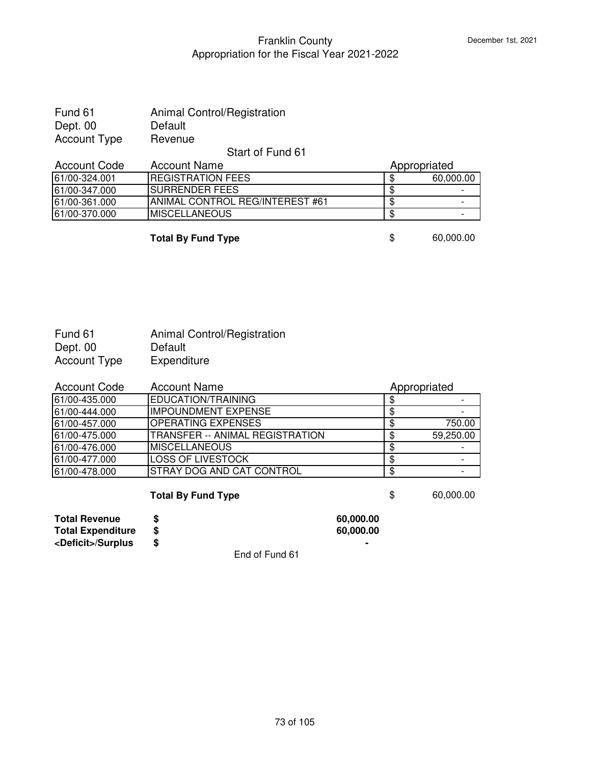| Fund 61             | <b>Animal Control/Registration</b> |
|---------------------|------------------------------------|
| Dept. 00            | Default                            |
| <b>Account Type</b> | Revenue                            |

#### Start of Fund 61

| <b>Account Code</b> | <b>Account Name</b>              | Appropriated |           |
|---------------------|----------------------------------|--------------|-----------|
| 61/00-324.001       | <b>IREGISTRATION FEES</b>        |              | 60,000.00 |
| 61/00-347.000       | ISURRENDER FEES                  |              |           |
| 61/00-361.000       | IANIMAL CONTROL REG/INTEREST #61 | ጥ            |           |
| 61/00-370.000       | <b>IMISCELLANEOUS</b>            |              | -         |

**Total By Fund Type 60,000.00** 

| Fund 61             | Animal Control/Registration |
|---------------------|-----------------------------|
| Dept. 00            | Default                     |
| <b>Account Type</b> | Expenditure                 |

| <b>Account Code</b> | <b>Account Name</b>                    | Appropriated |
|---------------------|----------------------------------------|--------------|
| 61/00-435.000       | EDUCATION/TRAINING                     |              |
| 61/00-444.000       | <b>IMPOUNDMENT EXPENSE</b>             |              |
| 61/00-457.000       | <b>OPERATING EXPENSES</b>              | 750.00       |
| 61/00-475.000       | <b>TRANSFER -- ANIMAL REGISTRATION</b> | 59,250.00    |
| 61/00-476.000       | <b>MISCELLANEOUS</b>                   |              |
| 61/00-477.000       | <b>LOSS OF LIVESTOCK</b>               |              |
| 61/00-478.000       | <b>STRAY DOG AND CAT CONTROL</b>       |              |

# **Total By Fund Type 60,000.00**

| <b>Total Revenue</b>        | 60,000,00 |
|-----------------------------|-----------|
| <b>Total Expenditure</b>    | 60,000,00 |
| <deficit>/Surplus</deficit> | ۰         |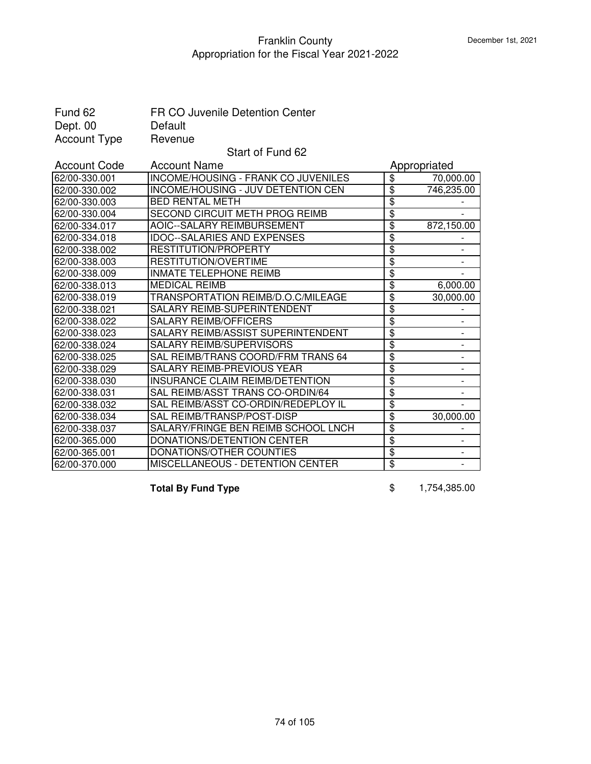| Fund 62<br>Dept. 00 | FR CO Juvenile Detention Center<br>Default |                                  |                          |
|---------------------|--------------------------------------------|----------------------------------|--------------------------|
| <b>Account Type</b> | Revenue                                    |                                  |                          |
|                     | Start of Fund 62                           |                                  |                          |
| <b>Account Code</b> | <b>Account Name</b>                        |                                  | Appropriated             |
| 62/00-330.001       | <b>INCOME/HOUSING - FRANK CO JUVENILES</b> | $\overline{\mathbf{3}}$          | 70,000.00                |
| 62/00-330.002       | <b>INCOME/HOUSING - JUV DETENTION CEN</b>  | $\overline{\boldsymbol{\theta}}$ | 746,235.00               |
| 62/00-330.003       | <b>BED RENTAL METH</b>                     | $\overline{\boldsymbol{\theta}}$ |                          |
| 62/00-330.004       | SECOND CIRCUIT METH PROG REIMB             | $\overline{\$}$                  |                          |
| 62/00-334.017       | AOIC--SALARY REIMBURSEMENT                 | $\overline{\boldsymbol{\theta}}$ | 872,150.00               |
| 62/00-334.018       | <b>IDOC--SALARIES AND EXPENSES</b>         | \$                               |                          |
| 62/00-338.002       | RESTITUTION/PROPERTY                       | $\overline{\mathbf{S}}$          |                          |
| 62/00-338.003       | RESTITUTION/OVERTIME                       | $\overline{\$}$                  | $\overline{\phantom{a}}$ |
| 62/00-338.009       | <b>INMATE TELEPHONE REIMB</b>              | \$                               |                          |
| 62/00-338.013       | <b>MEDICAL REIMB</b>                       | $\overline{\$}$                  | 6,000.00                 |
| 62/00-338.019       | TRANSPORTATION REIMB/D.O.C/MILEAGE         | \$                               | 30,000.00                |
| 62/00-338.021       | SALARY REIMB-SUPERINTENDENT                | $\overline{\mathbf{S}}$          |                          |
| 62/00-338.022       | <b>SALARY REIMB/OFFICERS</b>               | $\overline{\mathfrak{s}}$        |                          |
| 62/00-338.023       | SALARY REIMB/ASSIST SUPERINTENDENT         | $\overline{\$}$                  | $\overline{\phantom{a}}$ |
| 62/00-338.024       | SALARY REIMB/SUPERVISORS                   | \$                               | $\overline{\phantom{0}}$ |
| 62/00-338.025       | SAL REIMB/TRANS COORD/FRM TRANS 64         | $\overline{\mathbf{S}}$          |                          |
| 62/00-338.029       | SALARY REIMB-PREVIOUS YEAR                 | $\overline{\$}$                  |                          |
| 62/00-338.030       | <b>INSURANCE CLAIM REIMB/DETENTION</b>     | \$                               | $\overline{\phantom{a}}$ |
| 62/00-338.031       | SAL REIMB/ASST TRANS CO-ORDIN/64           | $\overline{\$}$                  |                          |
| 62/00-338.032       | SAL REIMB/ASST CO-ORDIN/REDEPLOY IL        | $\overline{\$}$                  |                          |
| 62/00-338.034       | SAL REIMB/TRANSP/POST-DISP                 | $\overline{\mathbf{3}}$          | 30,000.00                |
| 62/00-338.037       | SALARY/FRINGE BEN REIMB SCHOOL LNCH        | $\overline{\$}$                  |                          |
| 62/00-365.000       | DONATIONS/DETENTION CENTER                 | $\overline{\mathbf{e}}$          |                          |
| 62/00-365.001       | DONATIONS/OTHER COUNTIES                   | $\overline{\$}$                  |                          |
| 62/00-370.000       | MISCELLANEOUS - DETENTION CENTER           | $\overline{\boldsymbol{\theta}}$ |                          |

**Total By Fund Type 6 1,754,385.00**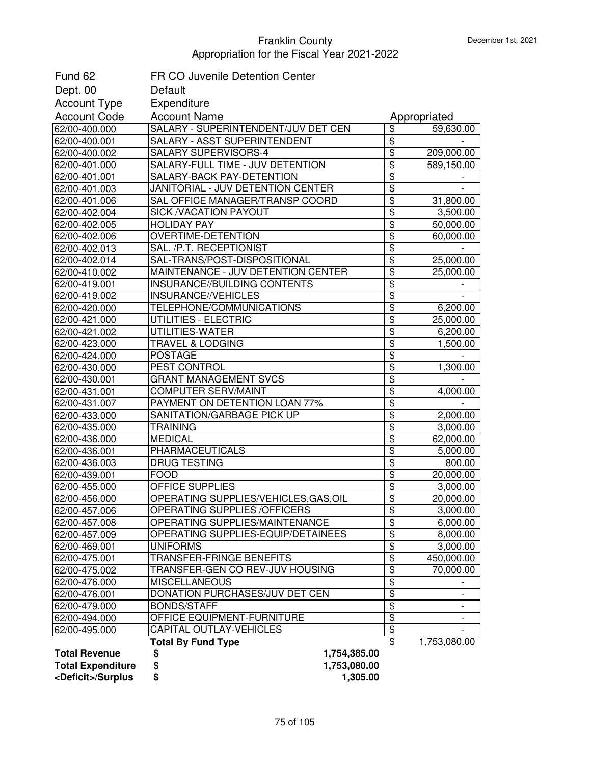| Fund 62                        | <b>FR CO Juvenile Detention Center</b>                |                                    |                                                      |
|--------------------------------|-------------------------------------------------------|------------------------------------|------------------------------------------------------|
| Dept. 00                       | Default                                               |                                    |                                                      |
| <b>Account Type</b>            | Expenditure                                           |                                    |                                                      |
| <b>Account Code</b>            | <b>Account Name</b>                                   |                                    | Appropriated                                         |
| 62/00-400.000                  | SALARY - SUPERINTENDENT/JUV DET CEN                   | \$                                 | 59,630.00                                            |
| 62/00-400.001                  | SALARY - ASST SUPERINTENDENT                          | $\overline{\mathbf{S}}$            |                                                      |
| 62/00-400.002                  | SALARY SUPERVISORS-4                                  | $\overline{\mathbf{S}}$            | 209,000.00                                           |
| 62/00-401.000                  | SALARY-FULL TIME - JUV DETENTION                      | $\overline{\mathbf{S}}$            | 589,150.00                                           |
| 62/00-401.001                  | SALARY-BACK PAY-DETENTION                             | \$                                 |                                                      |
| 62/00-401.003                  | JANITORIAL - JUV DETENTION CENTER                     | $\overline{\mathbf{S}}$            |                                                      |
| 62/00-401.006                  | SAL OFFICE MANAGER/TRANSP COORD                       | \$                                 | 31,800.00                                            |
| 62/00-402.004                  | <b>SICK /VACATION PAYOUT</b>                          | \$                                 | 3,500.00                                             |
| 62/00-402.005                  | <b>HOLIDAY PAY</b>                                    | \$                                 | 50,000.00                                            |
| 62/00-402.006                  | <b>OVERTIME-DETENTION</b>                             | \$                                 | 60,000.00                                            |
| 62/00-402.013                  | SAL. /P.T. RECEPTIONIST                               | \$                                 |                                                      |
| 62/00-402.014                  | SAL-TRANS/POST-DISPOSITIONAL                          | \$                                 | 25,000.00                                            |
| 62/00-410.002                  | MAINTENANCE - JUV DETENTION CENTER                    | \$                                 | 25,000.00                                            |
| 62/00-419.001                  | INSURANCE//BUILDING CONTENTS                          | \$                                 |                                                      |
| 62/00-419.002                  | INSURANCE//VEHICLES                                   | $\overline{\mathbf{S}}$            |                                                      |
| 62/00-420.000                  | TELEPHONE/COMMUNICATIONS                              | \$                                 | 6,200.00                                             |
| 62/00-421.000                  | UTILITIES - ELECTRIC                                  | $\overline{\mathbf{S}}$            | 25,000.00                                            |
| 62/00-421.002                  | UTILITIES-WATER                                       | \$                                 | 6,200.00                                             |
| 62/00-423.000                  | <b>TRAVEL &amp; LODGING</b>                           | $\overline{\mathbf{S}}$            | 1,500.00                                             |
| 62/00-424.000                  | <b>POSTAGE</b>                                        | \$                                 |                                                      |
| 62/00-430.000                  | PEST CONTROL                                          | $\overline{\mathbf{S}}$            | 1,300.00                                             |
| 62/00-430.001                  | <b>GRANT MANAGEMENT SVCS</b>                          | $\overline{\mathbf{S}}$            |                                                      |
| 62/00-431.001                  | <b>COMPUTER SERV/MAINT</b>                            | $\overline{\mathbf{S}}$            | 4,000.00                                             |
| 62/00-431.007                  | PAYMENT ON DETENTION LOAN 77%                         | $\overline{\mathbf{S}}$            |                                                      |
| 62/00-433.000                  | SANITATION/GARBAGE PICK UP                            | $\overline{\mathbf{S}}$            | 2,000.00                                             |
| 62/00-435.000                  | <b>TRAINING</b>                                       | \$                                 | 3,000.00                                             |
| 62/00-436.000                  | <b>MEDICAL</b>                                        | \$                                 | 62,000.00                                            |
| 62/00-436.001                  | <b>PHARMACEUTICALS</b>                                | \$                                 | 5,000.00                                             |
| 62/00-436.003                  | <b>DRUG TESTING</b>                                   | \$                                 | 800.00                                               |
| 62/00-439.001                  | <b>FOOD</b>                                           | \$                                 | 20,000.00                                            |
| 62/00-455.000                  | OFFICE SUPPLIES                                       | $\overline{\mathbf{S}}$            | 3,000.00                                             |
| 62/00-456.000                  | OPERATING SUPPLIES/VEHICLES,GAS,OIL                   | $\overline{\mathfrak{s}}$          | 20,000.00                                            |
| 62/00-457.006                  | OPERATING SUPPLIES / OF FICERS                        | \$                                 | 3,000.00                                             |
| 62/00-457.008                  | <b>OPERATING SUPPLIES/MAINTENANCE</b>                 | $\overline{\$}$                    | 6,000.00                                             |
| 62/00-457.009                  | OPERATING SUPPLIES-EQUIP/DETAINEES<br><b>UNIFORMS</b> | $\overline{\$}$<br>$\overline{\$}$ | 8,000.00                                             |
| 62/00-469.001                  | TRANSFER-FRINGE BENEFITS                              | $\overline{\$}$                    | 3,000.00                                             |
| 62/00-475.001                  | TRANSFER-GEN CO REV-JUV HOUSING                       | $\overline{\mathbf{S}}$            | 450,000.00<br>70,000.00                              |
| 62/00-475.002                  | <b>MISCELLANEOUS</b>                                  | \$                                 |                                                      |
| 62/00-476.000                  | <b>DONATION PURCHASES/JUV DET CEN</b>                 | $\overline{\boldsymbol{\theta}}$   |                                                      |
| 62/00-476.001<br>62/00-479.000 | <b>BONDS/STAFF</b>                                    | $\overline{\mathbf{S}}$            | $\overline{\phantom{a}}$<br>$\overline{\phantom{a}}$ |
| 62/00-494.000                  | OFFICE EQUIPMENT-FURNITURE                            | $\overline{\boldsymbol{\theta}}$   |                                                      |
| 62/00-495.000                  | CAPITAL OUTLAY-VEHICLES                               | $\overline{\mathbf{e}}$            |                                                      |
|                                | <b>Total By Fund Type</b>                             | \$                                 | 1,753,080.00                                         |
| <b>Total Revenue</b>           | 1,754,385.00<br>\$                                    |                                    |                                                      |
| <b>Total Expenditure</b>       | \$<br>1,753,080.00                                    |                                    |                                                      |
| <deficit>/Surplus</deficit>    | \$<br>1,305.00                                        |                                    |                                                      |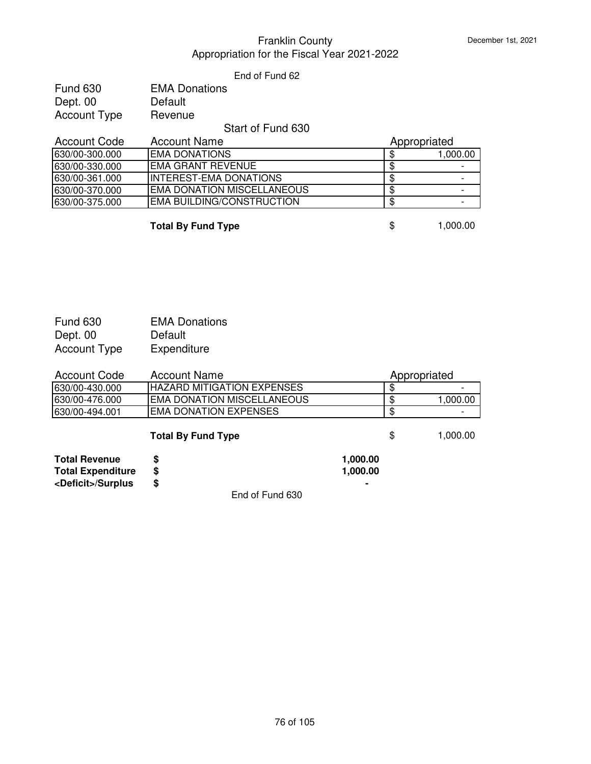#### End of Fund 62

| <b>Fund 630</b> | <b>EMA Donations</b> |
|-----------------|----------------------|
| Dept. 00        | Default              |
| Account Type    | Revenue              |

#### Start of Fund 630

| <b>Account Code</b> | Account Name                     | Appropriated |          |
|---------------------|----------------------------------|--------------|----------|
| 630/00-300.000      | <b>EMA DONATIONS</b>             |              | 1.000.00 |
| 630/00-330.000      | IEMA GRANT REVENUE               |              |          |
| 630/00-361.000      | <b>IINTEREST-EMA DONATIONS</b>   |              |          |
| 630/00-370.000      | EMA DONATION MISCELLANEOUS       |              |          |
| 630/00-375.000      | <b>EMA BUILDING/CONSTRUCTION</b> |              |          |

**Total By Fund Type**  $\qquad$  **\$** 1,000.00

| <b>Fund 630</b>     | <b>EMA Donations</b> |
|---------------------|----------------------|
| Dept. 00            | Default              |
| <b>Account Type</b> | Expenditure          |

| Account Code   | Account Name                       | Appropriated |                          |
|----------------|------------------------------------|--------------|--------------------------|
| 630/00-430.000 | <b>IHAZARD MITIGATION EXPENSES</b> |              | $\overline{\phantom{0}}$ |
| 630/00-476.000 | IEMA DONATION MISCELLANEOUS        |              | 1.000.00                 |
| 630/00-494.001 | IEMA DONATION EXPENSES             |              |                          |

# **Total By Fund Type**  $\qquad$  **\$** 1,000.00

| <b>Total Revenue</b>        | 1.000.00 |
|-----------------------------|----------|
| <b>Total Expenditure</b>    | 1.000.00 |
| <deficit>/Surplus</deficit> |          |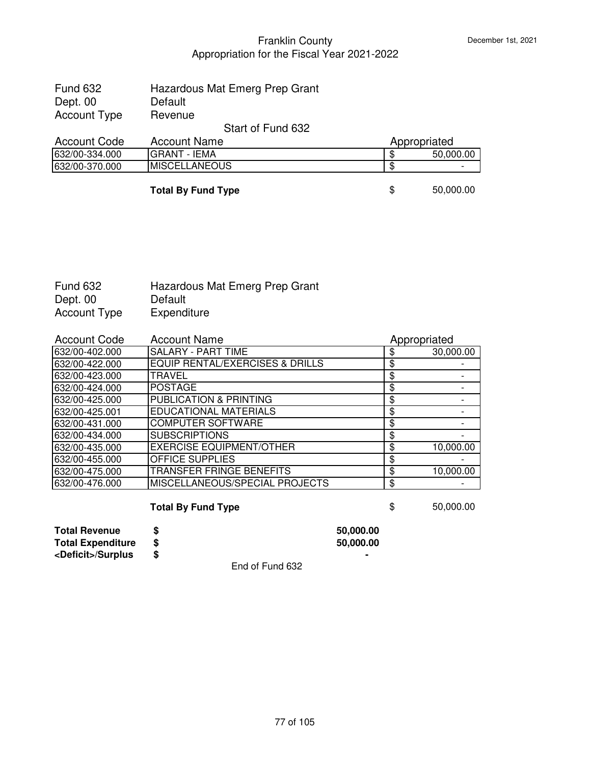| <b>Fund 632</b><br>Dept. 00<br><b>Account Type</b> | Hazardous Mat Emerg Prep Grant<br>Default<br>Revenue |                 |
|----------------------------------------------------|------------------------------------------------------|-----------------|
|                                                    |                                                      |                 |
|                                                    | Start of Fund 632                                    |                 |
| <b>Account Code</b>                                | <b>Account Name</b>                                  | Appropriated    |
| 632/00-334.000                                     | <b>GRANT - IEMA</b>                                  | \$<br>50,000.00 |
| 632/00-370.000                                     | <b>MISCELLANEOUS</b>                                 | \$              |
|                                                    | <b>Total By Fund Type</b>                            | \$<br>50,000.00 |

| Fund 632     | Hazardous Mat Emerg Prep Grant |
|--------------|--------------------------------|
| Dept. 00     | Default                        |
| Account Type | Expenditure                    |

| <b>Account Code</b> | <b>Account Name</b>                        | Appropriated    |
|---------------------|--------------------------------------------|-----------------|
| 632/00-402.000      | SALARY - PART TIME                         | \$<br>30,000.00 |
| 632/00-422.000      | <b>EQUIP RENTAL/EXERCISES &amp; DRILLS</b> | \$              |
| 632/00-423.000      | <b>TRAVEL</b>                              | \$              |
| 632/00-424.000      | <b>POSTAGE</b>                             | \$              |
| 632/00-425.000      | PUBLICATION & PRINTING                     | \$              |
| 632/00-425.001      | <b>EDUCATIONAL MATERIALS</b>               | \$              |
| 632/00-431.000      | <b>COMPUTER SOFTWARE</b>                   | \$              |
| 632/00-434.000      | <b>SUBSCRIPTIONS</b>                       | \$              |
| 632/00-435.000      | <b>EXERCISE EQUIPMENT/OTHER</b>            | \$<br>10,000.00 |
| 632/00-455.000      | <b>OFFICE SUPPLIES</b>                     | \$              |
| 632/00-475.000      | TRANSFER FRINGE BENEFITS                   | \$<br>10,000.00 |
| 632/00-476.000      | MISCELLANEOUS/SPECIAL PROJECTS             | \$              |

# **Total By Fund Type**  $\qquad$  **\$** 50,000.00

**Total Revenue**  $\qquad \qquad$  **\$ 50,000.00<br>
Total Expenditure**  $\qquad \qquad$  **\$ 50,000.00<br>
<Deficit>/Surplus \$ Total Expenditure \$ 50,000.00 <Deficit>/Surplus \$ -**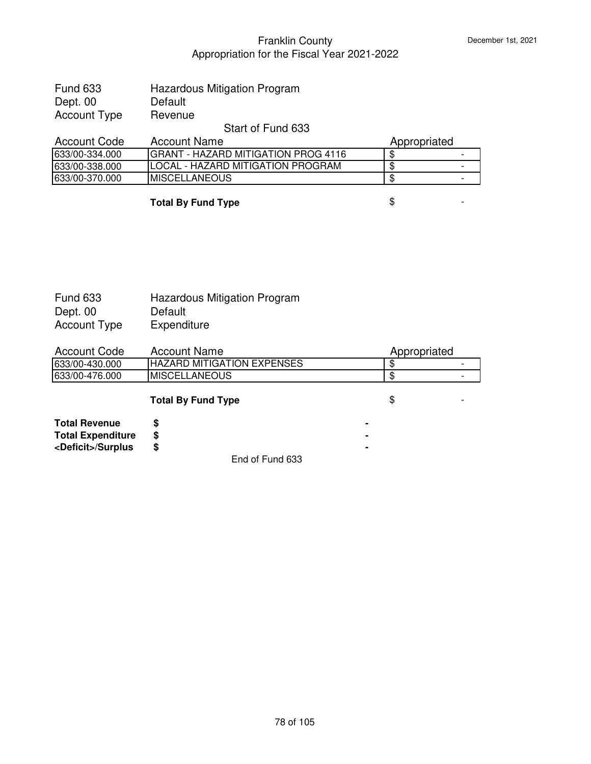| <b>Fund 633</b> | Hazardous Mitigation Program |
|-----------------|------------------------------|
| Dept. 00        | Default                      |
| Account Type    | Revenue                      |

# Start of Fund 633

| Account Code   | Account Name                         | Appropriated |  |
|----------------|--------------------------------------|--------------|--|
| 633/00-334.000 | IGRANT - HAZARD MITIGATION PROG 4116 |              |  |
| 633/00-338.000 | ILOCAL - HAZARD MITIGATION PROGRAM   |              |  |
| 633/00-370.000 | <b>IMISCELLANEOUS</b>                |              |  |

#### **Total By Fund Type**  $\qquad$  $\qquad$  $\qquad$  $\qquad$  $\qquad$  $\qquad$  $\qquad$  $\qquad$  $\qquad$  $\qquad$  $\qquad$  $\qquad$  $\qquad$  $\qquad$  $\qquad$  $\qquad$  $\qquad$  $\qquad$  $\qquad$  $\qquad$  $\qquad$  $\qquad$  $\qquad$  $\qquad$  $\qquad$  $\qquad$  $\qquad$  $\qquad$  $\qquad$  $\qquad$  $\qquad$  $\qquad$  $\qquad$  **\qquad**

| <b>Fund 633</b>     | <b>Hazardous Mitigation Program</b> |
|---------------------|-------------------------------------|
| Dept. 00            | Default                             |
| <b>Account Type</b> | Expenditure                         |

| Account Code   | <b>Account Name</b>               | Appropriated |  |
|----------------|-----------------------------------|--------------|--|
| 633/00-430.000 | <b>HAZARD MITIGATION EXPENSES</b> |              |  |
| 633/00-476.000 | <b>IMISCELLANEOUS</b>             |              |  |

# **Total By Fund Type**  $\qquad$  $\qquad$  $\qquad$  $\qquad$  $\qquad$  $\qquad$  $\qquad$  $\qquad$  $\qquad$  $\qquad$  $\qquad$  $\qquad$  $\qquad$  $\qquad$  $\qquad$  $\qquad$  $\qquad$  $\qquad$  $\qquad$  $\qquad$  $\qquad$  $\qquad$  $\qquad$  $\qquad$  $\qquad$  $\qquad$  $\qquad$  $\qquad$  $\qquad$  $\qquad$  $\qquad$  $\qquad$  $\qquad$  **\qquad**

| <b>Total Revenue</b>        |                 | ۰ |
|-----------------------------|-----------------|---|
| <b>Total Expenditure</b>    |                 |   |
| <deficit>/Surplus</deficit> |                 | ۰ |
|                             | End of Fund 633 |   |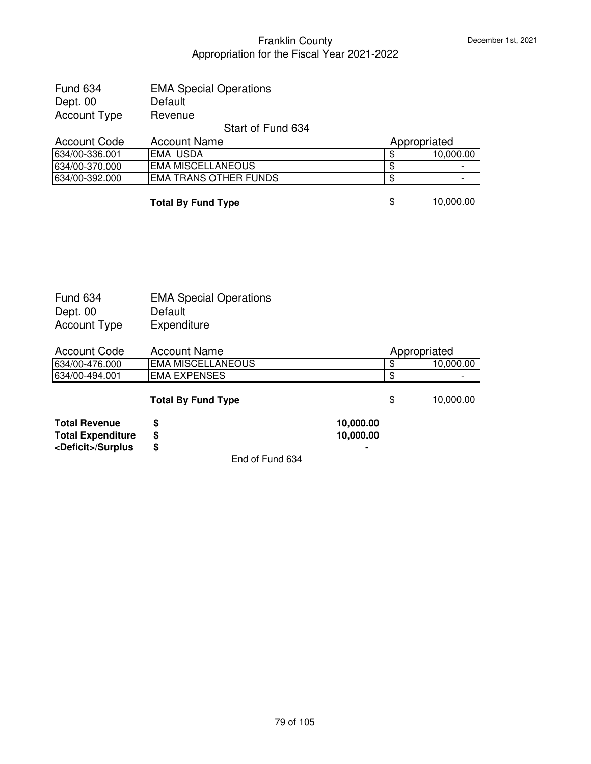**10,000.00** 

# Franklin County Appropriation for the Fiscal Year 2021-2022

| <b>Fund 634</b> | <b>EMA Special Operations</b> |
|-----------------|-------------------------------|
| Dept. 00        | Default                       |
| Account Type    | Revenue                       |

# Start of Fund 634

|                                                | Appropriated |           |
|------------------------------------------------|--------------|-----------|
| 634/00-336.001<br>IEMA USDA                    | Ф            | 10,000.00 |
| <b>IEMA MISCELLANEOUS</b><br>634/00-370.000    | Ф            | -         |
| <b>EMA TRANS OTHER FUNDS</b><br>634/00-392.000 | Ф            | -         |

#### **Total By Fund Type** \$ 10,000.00

| Fund 634            | <b>EMA Special Operations</b> |
|---------------------|-------------------------------|
| Dept. 00            | Default                       |
| <b>Account Type</b> | Expenditure                   |

| Account Code   | Account Name              | Appropriated |           |
|----------------|---------------------------|--------------|-----------|
| 634/00-476.000 | <b>IEMA MISCELLANEOUS</b> |              | 10.000.00 |
| 634/00-494.001 | IEMA EXPENSES             |              | -         |
|                |                           |              |           |

|                          | <b>Total By Fund Type</b> | S         |
|--------------------------|---------------------------|-----------|
| Total Revenue            |                           | 10.000.00 |
| <b>Total Expenditure</b> |                           | 10.000.00 |

| <b>TUMITIOVUING</b>         |         |
|-----------------------------|---------|
| <b>Total Expenditure</b>    | 10,000. |
| <deficit>/Surplus</deficit> |         |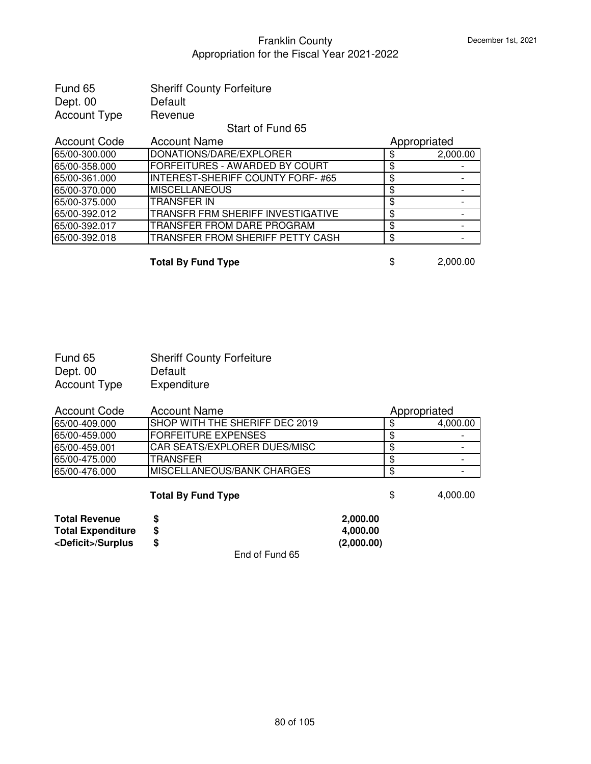| Fund 65      | <b>Sheriff County Forfeiture</b> |
|--------------|----------------------------------|
| Dept. 00     | Default                          |
| Account Type | Revenue                          |

#### Start of Fund 65

| <b>Account Code</b> | <b>Account Name</b>                      | Appropriated |          |
|---------------------|------------------------------------------|--------------|----------|
| 65/00-300.000       | DONATIONS/DARE/EXPLORER                  |              | 2,000.00 |
| 65/00-358.000       | <b>FORFEITURES - AWARDED BY COURT</b>    |              |          |
| 65/00-361.000       | <b>INTEREST-SHERIFF COUNTY FORF-#65</b>  |              |          |
| 65/00-370.000       | <b>MISCELLANEOUS</b>                     |              |          |
| 65/00-375.000       | ITRANSFER IN                             |              |          |
| 65/00-392.012       | <b>TRANSFR FRM SHERIFF INVESTIGATIVE</b> |              |          |
| 65/00-392.017       | <b>TRANSFER FROM DARE PROGRAM</b>        |              |          |
| 65/00-392.018       | TRANSFER FROM SHERIFF PETTY CASH         |              |          |

**Total By Fund Type** \$ 2,000.00

| Fund 65             | <b>Sheriff County Forfeiture</b> |
|---------------------|----------------------------------|
| Dept. 00            | Default                          |
| <b>Account Type</b> | Expenditure                      |

| Account Code  | Account Name                    | Appropriated |          |
|---------------|---------------------------------|--------------|----------|
| 65/00-409.000 | ISHOP WITH THE SHERIFF DEC 2019 |              | 4,000.00 |
| 65/00-459.000 | IFORFEITURE EXPENSES            |              |          |
| 65/00-459.001 | ICAR SEATS/EXPLORER DUES/MISC   |              |          |
| 65/00-475.000 | ITRANSFER                       |              |          |
| 65/00-476.000 | IMISCELLANEOUS/BANK CHARGES     |              |          |

#### **Total By Fund Type**  $\qquad$  **\$** 4,000.00

**Total Revenue \$ 2,000.00 Total Expenditure \$ 4,000.00 <Deficit>/Surplus \$ (2,000.00)**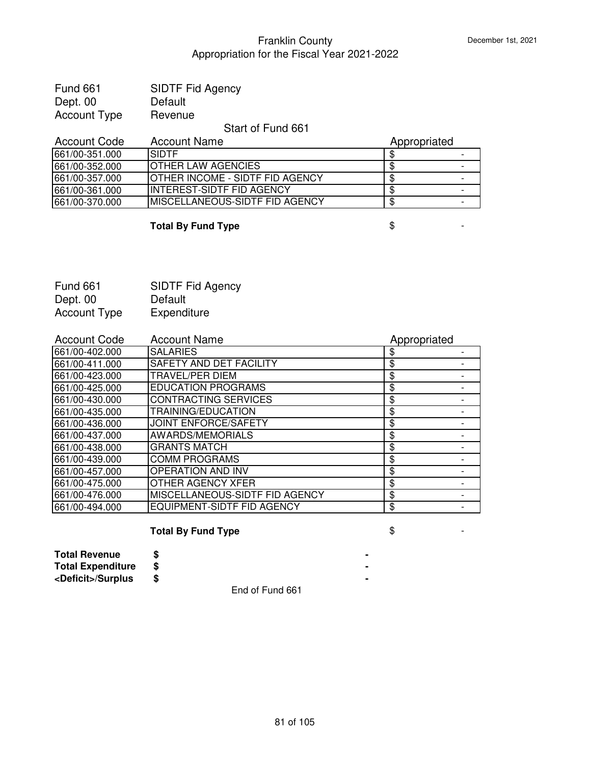| <b>Fund 661</b> | <b>SIDTF Fid Agency</b> |
|-----------------|-------------------------|
| Dept. 00        | Default                 |
| Account Type    | Revenue                 |

# Start of Fund 661

| Account Code   | <b>Account Name</b>                    | Appropriated |  |
|----------------|----------------------------------------|--------------|--|
| 661/00-351.000 | <b>SIDTE</b>                           |              |  |
| 661/00-352.000 | <b>IOTHER LAW AGENCIES</b>             |              |  |
| 661/00-357.000 | <b>OTHER INCOME - SIDTF FID AGENCY</b> |              |  |
| 661/00-361.000 | <b>IINTEREST-SIDTF FID AGENCY</b>      |              |  |
| 661/00-370.000 | <b>IMISCELLANEOUS-SIDTF FID AGENCY</b> |              |  |

# **Total By Fund Type**  $\qquad$  $\qquad$  $\qquad$  $\qquad$  $\qquad$  **-**

| <b>Fund 661</b>     | <b>SIDTF Fid Agency</b> |
|---------------------|-------------------------|
| Dept. 00            | Default                 |
| <b>Account Type</b> | Expenditure             |

| <b>Account Code</b> | <b>Account Name</b>               | Appropriated |  |
|---------------------|-----------------------------------|--------------|--|
| 661/00-402.000      | <b>SALARIES</b>                   | \$           |  |
| 661/00-411.000      | SAFETY AND DET FACILITY           | \$           |  |
| 661/00-423.000      | TRAVEL/PER DIEM                   | \$           |  |
| 661/00-425.000      | <b>EDUCATION PROGRAMS</b>         | \$           |  |
| 661/00-430.000      | <b>CONTRACTING SERVICES</b>       | \$           |  |
| 661/00-435.000      | TRAINING/EDUCATION                | \$           |  |
| 661/00-436.000      | <b>JOINT ENFORCE/SAFETY</b>       | \$           |  |
| 661/00-437.000      | AWARDS/MEMORIALS                  | \$           |  |
| 661/00-438.000      | <b>GRANTS MATCH</b>               | \$           |  |
| 661/00-439.000      | <b>COMM PROGRAMS</b>              | \$           |  |
| 661/00-457.000      | OPERATION AND INV                 | \$           |  |
| 661/00-475.000      | OTHER AGENCY XFER                 | \$           |  |
| 661/00-476.000      | MISCELLANEOUS-SIDTF FID AGENCY    | \$           |  |
| 661/00-494.000      | <b>EQUIPMENT-SIDTF FID AGENCY</b> | \$           |  |

# **Total By Fund Type**  $\qquad$  $\qquad$  $\qquad$  $\qquad$  $\qquad$  **-**

| <b>Total Revenue</b>        |  |  |  |  |
|-----------------------------|--|--|--|--|
| <b>Total Expenditure</b>    |  |  |  |  |
| <deficit>/Surplus</deficit> |  |  |  |  |
|                             |  |  |  |  |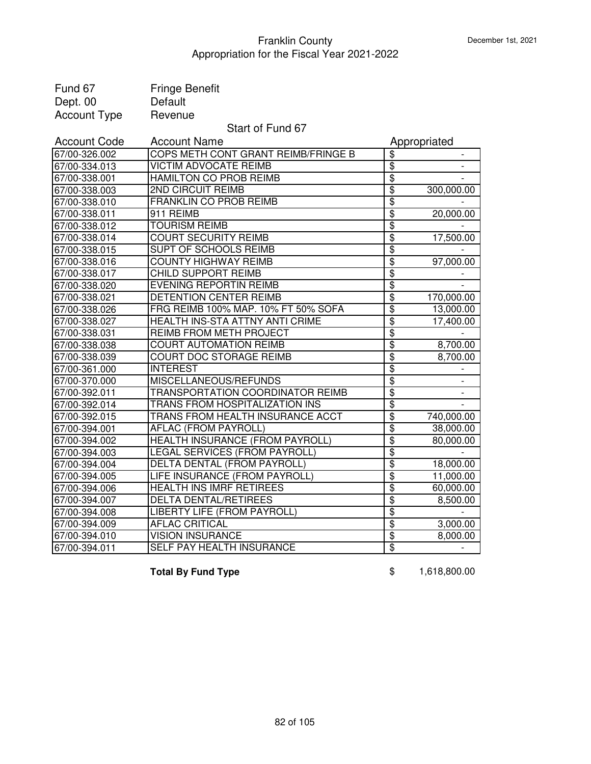| Fund 67             | <b>Fringe Benefit</b>                |                           |              |
|---------------------|--------------------------------------|---------------------------|--------------|
| Dept. 00            | Default                              |                           |              |
| <b>Account Type</b> | Revenue                              |                           |              |
|                     | Start of Fund 67                     |                           |              |
| <b>Account Code</b> | <b>Account Name</b>                  |                           | Appropriated |
| 67/00-326.002       | COPS METH CONT GRANT REIMB/FRINGE B  | \$                        |              |
| 67/00-334.013       | <b>VICTIM ADVOCATE REIMB</b>         | \$                        |              |
| 67/00-338.001       | <b>HAMILTON CO PROB REIMB</b>        | \$                        |              |
| 67/00-338.003       | <b>2ND CIRCUIT REIMB</b>             | \$                        | 300,000.00   |
| 67/00-338.010       | FRANKLIN CO PROB REIMB               | \$                        |              |
| 67/00-338.011       | 911 REIMB                            | \$                        | 20,000.00    |
| 67/00-338.012       | <b>TOURISM REIMB</b>                 | \$                        |              |
| 67/00-338.014       | <b>COURT SECURITY REIMB</b>          | \$                        | 17,500.00    |
| 67/00-338.015       | <b>SUPT OF SCHOOLS REIMB</b>         | \$                        |              |
| 67/00-338.016       | <b>COUNTY HIGHWAY REIMB</b>          | $\overline{\mathfrak{s}}$ | 97,000.00    |
| 67/00-338.017       | CHILD SUPPORT REIMB                  | \$                        |              |
| 67/00-338.020       | <b>EVENING REPORTIN REIMB</b>        | \$                        |              |
| 67/00-338.021       | DETENTION CENTER REIMB               | \$                        | 170,000.00   |
| 67/00-338.026       | FRG REIMB 100% MAP. 10% FT 50% SOFA  | \$                        | 13,000.00    |
| 67/00-338.027       | HEALTH INS-STA ATTNY ANTI CRIME      | $\overline{\$}$           | 17,400.00    |
| 67/00-338.031       | REIMB FROM METH PROJECT              | \$                        |              |
| 67/00-338.038       | <b>COURT AUTOMATION REIMB</b>        | \$                        | 8,700.00     |
| 67/00-338.039       | <b>COURT DOC STORAGE REIMB</b>       | \$                        | 8,700.00     |
| 67/00-361.000       | <b>INTEREST</b>                      | \$                        |              |
| 67/00-370.000       | MISCELLANEOUS/REFUNDS                | \$                        |              |
| 67/00-392.011       | TRANSPORTATION COORDINATOR REIMB     | \$                        |              |
| 67/00-392.014       | TRANS FROM HOSPITALIZATION INS       | \$                        |              |
| 67/00-392.015       | TRANS FROM HEALTH INSURANCE ACCT     | \$                        | 740,000.00   |
| 67/00-394.001       | AFLAC (FROM PAYROLL)                 | \$                        | 38,000.00    |
| 67/00-394.002       | HEALTH INSURANCE (FROM PAYROLL)      | \$                        | 80,000.00    |
| 67/00-394.003       | <b>LEGAL SERVICES (FROM PAYROLL)</b> | \$                        |              |
| 67/00-394.004       | <b>DELTA DENTAL (FROM PAYROLL)</b>   | $\overline{\$}$           | 18,000.00    |
| 67/00-394.005       | LIFE INSURANCE (FROM PAYROLL)        | \$                        | 11,000.00    |
| 67/00-394.006       | <b>HEALTH INS IMRF RETIREES</b>      | $\overline{\$}$           | 60,000.00    |
| 67/00-394.007       | <b>DELTA DENTAL/RETIREES</b>         | \$                        | 8,500.00     |
| 67/00-394.008       | LIBERTY LIFE (FROM PAYROLL)          | \$                        |              |
| 67/00-394.009       | <b>AFLAC CRITICAL</b>                | \$                        | 3,000.00     |
| 67/00-394.010       | <b>VISION INSURANCE</b>              | \$                        | 8,000.00     |
| 67/00-394.011       | SELF PAY HEALTH INSURANCE            | \$                        |              |

**Total By Fund Type 6 1,618,800.00**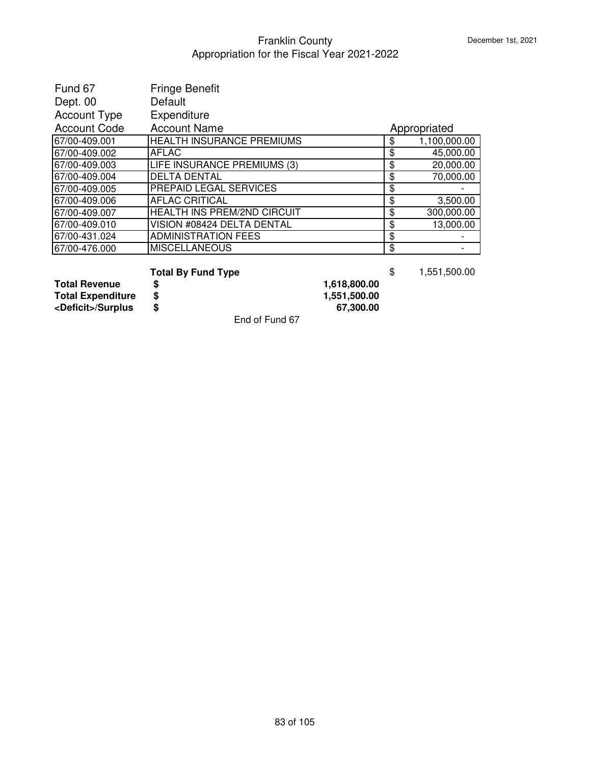| Fund 67             | <b>Fringe Benefit</b>              |                    |
|---------------------|------------------------------------|--------------------|
| Dept. 00            | Default                            |                    |
| <b>Account Type</b> | Expenditure                        |                    |
| <b>Account Code</b> | <b>Account Name</b>                | Appropriated       |
| 67/00-409.001       | <b>HEALTH INSURANCE PREMIUMS</b>   | \$<br>1,100,000.00 |
| 67/00-409.002       | <b>AFLAC</b>                       | \$<br>45,000.00    |
| 67/00-409.003       | LIFE INSURANCE PREMIUMS (3)        | \$<br>20,000.00    |
| 67/00-409.004       | <b>DELTA DENTAL</b>                | \$<br>70,000.00    |
| 67/00-409.005       | <b>PREPAID LEGAL SERVICES</b>      | \$                 |
| 67/00-409.006       | <b>AFLAC CRITICAL</b>              | \$<br>3,500.00     |
| 67/00-409.007       | <b>HEALTH INS PREM/2ND CIRCUIT</b> | \$<br>300,000.00   |
| 67/00-409.010       | VISION #08424 DELTA DENTAL         | \$<br>13,000.00    |
| 67/00-431.024       | <b>ADMINISTRATION FEES</b>         | \$                 |
| 67/00-476.000       | <b>MISCELLANEOUS</b>               | \$                 |

# **Total By Fund Type**  $\uparrow$  **551,500.00**<br>**\$** 1,618,800.00

Total Revenue  $\begin{array}{ccc}\n\text{Total Expenditure} & \text{\$} & \text{1,618,800.00}\n\text{Total Expenditure} & \text{\$} & \text{1,551,500.00}\n\text{cDeficit}>/\text{Surplus} & \text{\$} & \text{67,300.00}\n\end{array}$ **Total Expenditure \$ 1,551,500.00 <Deficit>/Surplus \$ 67,300.00**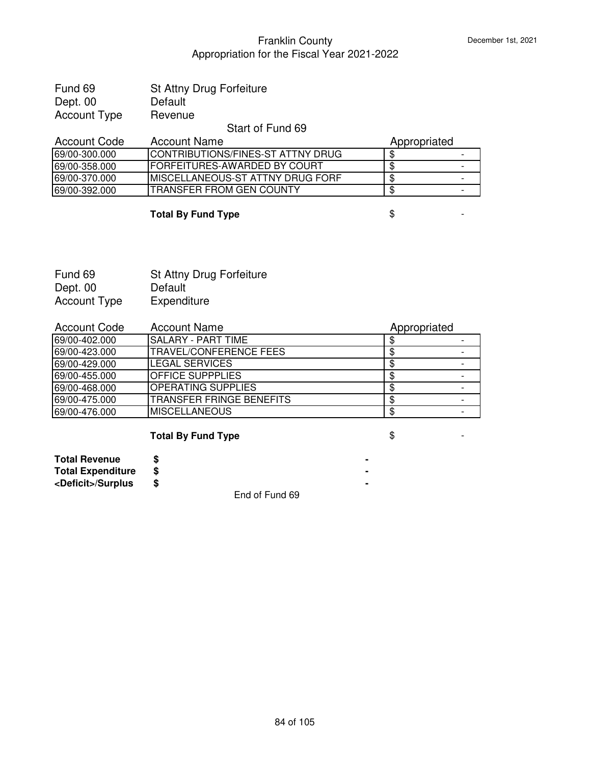| Fund 69      | St Attny Drug Forfeiture |
|--------------|--------------------------|
| Dept. 00     | Default                  |
| Account Type | Revenue                  |

#### Start of Fund 69

| Account Code  | Account Name                      | Appropriated |  |
|---------------|-----------------------------------|--------------|--|
| 69/00-300.000 | CONTRIBUTIONS/FINES-ST ATTNY DRUG |              |  |
| 69/00-358.000 | IFORFEITURES-AWARDED BY COURT     |              |  |
| 69/00-370.000 | IMISCELLANEOUS-ST ATTNY DRUG FORF |              |  |
| 69/00-392.000 | ITRANSFER FROM GEN COUNTY         |              |  |

# **Total By Fund Type \$**

Fund 69 St Attny Drug Forfeiture<br>Dept. 00 Default Dept. 00 Default<br>Account Type Expenditure Account Type

| <b>Account Code</b> | <b>Account Name</b>            | Appropriated |  |
|---------------------|--------------------------------|--------------|--|
| 69/00-402.000       | ISALARY - PART TIME            |              |  |
| 69/00-423.000       | <b>ITRAVEL/CONFERENCE FEES</b> |              |  |
| 69/00-429.000       | LEGAL SERVICES                 |              |  |
| 69/00-455.000       | IOFFICE SUPPPLIES              |              |  |
| 69/00-468.000       | <b>OPERATING SUPPLIES</b>      |              |  |
| 69/00-475.000       | ITRANSFER FRINGE BENEFITS      |              |  |
| 69/00-476.000       | IMISCELLANEOUS                 |              |  |

# **Total By Fund Type**  $\qquad$  **\$**

| <b>Total Revenue</b>        |                                     |  |
|-----------------------------|-------------------------------------|--|
| <b>Total Expenditure</b>    |                                     |  |
| <deficit>/Surplus</deficit> |                                     |  |
|                             | $\overline{\phantom{a}}$<br>- ' ' - |  |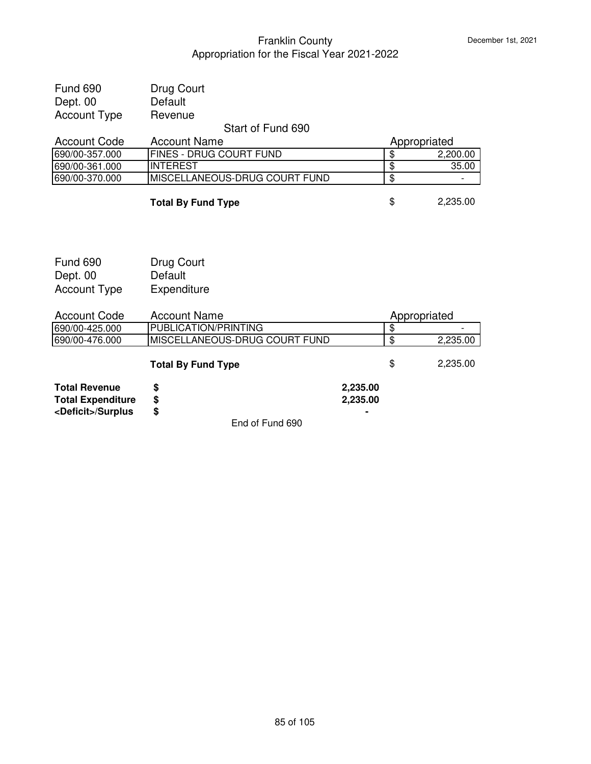| <b>Total Revenue</b><br><b>Total Expenditure</b><br><deficit>/Surplus</deficit> | \$<br>\$<br>\$                           | 2,235.00<br>2,235.00 |                         |          |
|---------------------------------------------------------------------------------|------------------------------------------|----------------------|-------------------------|----------|
|                                                                                 | <b>Total By Fund Type</b>                |                      | \$                      | 2,235.00 |
| 690/00-476.000                                                                  | MISCELLANEOUS-DRUG COURT FUND            |                      | \$                      | 2,235.00 |
| 690/00-425.000                                                                  | PUBLICATION/PRINTING                     |                      | $\overline{\mathbf{3}}$ |          |
| <b>Account Code</b>                                                             | <b>Account Name</b>                      |                      | Appropriated            |          |
| <b>Account Type</b>                                                             | Expenditure                              |                      |                         |          |
| Dept. 00                                                                        | Default                                  |                      |                         |          |
| <b>Fund 690</b>                                                                 | Drug Court                               |                      |                         |          |
|                                                                                 |                                          |                      |                         |          |
|                                                                                 | <b>Total By Fund Type</b>                |                      | \$                      | 2,235.00 |
| 690/00-370.000                                                                  | MISCELLANEOUS-DRUG COURT FUND            |                      | $\overline{\mathbf{e}}$ |          |
| 690/00-361.000                                                                  | <b>INTEREST</b>                          |                      | $\overline{\$}$         | 35.00    |
| 690/00-357.000                                                                  | FINES - DRUG COURT FUND                  |                      | \$                      | 2,200.00 |
| <b>Account Code</b>                                                             | Start of Fund 690<br><b>Account Name</b> |                      | Appropriated            |          |
| <b>Account Type</b>                                                             | Revenue                                  |                      |                         |          |
| Dept. 00                                                                        | Default                                  |                      |                         |          |
| <b>Fund 690</b>                                                                 | Drug Court                               |                      |                         |          |
|                                                                                 |                                          |                      |                         |          |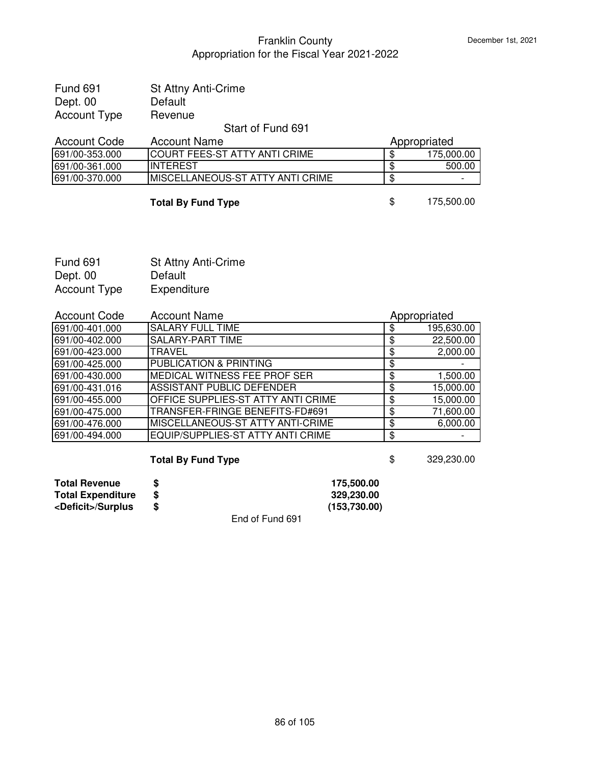| <b>Fund 691</b> | <b>St Attny Anti-Crime</b> |  |
|-----------------|----------------------------|--|
| Dept. 00        | Default                    |  |
| Account Type    | Revenue                    |  |
|                 |                            |  |

# Start of Fund 691

| Account Code   | <b>Account Name</b>                      | Appropriated |            |
|----------------|------------------------------------------|--------------|------------|
| 691/00-353.000 | <b>ICOURT FEES-ST ATTY ANTI CRIME</b>    |              | 175,000,00 |
| 691/00-361.000 | <b>INTEREST</b>                          |              | 500.00     |
| 691/00-370.000 | <b>IMISCELLANEOUS-ST ATTY ANTI CRIME</b> |              |            |
|                |                                          |              |            |

#### **Total By Fund Type** \$ 175,500.00

| <b>Fund 691</b>     | <b>St Attny Anti-Crime</b> |
|---------------------|----------------------------|
| Dept. 00            | Default                    |
| <b>Account Type</b> | Expenditure                |

| <b>Account Code</b> | <b>Account Name</b>                       |    | Appropriated |
|---------------------|-------------------------------------------|----|--------------|
| 691/00-401.000      | <b>SALARY FULL TIME</b>                   |    | 195,630.00   |
| 691/00-402.000      | <b>SALARY-PART TIME</b>                   |    | 22,500.00    |
| 691/00-423.000      | <b>TRAVEL</b>                             |    | 2,000.00     |
| 691/00-425.000      | <b>PUBLICATION &amp; PRINTING</b>         |    |              |
| 691/00-430.000      | MEDICAL WITNESS FEE PROF SER              | S  | 1,500.00     |
| 691/00-431.016      | ASSISTANT PUBLIC DEFENDER                 |    | 15,000.00    |
| 691/00-455.000      | <b>OFFICE SUPPLIES-ST ATTY ANTI CRIME</b> | \$ | 15,000.00    |
| 691/00-475.000      | TRANSFER-FRINGE BENEFITS-FD#691           | \$ | 71,600.00    |
| 691/00-476.000      | MISCELLANEOUS-ST ATTY ANTI-CRIME          | \$ | 6,000.00     |
| 691/00-494.000      | EQUIP/SUPPLIES-ST ATTY ANTI CRIME         | \$ |              |

# **Total By Fund Type 8 329,230.00**

| <b>Total Revenue</b>        |                 | 175.500.00   |
|-----------------------------|-----------------|--------------|
| <b>Total Expenditure</b>    |                 | 329.230.00   |
| <deficit>/Surplus</deficit> |                 | (153,730.00) |
|                             | End of Fund 691 |              |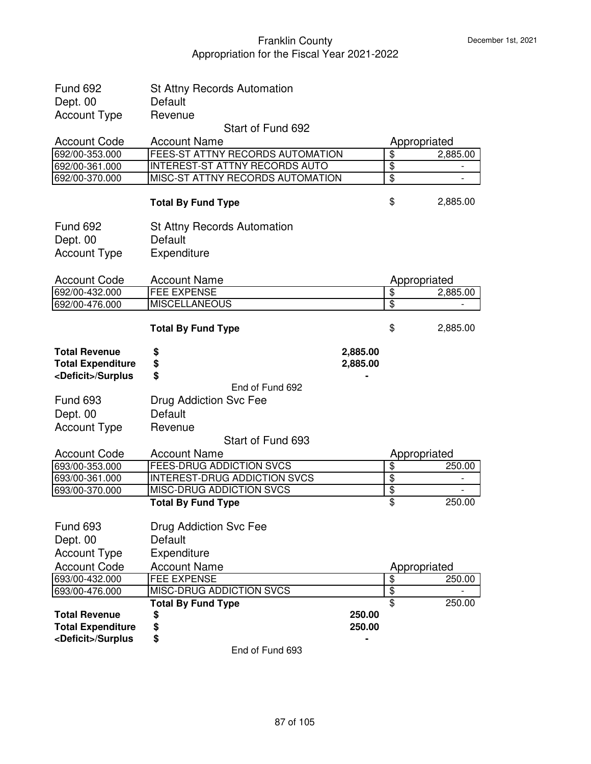| <b>Fund 692</b>                                                                 | <b>St Attny Records Automation</b>     |                                  |              |
|---------------------------------------------------------------------------------|----------------------------------------|----------------------------------|--------------|
| Dept. 00                                                                        | Default                                |                                  |              |
| <b>Account Type</b>                                                             | Revenue                                |                                  |              |
|                                                                                 | Start of Fund 692                      |                                  |              |
| <b>Account Code</b>                                                             | <b>Account Name</b>                    |                                  | Appropriated |
| 692/00-353.000                                                                  | FEES-ST ATTNY RECORDS AUTOMATION       | $\overline{\mathbf{S}}$          | 2,885.00     |
| 692/00-361.000                                                                  | <b>INTEREST-ST ATTNY RECORDS AUTO</b>  | $\overline{\boldsymbol{\theta}}$ |              |
| 692/00-370.000                                                                  | MISC-ST ATTNY RECORDS AUTOMATION       | $\overline{\boldsymbol{\theta}}$ |              |
|                                                                                 | <b>Total By Fund Type</b>              | \$                               | 2,885.00     |
| <b>Fund 692</b>                                                                 | <b>St Attny Records Automation</b>     |                                  |              |
| Dept. 00                                                                        | Default                                |                                  |              |
| <b>Account Type</b>                                                             | Expenditure                            |                                  |              |
|                                                                                 |                                        |                                  |              |
| <b>Account Code</b>                                                             | <b>Account Name</b>                    |                                  | Appropriated |
| 692/00-432.000                                                                  | <b>FEE EXPENSE</b>                     | $\boldsymbol{\mathsf{\$}}$       | 2,885.00     |
| 692/00-476.000                                                                  | <b>MISCELLANEOUS</b>                   | $\frac{1}{2}$                    |              |
|                                                                                 | <b>Total By Fund Type</b>              | \$                               | 2,885.00     |
| <b>Total Revenue</b><br><b>Total Expenditure</b><br><deficit>/Surplus</deficit> | \$<br>2,885.00<br>\$<br>2,885.00<br>\$ |                                  |              |
|                                                                                 | End of Fund 692                        |                                  |              |
| <b>Fund 693</b>                                                                 | Drug Addiction Svc Fee                 |                                  |              |
| Dept. 00                                                                        | Default                                |                                  |              |
| <b>Account Type</b>                                                             | Revenue                                |                                  |              |
|                                                                                 | Start of Fund 693                      |                                  |              |
| <b>Account Code</b>                                                             | <b>Account Name</b>                    |                                  | Appropriated |
| 693/00-353.000                                                                  | <b>FEES-DRUG ADDICTION SVCS</b>        | \$                               | 250.00       |
| 693/00-361.000                                                                  | <b>INTEREST-DRUG ADDICTION SVCS</b>    | $\overline{\boldsymbol{\theta}}$ |              |
| 693/00-370.000                                                                  | MISC-DRUG ADDICTION SVCS               | $\overline{\boldsymbol{\theta}}$ |              |
|                                                                                 | <b>Total By Fund Type</b>              | \$                               | 250.00       |
| <b>Fund 693</b>                                                                 | Drug Addiction Svc Fee                 |                                  |              |
| Dept. 00                                                                        | Default                                |                                  |              |
| <b>Account Type</b>                                                             | Expenditure                            |                                  |              |
| <b>Account Code</b>                                                             | <b>Account Name</b>                    |                                  | Appropriated |
| 693/00-432.000                                                                  | <b>FEE EXPENSE</b>                     | \$                               | 250.00       |
| 693/00-476.000                                                                  | MISC-DRUG ADDICTION SVCS               | $\overline{\mathbf{S}}$          |              |
|                                                                                 | <b>Total By Fund Type</b>              | \$                               | 250.00       |
| <b>Total Revenue</b>                                                            | 250.00<br>\$                           |                                  |              |
| <b>Total Expenditure</b>                                                        | \$<br>250.00                           |                                  |              |
| <deficit>/Surplus</deficit>                                                     | \$                                     |                                  |              |
|                                                                                 | End of Fund 693                        |                                  |              |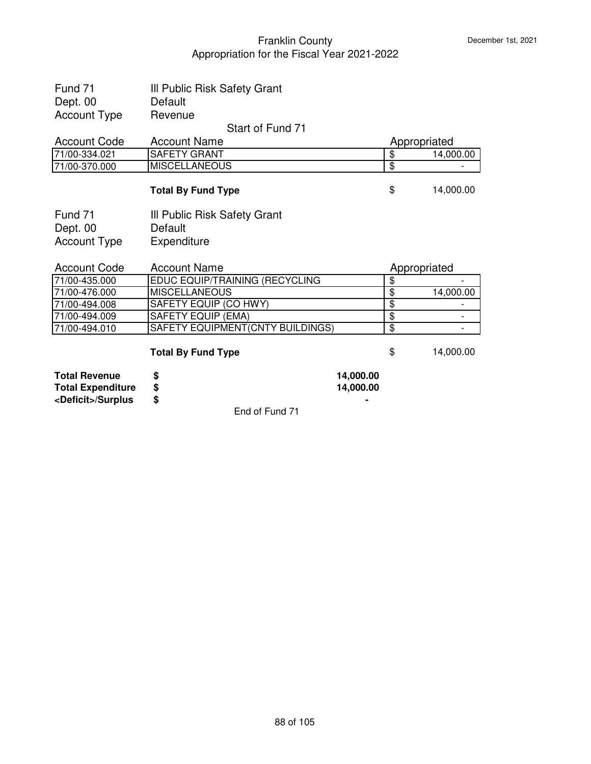| Fund 71                     | III Public Risk Safety Grant     |           |                         |                          |
|-----------------------------|----------------------------------|-----------|-------------------------|--------------------------|
| Dept. 00                    | Default                          |           |                         |                          |
| <b>Account Type</b>         | Revenue                          |           |                         |                          |
|                             | Start of Fund 71                 |           |                         |                          |
| <b>Account Code</b>         | <b>Account Name</b>              |           | Appropriated            |                          |
| 71/00-334.021               | <b>SAFETY GRANT</b>              |           | \$                      | 14,000.00                |
| 71/00-370.000               | <b>MISCELLANEOUS</b>             |           | \$                      |                          |
|                             | <b>Total By Fund Type</b>        |           | \$                      | 14,000.00                |
| Fund 71                     | III Public Risk Safety Grant     |           |                         |                          |
| Dept. 00                    | Default                          |           |                         |                          |
| <b>Account Type</b>         | Expenditure                      |           |                         |                          |
|                             |                                  |           |                         |                          |
| <b>Account Code</b>         | <b>Account Name</b>              |           | Appropriated            |                          |
| 71/00-435.000               | EDUC EQUIP/TRAINING (RECYCLING   |           | $\overline{\$}$         |                          |
| 71/00-476.000               | <b>MISCELLANEOUS</b>             |           | \$                      | 14,000.00                |
| 71/00-494.008               | SAFETY EQUIP (CO HWY)            |           | \$                      |                          |
| 71/00-494.009               | SAFETY EQUIP (EMA)               |           | $\overline{\mathbf{e}}$ | $\overline{\phantom{a}}$ |
| 71/00-494.010               | SAFETY EQUIPMENT(CNTY BUILDINGS) |           | $\overline{\mathbf{e}}$ | $\overline{\phantom{a}}$ |
|                             | <b>Total By Fund Type</b>        |           | \$                      | 14,000.00                |
| <b>Total Revenue</b>        |                                  | 14,000.00 |                         |                          |
| <b>Total Expenditure</b>    | \$<br>\$                         | 14,000.00 |                         |                          |
| <deficit>/Surplus</deficit> | \$                               |           |                         |                          |
|                             |                                  |           |                         |                          |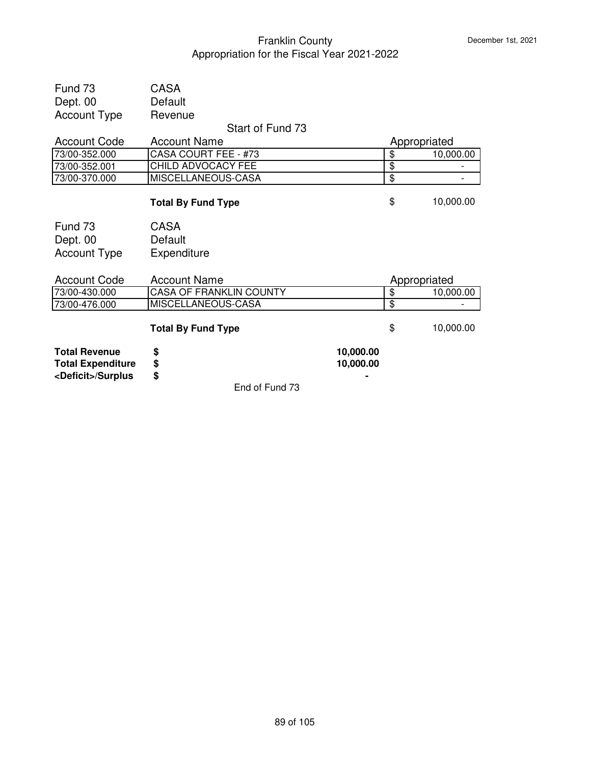|                                                         | End of Fund 73                          |           |              |           |
|---------------------------------------------------------|-----------------------------------------|-----------|--------------|-----------|
| <b>Total Expenditure</b><br><deficit>/Surplus</deficit> | \$<br>\$                                | 10,000.00 |              |           |
| <b>Total Revenue</b>                                    | \$                                      | 10,000.00 |              |           |
|                                                         | <b>Total By Fund Type</b>               |           | \$           | 10,000.00 |
| 73/00-476.000                                           | MISCELLANEOUS-CASA                      |           | \$           |           |
| 73/00-430.000                                           | <b>CASA OF FRANKLIN COUNTY</b>          |           | \$           | 10,000.00 |
| <b>Account Code</b>                                     | <b>Account Name</b>                     |           | Appropriated |           |
| <b>Account Type</b>                                     | Expenditure                             |           |              |           |
| Dept. 00                                                | Default                                 |           |              |           |
| Fund 73                                                 | <b>CASA</b>                             |           |              |           |
|                                                         | <b>Total By Fund Type</b>               |           | \$           | 10,000.00 |
| 73/00-370.000                                           | MISCELLANEOUS-CASA                      |           | \$           |           |
| 73/00-352.001                                           | CHILD ADVOCACY FEE                      |           | \$           |           |
| 73/00-352.000                                           | CASA COURT FEE - #73                    |           | \$           | 10,000.00 |
| <b>Account Code</b>                                     | Start of Fund 73<br><b>Account Name</b> |           | Appropriated |           |
| <b>Account Type</b>                                     | Revenue                                 |           |              |           |
| Dept. 00                                                | Default                                 |           |              |           |
| Fund 73                                                 | <b>CASA</b>                             |           |              |           |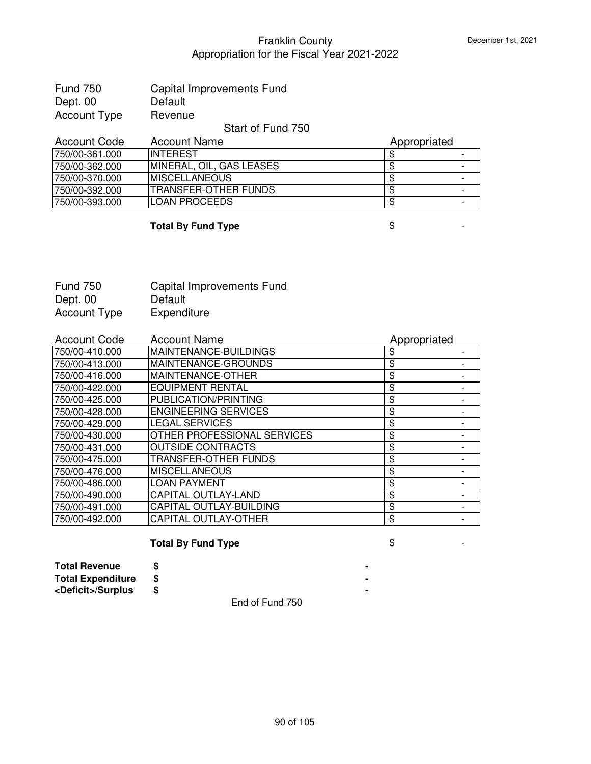| <b>Fund 750</b> | Capital Improvements Fund |
|-----------------|---------------------------|
| Dept. 00        | Default                   |
| Account Type    | Revenue                   |

#### Start of Fund 750

| <b>Account Code</b> | <b>Account Name</b>      | Appropriated |  |
|---------------------|--------------------------|--------------|--|
| 750/00-361.000      | <b>IINTEREST</b>         |              |  |
| 750/00-362.000      | MINERAL, OIL, GAS LEASES |              |  |
| 750/00-370.000      | <b>IMISCELLANEOUS</b>    |              |  |
| 750/00-392.000      | ITRANSFER-OTHER FUNDS    |              |  |
| 750/00-393.000      | ILOAN PROCEEDS           |              |  |

# **Total By Fund Type**  $\qquad$  $\qquad$  $\qquad$  $\qquad$  $\qquad$  $\qquad$  **-**

| <b>Fund 750</b> | Capital Improvements Fund |
|-----------------|---------------------------|
| Dept. 00        | Default                   |
| Account Type    | Expenditure               |

| <b>Account Code</b> | <b>Account Name</b>         | Appropriated |  |
|---------------------|-----------------------------|--------------|--|
| 750/00-410.000      | MAINTENANCE-BUILDINGS       | \$           |  |
| 750/00-413.000      | MAINTENANCE-GROUNDS         | \$           |  |
| 750/00-416.000      | MAINTENANCE-OTHER           | \$           |  |
| 750/00-422.000      | <b>EQUIPMENT RENTAL</b>     | \$           |  |
| 750/00-425.000      | PUBLICATION/PRINTING        | \$           |  |
| 750/00-428.000      | <b>ENGINEERING SERVICES</b> | \$           |  |
| 750/00-429.000      | <b>LEGAL SERVICES</b>       | \$           |  |
| 750/00-430.000      | OTHER PROFESSIONAL SERVICES | \$           |  |
| 750/00-431.000      | <b>OUTSIDE CONTRACTS</b>    | \$           |  |
| 750/00-475.000      | TRANSFER-OTHER FUNDS        | \$           |  |
| 750/00-476.000      | <b>MISCELLANEOUS</b>        | \$           |  |
| 750/00-486.000      | <b>LOAN PAYMENT</b>         | \$           |  |
| 750/00-490.000      | <b>CAPITAL OUTLAY-LAND</b>  | \$           |  |
| 750/00-491.000      | CAPITAL OUTLAY-BUILDING     | \$           |  |
| 750/00-492.000      | <b>CAPITAL OUTLAY-OTHER</b> | \$           |  |

# **Total By Fund Type**  $\qquad$  $\qquad$  $\qquad$  $\qquad$  $\qquad$  **-**

**Total Revenue \$ - Total Expenditure \$ - <Deficit>/Surplus \$ -**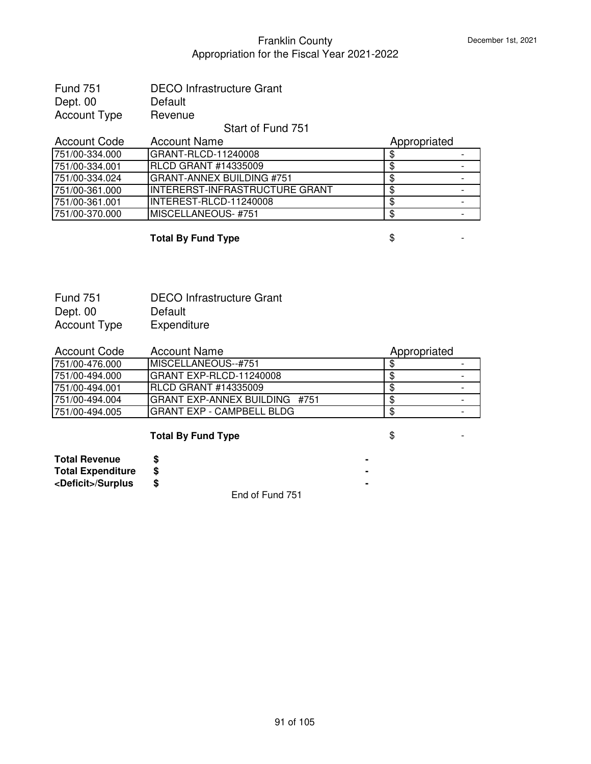| <b>Fund 751</b> | <b>DECO Infrastructure Grant</b> |
|-----------------|----------------------------------|
| Dept. 00        | Default                          |
| Account Type    | Revenue                          |

#### Start of Fund 751

| <b>Account Code</b> | <b>Account Name</b>             | Appropriated |  |
|---------------------|---------------------------------|--------------|--|
| 751/00-334.000      | IGRANT-RLCD-11240008            |              |  |
| 751/00-334.001      | <b>RLCD GRANT #14335009</b>     |              |  |
| 751/00-334.024      | GRANT-ANNEX BUILDING #751       |              |  |
| 751/00-361.000      | IINTERERST-INFRASTRUCTURE GRANT |              |  |
| 751/00-361.001      | INTEREST-RLCD-11240008          |              |  |
| 751/00-370.000      | MISCELLANEOUS- #751             |              |  |

#### **Total By Fund Type**  $\qquad$  $\qquad$  $\qquad$  $\qquad$  $\qquad$  **-**

Fund 751 DECO Infrastructure Grant Dept. 00 Default<br>Account Type Expenditure Account Type

| <b>Account Code</b> | <b>Account Name</b>               | Appropriated |                          |
|---------------------|-----------------------------------|--------------|--------------------------|
| 751/00-476.000      | <b>IMISCELLANEOUS--#751</b>       |              |                          |
| 751/00-494.000      | IGRANT EXP-RLCD-11240008          |              | $\overline{\phantom{0}}$ |
| 751/00-494.001      | IBLCD GRANT #14335009             |              |                          |
| 751/00-494.004      | GRANT EXP-ANNEX BUILDING #751     |              |                          |
| 751/00-494.005      | <b>IGRANT EXP - CAMPBELL BLDG</b> |              |                          |

# **Total By Fund Type**  $\qquad$  **\$**

| <b>Total Revenue</b>        |  |  |  |  |
|-----------------------------|--|--|--|--|
| <b>Total Expenditure</b>    |  |  |  |  |
| <deficit>/Surplus</deficit> |  |  |  |  |
|                             |  |  |  |  |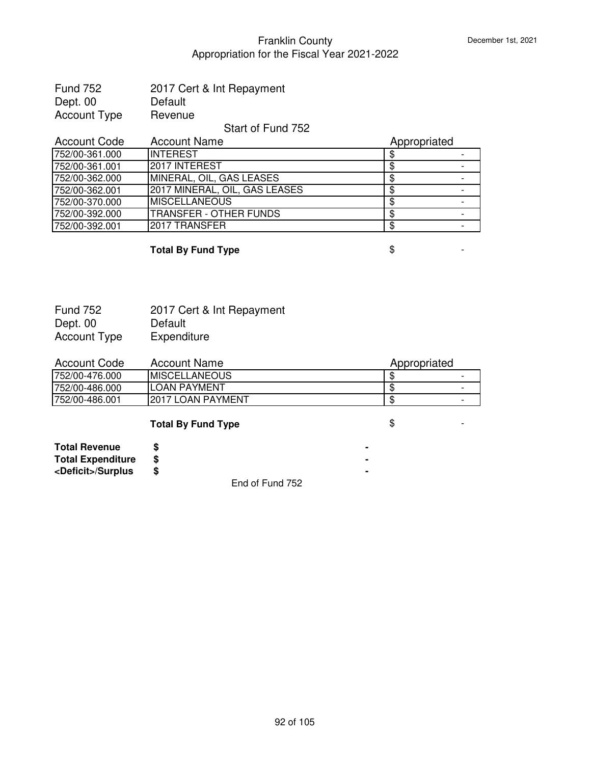| <b>Fund 752</b> | 2017 Cert & Int Repayment |
|-----------------|---------------------------|
| Dept. 00        | Default                   |
| Account Type    | Revenue                   |

#### Start of Fund 752

| <b>Account Code</b> | <b>Account Name</b>           | Appropriated |  |
|---------------------|-------------------------------|--------------|--|
| 752/00-361.000      | <b>INTEREST</b>               |              |  |
| 752/00-361.001      | <b>2017 INTEREST</b>          |              |  |
| 752/00-362.000      | MINERAL, OIL, GAS LEASES      |              |  |
| 752/00-362.001      | 2017 MINERAL, OIL, GAS LEASES |              |  |
| 752/00-370.000      | IMISCELLANEOUS                |              |  |
| 752/00-392.000      | <b>TRANSFER - OTHER FUNDS</b> |              |  |
| 752/00-392.001      | I2017 TRANSFER                |              |  |

#### **Total By Fund Type**  $\qquad$  $\qquad$  $\qquad$  $\qquad$  $\qquad$  $\qquad$  $\qquad$  $\qquad$  $\qquad$  $\qquad$  $\qquad$  $\qquad$  $\qquad$  $\qquad$  $\qquad$  $\qquad$  $\qquad$  $\qquad$  $\qquad$  $\qquad$  $\qquad$  $\qquad$  $\qquad$  $\qquad$  $\qquad$  $\qquad$  $\qquad$  $\qquad$  $\qquad$  $\qquad$  $\qquad$  $\qquad$  $\qquad$  **\qquad**

Fund 752 2017 Cert & Int Repayment Dept. 00 Default<br>Account Type Expenditure Account Type

| Account Code    | Account Name          | Appropriated |   |
|-----------------|-----------------------|--------------|---|
| 752/00-476.000  | <b>IMISCELLANEOUS</b> |              | - |
| 752/00-486.000  | <b>ILOAN PAYMENT</b>  |              | - |
| 1752/00-486.001 | I2017 LOAN PAYMENT    |              | - |

#### **Total By Fund Type**  $\qquad$  $\qquad$  $\qquad$  $\qquad$  $\qquad$  **-**

| <b>Total Revenue</b>        |                  | ٠ |
|-----------------------------|------------------|---|
| <b>Total Expenditure</b>    |                  |   |
| <deficit>/Surplus</deficit> |                  | ٠ |
|                             | 드급리 글라드 - 그리 코드스 |   |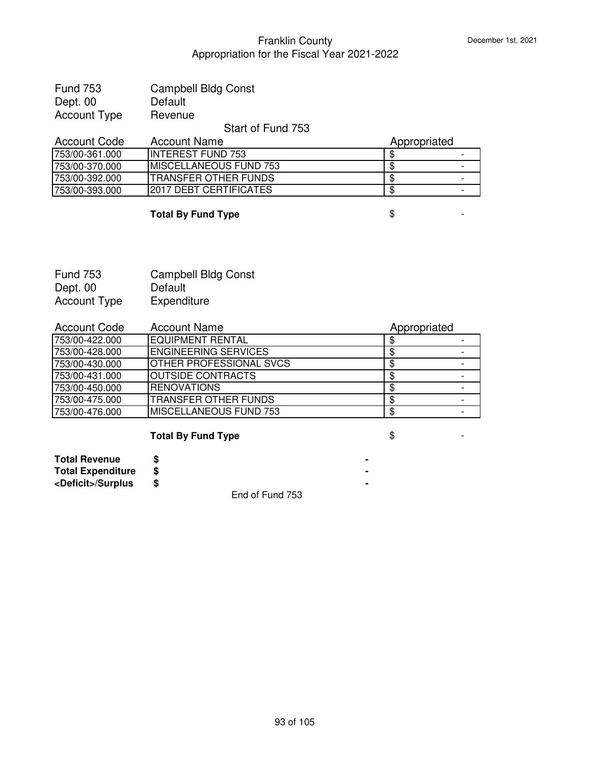| <b>Fund 753</b> | <b>Campbell Bldg Const</b> |
|-----------------|----------------------------|
| Dept. 00        | Default                    |
| Account Type    | Revenue                    |

# Start of Fund 753

| Account Code    | Account Name                  | Appropriated |   |
|-----------------|-------------------------------|--------------|---|
| 753/00-361.000  | IINTEREST FUND 753            |              |   |
| 753/00-370.000  | IMISCELLANEOUS FUND 753       |              |   |
| 753/00-392.000  | ITRANSFER OTHER FUNDS         |              | - |
| 1753/00-393.000 | <b>2017 DEBT CERTIFICATES</b> |              |   |

# **Total By Fund Type**  $\qquad$  $\qquad$  $\qquad$  $\qquad$  $\qquad$  **-**

| <b>Fund 753</b> | <b>Campbell Bldg Const</b> |
|-----------------|----------------------------|
| Dept. 00        | Default                    |
| Account Type    | Expenditure                |

| <b>Account Code</b> | <b>Account Name</b>            | Appropriated |  |
|---------------------|--------------------------------|--------------|--|
| 1753/00-422.000     | <b>IEQUIPMENT RENTAL</b>       |              |  |
| 753/00-428.000      | <b>IENGINEERING SERVICES</b>   |              |  |
| 753/00-430.000      | <b>OTHER PROFESSIONAL SVCS</b> |              |  |
| 753/00-431.000      | <b> OUTSIDE CONTRACTS</b>      |              |  |
| 753/00-450.000      | <b>IRENOVATIONS</b>            |              |  |
| 753/00-475.000      | <b>ITRANSFER OTHER FUNDS</b>   |              |  |
| 753/00-476.000      | MISCELLANEOUS FUND 753         |              |  |

# **Total By Fund Type**  $\qquad$  $\qquad$  $\qquad$  $\qquad$  $\qquad$  **-**

| <b>Total Revenue</b>        |  |
|-----------------------------|--|
| <b>Total Expenditure</b>    |  |
| <deficit>/Surplus</deficit> |  |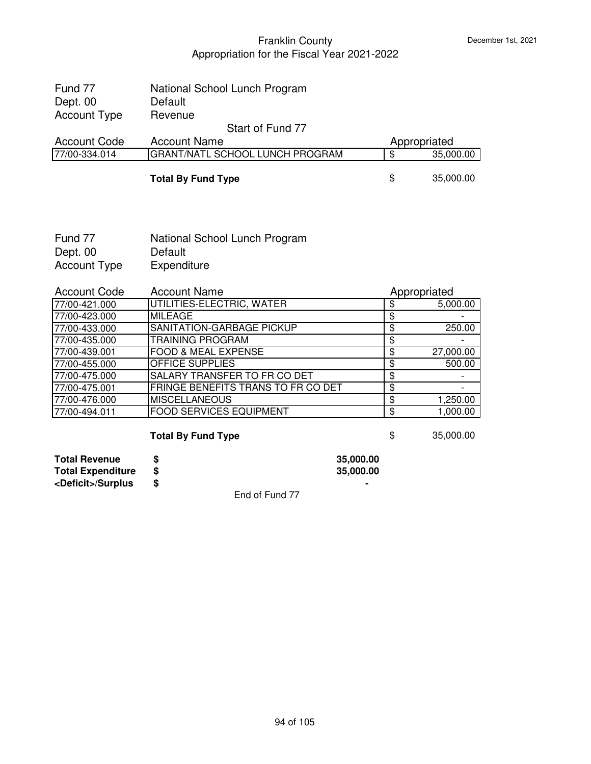| Fund 77             | National School Lunch Program          |                 |
|---------------------|----------------------------------------|-----------------|
| Dept. 00            | Default                                |                 |
| <b>Account Type</b> | Revenue                                |                 |
|                     | Start of Fund 77                       |                 |
| <b>Account Code</b> | <b>Account Name</b>                    | Appropriated    |
| 77/00-334.014       | <b>GRANT/NATL SCHOOL LUNCH PROGRAM</b> | \$<br>35,000.00 |
|                     |                                        |                 |
|                     | <b>Total By Fund Type</b>              | \$<br>35,000.00 |

| Fund 77      | National School Lunch Program |
|--------------|-------------------------------|
| Dept. 00     | Default                       |
| Account Type | Expenditure                   |

| <b>Account Code</b> | <b>Account Name</b>                | Appropriated |           |
|---------------------|------------------------------------|--------------|-----------|
| 77/00-421.000       | UTILITIES-ELECTRIC, WATER          |              | 5,000.00  |
| 77/00-423.000       | <b>MILEAGE</b>                     |              |           |
| 77/00-433.000       | SANITATION-GARBAGE PICKUP          |              | 250.00    |
| 77/00-435.000       | <b>TRAINING PROGRAM</b>            | σ            |           |
| 77/00-439.001       | FOOD & MEAL EXPENSE                |              | 27,000.00 |
| 77/00-455.000       | <b>OFFICE SUPPLIES</b>             | S            | 500.00    |
| 77/00-475.000       | SALARY TRANSFER TO FR CO DET       |              |           |
| 77/00-475.001       | FRINGE BENEFITS TRANS TO FR CO DET | \$           |           |
| 77/00-476.000       | <b>MISCELLANEOUS</b>               |              | 1,250.00  |
| 77/00-494.011       | <b>FOOD SERVICES EQUIPMENT</b>     | S            | 1,000.00  |

# **Total By Fund Type \$** 35,000.00

| <b>Total Revenue</b>        | 35,000.00 |
|-----------------------------|-----------|
| <b>Total Expenditure</b>    | 35,000.00 |
| <deficit>/Surplus</deficit> |           |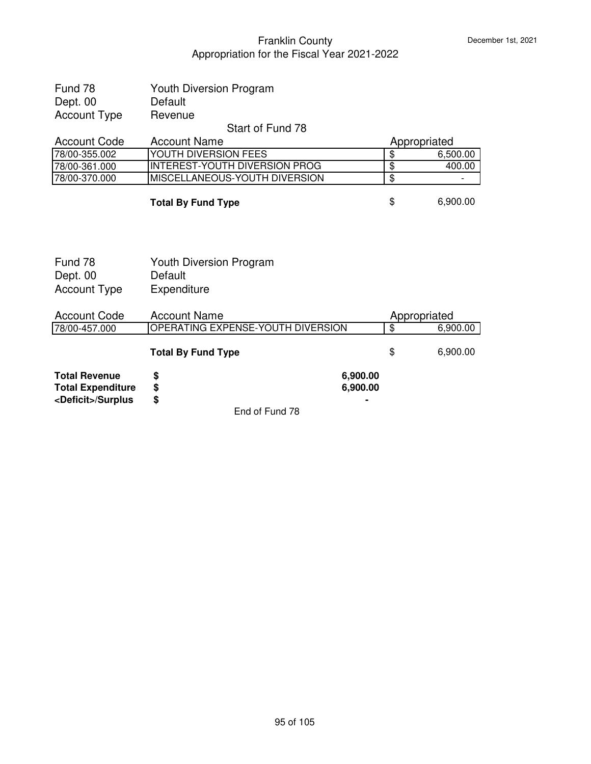| Fund 78<br>Dept. 00                                                             | <b>Youth Diversion Program</b><br>Default                |                      |                                  |          |
|---------------------------------------------------------------------------------|----------------------------------------------------------|----------------------|----------------------------------|----------|
| <b>Account Type</b>                                                             | Revenue                                                  |                      |                                  |          |
|                                                                                 | Start of Fund 78                                         |                      |                                  |          |
| <b>Account Code</b>                                                             | <b>Account Name</b>                                      |                      | Appropriated                     |          |
| 78/00-355.002                                                                   | YOUTH DIVERSION FEES                                     |                      | \$                               | 6,500.00 |
| 78/00-361.000                                                                   | <b>INTEREST-YOUTH DIVERSION PROG</b>                     |                      | $\overline{\boldsymbol{\theta}}$ | 400.00   |
| 78/00-370.000                                                                   | MISCELLANEOUS-YOUTH DIVERSION                            |                      | $\overline{\$}$                  |          |
|                                                                                 | <b>Total By Fund Type</b>                                |                      | \$                               | 6,900.00 |
| Fund 78<br>Dept. 00<br><b>Account Type</b>                                      | <b>Youth Diversion Program</b><br>Default<br>Expenditure |                      |                                  |          |
| <b>Account Code</b>                                                             | <b>Account Name</b>                                      |                      | Appropriated                     |          |
| 78/00-457.000                                                                   | OPERATING EXPENSE-YOUTH DIVERSION                        |                      | $\overline{\mathbf{S}}$          | 6,900.00 |
|                                                                                 | <b>Total By Fund Type</b>                                |                      | \$                               | 6,900.00 |
| <b>Total Revenue</b><br><b>Total Expenditure</b><br><deficit>/Surplus</deficit> | \$<br>\$<br>\$                                           | 6,900.00<br>6,900.00 |                                  |          |
|                                                                                 | End of Fund 78                                           |                      |                                  |          |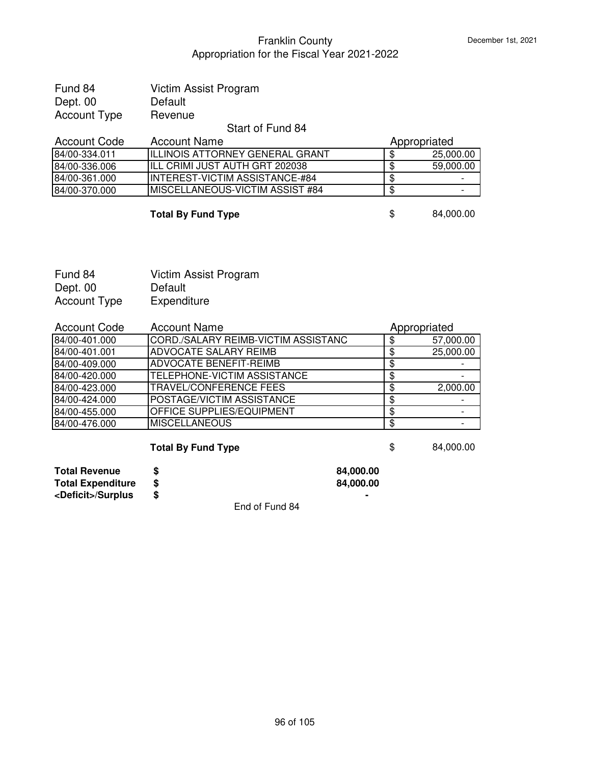| Fund 84             | Victim Assist Program |
|---------------------|-----------------------|
| Dept. 00            | Default               |
| <b>Account Type</b> | Revenue               |

#### Start of Fund 84

| Account Code  | <b>Account Name</b>                     | Appropriated |           |
|---------------|-----------------------------------------|--------------|-----------|
| 84/00-334.011 | IILLINOIS ATTORNEY GENERAL GRANT        |              | 25,000.00 |
| 84/00-336.006 | IILL CRIMI JUST AUTH GRT 202038         |              | 59,000.00 |
| 84/00-361.000 | IINTEREST-VICTIM ASSISTANCE-#84         |              |           |
| 84/00-370.000 | <b>IMISCELLANEOUS-VICTIM ASSIST #84</b> |              |           |

#### **Total By Fund Type**  $\qquad$  **\$** 84,000.00

Fund 84 Victim Assist Program Dept. 00 Default<br>Account Type Expenditure Account Type

| <b>Account Code</b> | <b>Account Name</b>                 | Appropriated |           |
|---------------------|-------------------------------------|--------------|-----------|
| 84/00-401.000       | CORD./SALARY REIMB-VICTIM ASSISTANC |              | 57,000.00 |
| 84/00-401.001       | <b>ADVOCATE SALARY REIMB</b>        |              | 25,000.00 |
| 84/00-409.000       | <b>ADVOCATE BENEFIT-REIMB</b>       | Œ            |           |
| 84/00-420.000       | <b>TELEPHONE-VICTIM ASSISTANCE</b>  | Œ            |           |
| 84/00-423.000       | <b>TRAVEL/CONFERENCE FEES</b>       |              | 2,000.00  |
| 84/00-424.000       | POSTAGE/VICTIM ASSISTANCE           |              |           |
| 84/00-455.000       | <b>OFFICE SUPPLIES/EQUIPMENT</b>    |              |           |
| 84/00-476.000       | <b>MISCELLANEOUS</b>                |              |           |

#### **Total By Fund Type**  $\qquad$  **\$** 84,000.00

**Total Revenue \$ 84,000.00 Total Expenditure \$ 84,000.00**

| <b>Total Revenue</b>        | 84,000. |
|-----------------------------|---------|
| <b>Total Expenditure</b>    | 84,000. |
| <deficit>/Surplus</deficit> |         |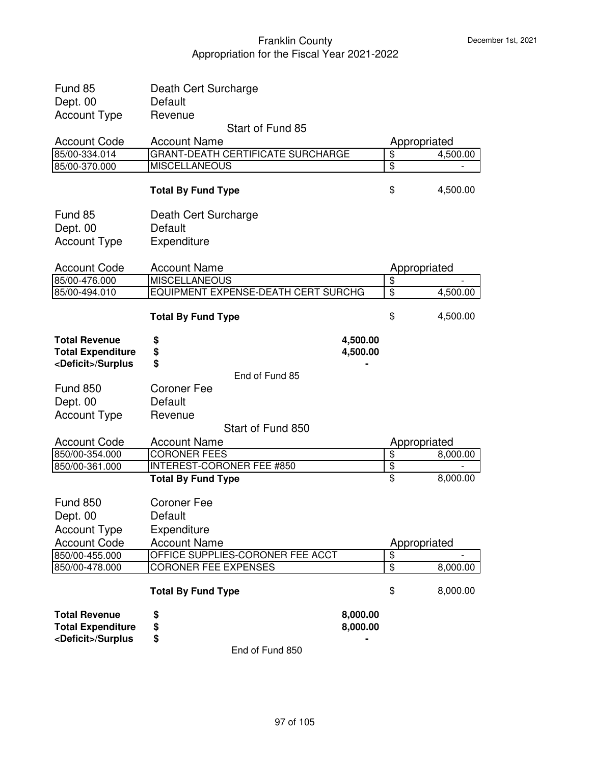| <deficit>/Surplus</deficit>                      | \$<br>End of Fund 850                                           |                                            |          |
|--------------------------------------------------|-----------------------------------------------------------------|--------------------------------------------|----------|
| <b>Total Revenue</b><br><b>Total Expenditure</b> | 8,000.00<br>\$<br>\$<br>8,000.00                                |                                            |          |
|                                                  | <b>Total By Fund Type</b>                                       | \$                                         | 8,000.00 |
| 850/00-478.000                                   | <b>CORONER FEE EXPENSES</b>                                     | $\overline{\boldsymbol{\theta}}$           | 8,000.00 |
| 850/00-455.000                                   | OFFICE SUPPLIES-CORONER FEE ACCT                                | $\overline{\mathbf{S}}$                    |          |
| <b>Account Code</b>                              | <b>Account Name</b>                                             | Appropriated                               |          |
| <b>Account Type</b>                              | Expenditure                                                     |                                            |          |
| Dept. 00                                         | Default                                                         |                                            |          |
| <b>Fund 850</b>                                  | <b>Coroner Fee</b>                                              |                                            |          |
|                                                  | <b>Total By Fund Type</b>                                       | \$                                         | 8,000.00 |
| 850/00-361.000                                   | <b>INTEREST-CORONER FEE #850</b>                                | $\boldsymbol{\theta}$                      |          |
| <b>Account Code</b><br>850/00-354.000            | <b>Account Name</b><br><b>CORONER FEES</b>                      | Appropriated<br>$\boldsymbol{\mathsf{\$}}$ | 8,000.00 |
|                                                  | Start of Fund 850                                               |                                            |          |
| <b>Account Type</b>                              | Revenue                                                         |                                            |          |
| Dept. 00                                         | Default                                                         |                                            |          |
| <b>Fund 850</b>                                  | <b>Coroner Fee</b>                                              |                                            |          |
|                                                  | End of Fund 85                                                  |                                            |          |
| <deficit>/Surplus</deficit>                      | \$                                                              |                                            |          |
| <b>Total Expenditure</b>                         | \$<br>4,500.00                                                  |                                            |          |
| <b>Total Revenue</b>                             | \$<br>4,500.00                                                  |                                            |          |
|                                                  | <b>Total By Fund Type</b>                                       | \$                                         | 4,500.00 |
| 85/00-494.010                                    | EQUIPMENT EXPENSE-DEATH CERT SURCHG                             | $\frac{1}{2}$                              | 4,500.00 |
| 85/00-476.000                                    | <b>MISCELLANEOUS</b>                                            | $\overline{\boldsymbol{\theta}}$           |          |
| <b>Account Code</b>                              | <b>Account Name</b>                                             | Appropriated                               |          |
| <b>Account Type</b>                              | Expenditure                                                     |                                            |          |
| Dept. 00                                         | Default                                                         |                                            |          |
| Fund 85                                          | Death Cert Surcharge                                            |                                            |          |
|                                                  | <b>Total By Fund Type</b>                                       | \$                                         | 4,500.00 |
| 85/00-370.000                                    | <b>MISCELLANEOUS</b>                                            | $\overline{\boldsymbol{\theta}}$           |          |
| <b>Account Code</b><br>85/00-334.014             | <b>Account Name</b><br><b>GRANT-DEATH CERTIFICATE SURCHARGE</b> | Appropriated<br>$\overline{\mathbf{S}}$    | 4,500.00 |
|                                                  | Start of Fund 85                                                |                                            |          |
| <b>Account Type</b>                              | Revenue                                                         |                                            |          |
| Dept. 00                                         | Default                                                         |                                            |          |
| Fund 85                                          | Death Cert Surcharge                                            |                                            |          |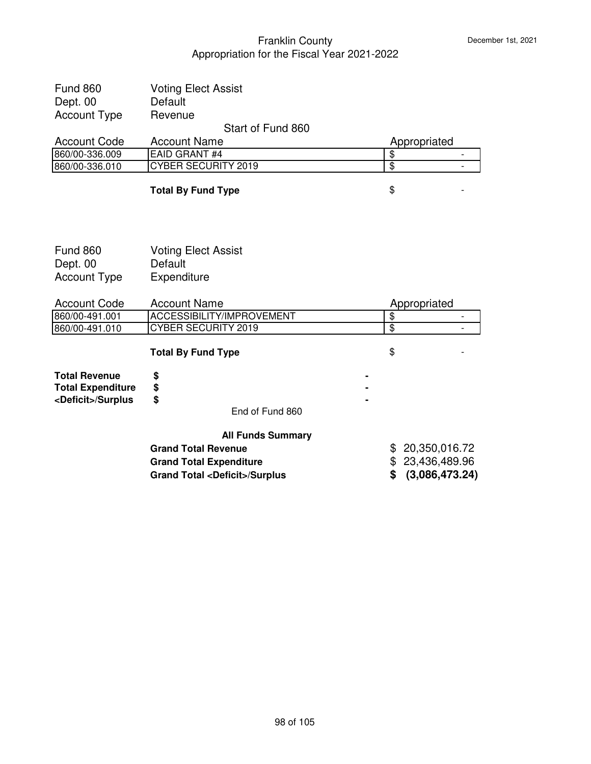| <b>Fund 860</b><br>Dept. 00<br><b>Account Type</b>                              | <b>Voting Elect Assist</b><br>Default<br>Revenue                                                               |                                                            |                          |
|---------------------------------------------------------------------------------|----------------------------------------------------------------------------------------------------------------|------------------------------------------------------------|--------------------------|
|                                                                                 | Start of Fund 860                                                                                              |                                                            |                          |
| <b>Account Code</b>                                                             | <b>Account Name</b>                                                                                            | Appropriated                                               |                          |
| 860/00-336.009                                                                  | <b>EAID GRANT #4</b>                                                                                           | $\overline{\$}$                                            |                          |
| 860/00-336.010                                                                  | <b>CYBER SECURITY 2019</b>                                                                                     | $\overline{\$}$                                            | $\blacksquare$           |
|                                                                                 | <b>Total By Fund Type</b>                                                                                      | \$                                                         |                          |
| <b>Fund 860</b><br>Dept. 00<br><b>Account Type</b>                              | <b>Voting Elect Assist</b><br>Default<br>Expenditure                                                           |                                                            |                          |
| <b>Account Code</b>                                                             | <b>Account Name</b>                                                                                            | Appropriated                                               |                          |
| 860/00-491.001                                                                  | ACCESSIBILITY/IMPROVEMENT                                                                                      | $\overline{\$}$                                            | $\overline{\phantom{a}}$ |
| 860/00-491.010                                                                  | CYBER SECURITY 2019                                                                                            | $\overline{\$}$                                            |                          |
|                                                                                 | <b>Total By Fund Type</b>                                                                                      | \$                                                         |                          |
| <b>Total Revenue</b><br><b>Total Expenditure</b><br><deficit>/Surplus</deficit> | \$<br>\$<br>\$<br>End of Fund 860                                                                              |                                                            |                          |
|                                                                                 | <b>All Funds Summary</b>                                                                                       |                                                            |                          |
|                                                                                 | <b>Grand Total Revenue</b><br><b>Grand Total Expenditure</b><br><b>Grand Total <deficit>/Surplus</deficit></b> | \$20,350,016.72<br>\$23,436,489.96<br>(3,086,473.24)<br>\$ |                          |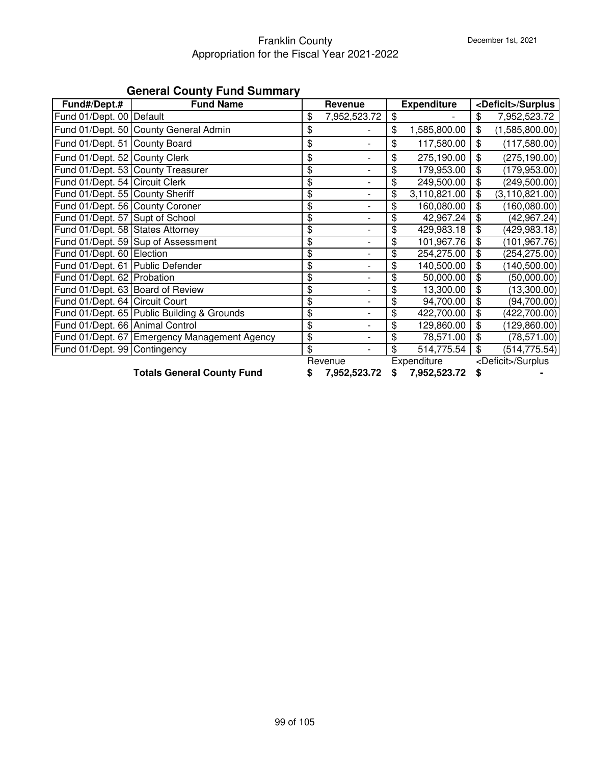#### Franklin County Appropriation for the Fiscal Year 2021-2022

|                                  | Gonoral Obanty I and Oanmary          |                    |                |                    |     |                             |
|----------------------------------|---------------------------------------|--------------------|----------------|--------------------|-----|-----------------------------|
| Fund#/Dept.#                     | <b>Fund Name</b>                      | Revenue            |                | <b>Expenditure</b> |     | <deficit>/Surplus</deficit> |
| Fund 01/Dept. 00 Default         |                                       | \$<br>7,952,523.72 | \$             |                    | \$  | 7,952,523.72                |
|                                  | Fund 01/Dept. 50 County General Admin | \$                 | \$             | 1,585,800.00       | \$  | (1,585,800.00)              |
| Fund 01/Dept. 51 County Board    |                                       | \$                 | \$             | 117,580.00         | \$  | (117,580.00)                |
| Fund 01/Dept. 52 County Clerk    |                                       | \$                 | \$             | 275,190.00         | \$  | (275, 190.00)               |
|                                  | Fund 01/Dept. 53 County Treasurer     | \$                 | \$             | 179,953.00         | \$  | (179, 953.00)               |
| Fund 01/Dept. 54 Circuit Clerk   |                                       | \$                 | \$             | 249,500.00         | \$  | (249, 500.00)               |
| Fund 01/Dept. 55 County Sheriff  |                                       | \$                 | \$             | 3,110,821.00       |     | (3, 110, 821.00)            |
| Fund 01/Dept. 56 County Coroner  |                                       | \$                 | \$             | 160,080.00         |     | (160,080.00)                |
| Fund 01/Dept. 57 Supt of School  |                                       | \$                 | \$             | 42,967.24          | \$  | (42, 967.24)                |
| Fund 01/Dept. 58 States Attorney |                                       | \$                 | \$             | 429,983.18         | \$. | $\sqrt{429,983.18}$         |
|                                  | Fund 01/Dept. 59 Sup of Assessment    | \$                 | \$             | 101,967.76         | \$. | (101, 967.76)               |
| Fund 01/Dept. 60 Election        |                                       | \$                 | \$             | 254,275.00         |     | (254, 275.00)               |
| Fund 01/Dept. 61 Public Defender |                                       | \$                 | \$             | 140,500.00         |     | (140, 500.00)               |
| Fund 01/Dept. 62 Probation       |                                       | \$                 | \$             | 50,000.00          |     | (50,000.00)                 |
| Fund 01/Dept. 63 Board of Review |                                       | \$                 | \$             | 13,300.00          |     | (13,300.00)                 |
| Fund 01/Dept. 64 Circuit Court   |                                       | \$                 | $\mathfrak{L}$ | 94,700.00          |     | (94, 700.00)                |

#### **General County Fund Summary**

**Totals General County Fund \$ 7,952,523.72 \$ 7,952,523.72 \$ -**

Revenue Expenditure <Deficit>/Surplus

Fund 01/Dept. 65 Public Building & Grounds - \$ 422,700.00 \$ (422,700.00) \$ Fund 01/Dept. 66 Animal Control **6 1 129,860.00 6** 129,860.00 **6** (129,860.00) Fund 01/Dept. 67 Emergency Management Agency  $\frac{1}{9}$  \$ 78,571.00 | \$ (78,571.00) Fund 01/Dept. 99 Contingency **514,775.54 514,775.54** \$ (514,775.54)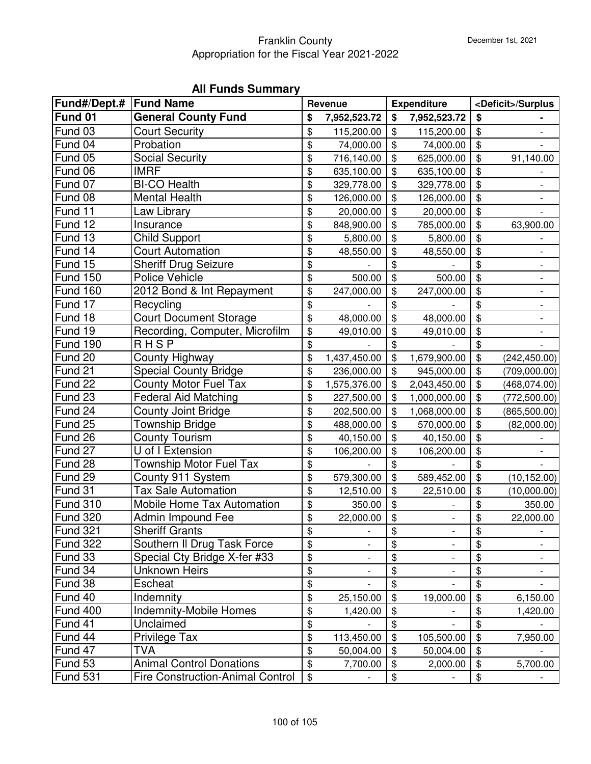# **All Funds Summary**

| Fund#/Dept.#   Fund Name |                                         |                         | Revenue      |               | <b>Expenditure</b>       |                            | <deficit>/Surplus</deficit> |
|--------------------------|-----------------------------------------|-------------------------|--------------|---------------|--------------------------|----------------------------|-----------------------------|
| Fund 01                  | <b>General County Fund</b>              | \$                      | 7,952,523.72 | \$            | 7,952,523.72             | \$                         |                             |
| Fund 03                  | <b>Court Security</b>                   | \$                      | 115,200.00   | \$            | 115,200.00               | $\sqrt[6]{\frac{1}{2}}$    |                             |
| Fund 04                  | Probation                               | \$                      | 74,000.00    | \$            | 74,000.00                | \$                         |                             |
| Fund 05                  | <b>Social Security</b>                  | \$                      | 716,140.00   | \$            | 625,000.00               | \$                         | 91,140.00                   |
| Fund 06                  | <b>IMRF</b>                             | \$                      | 635,100.00   | \$            | 635,100.00               | \$                         |                             |
| Fund 07                  | <b>BI-CO Health</b>                     | \$                      | 329,778.00   | \$            | 329,778.00               | \$                         |                             |
| Fund 08                  | <b>Mental Health</b>                    | \$                      | 126,000.00   | \$            | 126,000.00               | $\sqrt[6]{\frac{1}{2}}$    |                             |
| Fund 11                  | Law Library                             | \$                      | 20,000.00    | \$            | 20,000.00                | $\boldsymbol{\mathsf{\$}}$ |                             |
| Fund 12                  | Insurance                               | \$                      | 848,900.00   | \$            | 785,000.00               | \$                         | 63,900.00                   |
| Fund 13                  | <b>Child Support</b>                    | \$                      | 5,800.00     | \$            | 5,800.00                 | \$                         |                             |
| Fund 14                  | <b>Court Automation</b>                 | \$                      | 48,550.00    | \$            | 48,550.00                | \$                         |                             |
| Fund 15                  | <b>Sheriff Drug Seizure</b>             | \$                      |              | \$            |                          | \$                         | -                           |
| <b>Fund 150</b>          | Police Vehicle                          | \$                      | 500.00       | \$            | 500.00                   | \$                         | $\overline{\phantom{0}}$    |
| <b>Fund 160</b>          | 2012 Bond & Int Repayment               | \$                      | 247,000.00   | \$            | 247,000.00               | \$                         |                             |
| Fund 17                  | Recycling                               | \$                      |              | \$            |                          | \$                         |                             |
| Fund 18                  | <b>Court Document Storage</b>           | \$                      | 48,000.00    | \$            | 48,000.00                | \$                         | $\overline{\phantom{0}}$    |
| Fund 19                  | Recording, Computer, Microfilm          | \$                      | 49,010.00    | $\frac{1}{2}$ | 49,010.00                | $\sqrt[6]{\frac{1}{2}}$    |                             |
| <b>Fund 190</b>          | <b>RHSP</b>                             | \$                      |              | \$            |                          | \$                         |                             |
| Fund 20                  | County Highway                          | \$                      | 1,437,450.00 | \$            | 1,679,900.00             | \$                         | (242, 450.00)               |
| Fund 21                  | <b>Special County Bridge</b>            | \$                      | 236,000.00   | \$            | 945,000.00               | $\boldsymbol{\mathsf{\$}}$ | (709,000.00)                |
| Fund 22                  | <b>County Motor Fuel Tax</b>            | \$                      | 1,575,376.00 | \$            | 2,043,450.00             | $\frac{1}{2}$              | (468, 074.00)               |
| Fund 23                  | <b>Federal Aid Matching</b>             | \$                      | 227,500.00   | \$            | 1,000,000.00             | $\sqrt[6]{\frac{1}{2}}$    | (772, 500.00)               |
| Fund 24                  | County Joint Bridge                     | \$                      | 202,500.00   | \$            | 1,068,000.00             | $\boldsymbol{\mathsf{\$}}$ | (865, 500.00)               |
| Fund 25                  | Township Bridge                         | \$                      | 488,000.00   | \$            | 570,000.00               | $\frac{1}{2}$              | (82,000.00)                 |
| Fund 26                  | <b>County Tourism</b>                   | \$                      | 40,150.00    | \$            | 40,150.00                | \$                         |                             |
| Fund 27                  | U of I Extension                        | \$                      | 106,200.00   | \$            | 106,200.00               | \$                         |                             |
| Fund 28                  | <b>Township Motor Fuel Tax</b>          | \$                      |              | \$            |                          | \$                         |                             |
| Fund 29                  | County 911 System                       | \$                      | 579,300.00   | \$            | 589,452.00               | $\frac{1}{2}$              | (10, 152.00)                |
| Fund 31                  | <b>Tax Sale Automation</b>              | \$                      | 12,510.00    | \$            | 22,510.00                | \$                         | (10,000.00)                 |
| <b>Fund 310</b>          | <b>Mobile Home Tax Automation</b>       | \$                      | 350.00       | \$            |                          | \$                         | 350.00                      |
| <b>Fund 320</b>          | Admin Impound Fee                       | \$                      | 22,000.00    | \$            |                          | \$                         | 22,000.00                   |
| Fund 321                 | <b>Sheriff Grants</b>                   | \$                      |              | \$            | $\overline{\phantom{a}}$ | \$                         |                             |
| Fund 322                 | Southern II Drug Task Force             | \$                      |              | \$            |                          | \$                         |                             |
| Fund 33                  | Special Cty Bridge X-fer #33            | \$                      |              | \$            |                          | \$                         |                             |
| Fund 34                  | <b>Unknown Heirs</b>                    | \$                      |              | \$            |                          | \$                         |                             |
| Fund 38                  | Escheat                                 | \$                      |              | \$            |                          | \$                         |                             |
| Fund 40                  | Indemnity                               | $\frac{1}{2}$           | 25,150.00    | \$            | 19,000.00                | $\boldsymbol{\mathsf{\$}}$ | 6,150.00                    |
| Fund 400                 | <b>Indemnity-Mobile Homes</b>           | \$                      | 1,420.00     | \$            |                          | \$                         | 1,420.00                    |
| Fund 41                  | Unclaimed                               | \$                      |              | \$            |                          | \$                         |                             |
| Fund 44                  | Privilege Tax                           | \$                      | 113,450.00   | \$            | 105,500.00               | $\mathfrak{S}$             | 7,950.00                    |
| Fund 47                  | <b>TVA</b>                              | \$                      | 50,004.00    | \$            | 50,004.00                | $\boldsymbol{\mathsf{\$}}$ |                             |
| Fund 53                  | <b>Animal Control Donations</b>         | $\overline{\mathbf{e}}$ | 7,700.00     | $\$\$         | 2,000.00                 | $\frac{1}{2}$              | 5,700.00                    |
| Fund 531                 | <b>Fire Construction-Animal Control</b> | $\$\$                   |              | \$            |                          | \$                         |                             |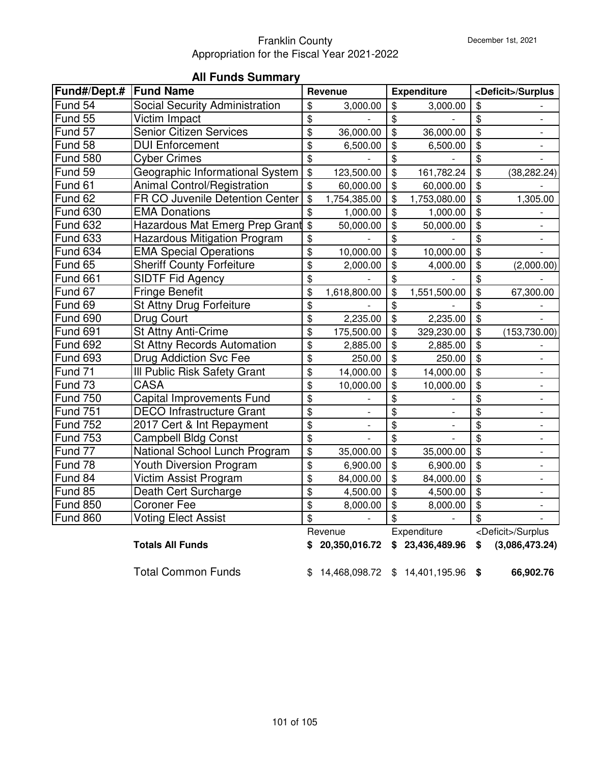| Fund#/Dept.#         | <b>Fund Name</b>                       |                           | Revenue                  |                            | <b>Expenditure</b>       |                            | <deficit>/Surplus</deficit> |
|----------------------|----------------------------------------|---------------------------|--------------------------|----------------------------|--------------------------|----------------------------|-----------------------------|
| Fund 54              | <b>Social Security Administration</b>  | \$                        | 3,000.00                 | \$                         | 3,000.00                 | \$                         |                             |
| Fund 55              | Victim Impact                          | \$                        |                          | \$                         |                          | $\boldsymbol{\$}$          |                             |
| Fund $5\overline{7}$ | Senior Citizen Services                | \$                        | 36,000.00                | $\overline{\$}$            | 36,000.00                | $\overline{\$}$            |                             |
| Fund 58              | <b>DUI Enforcement</b>                 | \$                        | 6,500.00                 | $\overline{\mathbf{S}}$    | 6,500.00                 | $\frac{1}{2}$              |                             |
| <b>Fund 580</b>      | <b>Cyber Crimes</b>                    | \$                        |                          | \$                         |                          | \$                         |                             |
| Fund 59              | Geographic Informational System        | $\boldsymbol{\mathsf{S}}$ | 123,500.00               | \$                         | 161,782.24               | \$                         | (38, 282.24)                |
| Fund 61              | <b>Animal Control/Registration</b>     | \$                        | 60,000.00                | \$                         | 60,000.00                | \$                         |                             |
| Fund 62              | <b>FR CO Juvenile Detention Center</b> | \$                        | 1,754,385.00             | $\frac{1}{2}$              | 1,753,080.00             | $\mathfrak{S}$             | 1,305.00                    |
| <b>Fund 630</b>      | <b>EMA Donations</b>                   | \$                        | 1,000.00                 | \$                         | 1,000.00                 | \$                         |                             |
| <b>Fund 632</b>      | Hazardous Mat Emerg Prep Grant         | $\mathfrak{S}$            | 50,000.00                | \$                         | 50,000.00                | \$                         |                             |
| <b>Fund 633</b>      | <b>Hazardous Mitigation Program</b>    | \$                        |                          | $\boldsymbol{\mathsf{\$}}$ |                          | \$                         |                             |
| <b>Fund 634</b>      | <b>EMA Special Operations</b>          | \$                        | 10,000.00                | \$                         | 10,000.00                | $\frac{1}{2}$              |                             |
| Fund 65              | <b>Sheriff County Forfeiture</b>       | \$                        | 2,000.00                 | \$                         | 4,000.00                 | $\frac{1}{2}$              | (2,000.00)                  |
| <b>Fund 661</b>      | <b>SIDTF Fid Agency</b>                | \$                        |                          | \$                         |                          | \$                         |                             |
| Fund 67              | <b>Fringe Benefit</b>                  | \$                        | 1,618,800.00             | \$                         | 1,551,500.00             | \$                         | 67,300.00                   |
| Fund 69              | St Attny Drug Forfeiture               | \$                        |                          | \$                         |                          | \$                         |                             |
| <b>Fund 690</b>      | Drug Court                             | \$                        | 2,235.00                 | $\overline{\$}$            | 2,235.00                 | $\overline{\mathbf{G}}$    |                             |
| <b>Fund 691</b>      | St Attny Anti-Crime                    | \$                        | 175,500.00               | $\overline{\mathbf{S}}$    | 329,230.00               | $\boldsymbol{\mathsf{\$}}$ | (153, 730.00)               |
| <b>Fund 692</b>      | <b>St Attny Records Automation</b>     | \$                        | 2,885.00                 | $\overline{\$}$            | 2,885.00                 | $\boldsymbol{\mathsf{\$}}$ |                             |
| <b>Fund 693</b>      | <b>Drug Addiction Svc Fee</b>          | \$                        | 250.00                   | $\overline{\$}$            | 250.00                   | $\boldsymbol{\mathsf{\$}}$ |                             |
| Fund 71              | Ill Public Risk Safety Grant           | \$                        | 14,000.00                | $\frac{1}{2}$              | 14,000.00                | \$                         |                             |
| Fund 73              | <b>CASA</b>                            | \$                        | 10,000.00                | \$                         | 10,000.00                | \$                         |                             |
| <b>Fund 750</b>      | Capital Improvements Fund              | \$                        |                          | \$                         |                          | \$                         | $\overline{\phantom{0}}$    |
| <b>Fund 751</b>      | <b>DECO Infrastructure Grant</b>       | \$                        |                          | \$                         |                          | \$                         |                             |
| <b>Fund 752</b>      | 2017 Cert & Int Repayment              | \$                        | $\overline{\phantom{a}}$ | $\overline{\mathbf{G}}$    | $\overline{\phantom{a}}$ | \$                         | $\overline{\phantom{a}}$    |
| <b>Fund 753</b>      | <b>Campbell Bldg Const</b>             | \$                        |                          | $\frac{1}{2}$              |                          | \$                         | $\overline{\phantom{a}}$    |
| Fund 77              | National School Lunch Program          | \$                        | 35,000.00                | $\boldsymbol{\mathsf{\$}}$ | 35,000.00                | $\boldsymbol{\mathsf{\$}}$ | $\overline{\phantom{a}}$    |
| Fund 78              | <b>Youth Diversion Program</b>         | \$                        | 6,900.00                 | $\overline{\mathbf{e}}$    | 6,900.00                 | $\frac{1}{2}$              |                             |
| Fund 84              | Victim Assist Program                  | \$                        | 84,000.00                | $\frac{1}{2}$              | 84,000.00                | $\boldsymbol{\mathsf{\$}}$ |                             |
| Fund 85              | Death Cert Surcharge                   | \$                        | 4,500.00                 | \$                         | 4,500.00                 | $\frac{1}{2}$              |                             |
| <b>Fund 850</b>      | <b>Coroner Fee</b>                     | \$                        | 8,000.00                 | \$                         | 8,000.00                 | \$                         |                             |
| <b>Fund 860</b>      | <b>Voting Elect Assist</b>             | \$                        |                          | \$                         |                          | \$                         |                             |
|                      |                                        |                           | Revenue                  |                            | Expenditure              |                            | <deficit>/Surplus</deficit> |
|                      | <b>Totals All Funds</b>                |                           | 20,350,016.72            |                            | \$23,436,489.96          | \$                         | (3,086,473.24)              |

# **All Funds Summary**

Total Common Funds  $$ 14,468,098.72 $ 14,401,195.96 $ 66,902.76$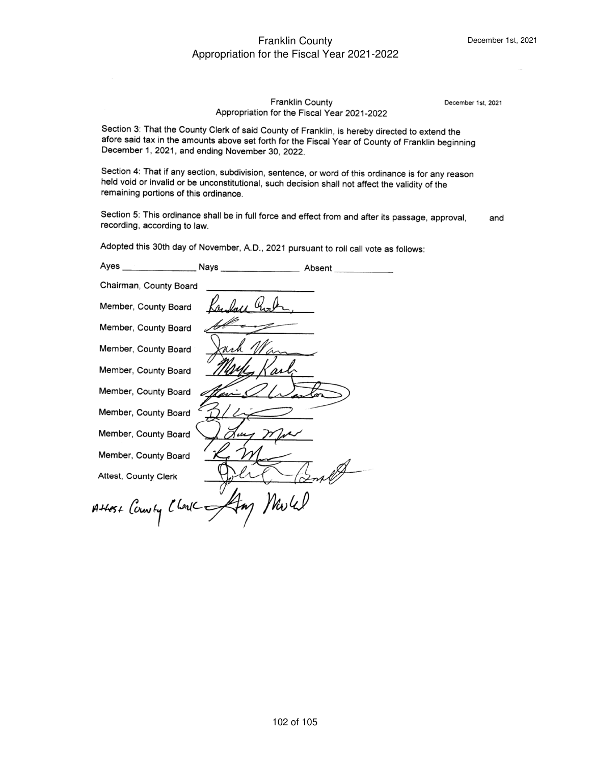# december 1, 2022, and ending November 30, 2022, and ending November 30, 2022, and ending November 30, 2022, and

December 1st, 2021

Section 3: That the County Clerk of said County of Franklin, is hereby directed to extend the afore said tax in the amounts above set forth for the Fiscal Year of County of Franklin beginning December 1, 2021, and ending November 30, 2022.

Section 4: That if any section, subdivision, sentence, or word of this ordinance is for any reason held void or invalid or be unconstitutional, such decision shall not affect the validity of the remaining portions of this ordinance.

Section 5: This ordinance shall be in full force and effect from and after its passage, approval, recording, according to law. and

Adopted this 30th day of November, A.D., 2021 pursuant to roll call vote as foll

| Chairman, County Board |                                 |  |
|------------------------|---------------------------------|--|
| Member, County Board   |                                 |  |
| Member, County Board   |                                 |  |
| Member, County Board   |                                 |  |
| Member, County Board   |                                 |  |
| Member, County Board   |                                 |  |
| Member, County Board   |                                 |  |
| Member, County Board   |                                 |  |
| Member, County Board   |                                 |  |
| Attest, County Clerk   |                                 |  |
|                        | Attest County Cheric Amy Werkel |  |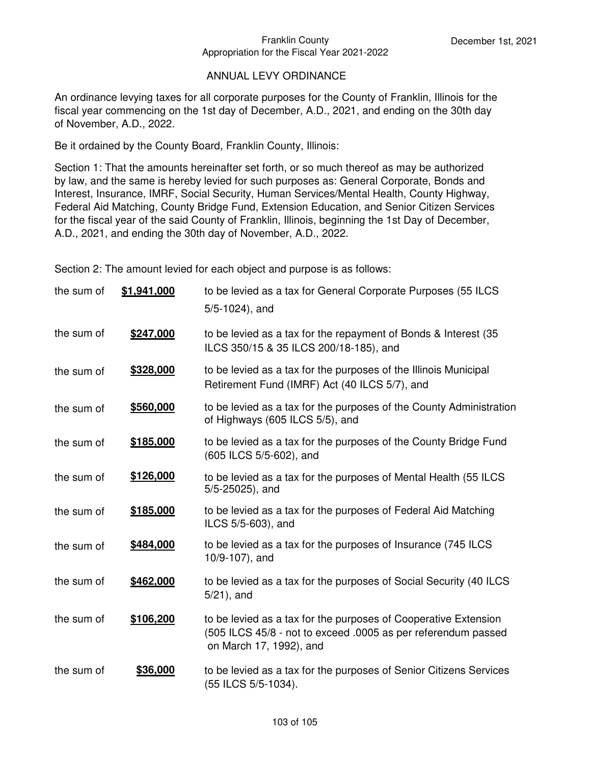#### ANNUAL LEVY ORDINANCE

An ordinance levying taxes for all corporate purposes for the County of Franklin, Illinois for the fiscal year commencing on the 1st day of December, A.D., 2021, and ending on the 30th day of November, A.D., 2022.

Be it ordained by the County Board, Franklin County, Illinois:

Section 1: That the amounts hereinafter set forth, or so much thereof as may be authorized by law, and the same is hereby levied for such purposes as: General Corporate, Bonds and Interest, Insurance, IMRF, Social Security, Human Services/Mental Health, County Highway, Federal Aid Matching, County Bridge Fund, Extension Education, and Senior Citizen Services for the fiscal year of the said County of Franklin, Illinois, beginning the 1st Day of December, A.D., 2021, and ending the 30th day of November, A.D., 2022.

Section 2: The amount levied for each object and purpose is as follows:

| the sum of | \$1,941,000 | to be levied as a tax for General Corporate Purposes (55 ILCS<br>$5/5-1024$ ), and                                                                          |
|------------|-------------|-------------------------------------------------------------------------------------------------------------------------------------------------------------|
| the sum of | \$247,000   | to be levied as a tax for the repayment of Bonds & Interest (35)<br>ILCS 350/15 & 35 ILCS 200/18-185), and                                                  |
| the sum of | \$328,000   | to be levied as a tax for the purposes of the Illinois Municipal<br>Retirement Fund (IMRF) Act (40 ILCS 5/7), and                                           |
| the sum of | \$560,000   | to be levied as a tax for the purposes of the County Administration<br>of Highways (605 ILCS 5/5), and                                                      |
| the sum of | \$185,000   | to be levied as a tax for the purposes of the County Bridge Fund<br>(605 ILCS 5/5-602), and                                                                 |
| the sum of | \$126,000   | to be levied as a tax for the purposes of Mental Health (55 ILCS<br>$5/5 - 25025$ , and                                                                     |
| the sum of | \$185,000   | to be levied as a tax for the purposes of Federal Aid Matching<br>ILCS 5/5-603), and                                                                        |
| the sum of | \$484,000   | to be levied as a tax for the purposes of Insurance (745 ILCS<br>10/9-107), and                                                                             |
| the sum of | \$462,000   | to be levied as a tax for the purposes of Social Security (40 ILCS<br>$5/21$ , and                                                                          |
| the sum of | \$106,200   | to be levied as a tax for the purposes of Cooperative Extension<br>(505 ILCS 45/8 - not to exceed .0005 as per referendum passed<br>on March 17, 1992), and |
| the sum of | \$36,000    | to be levied as a tax for the purposes of Senior Citizens Services<br>(55 ILCS 5/5-1034).                                                                   |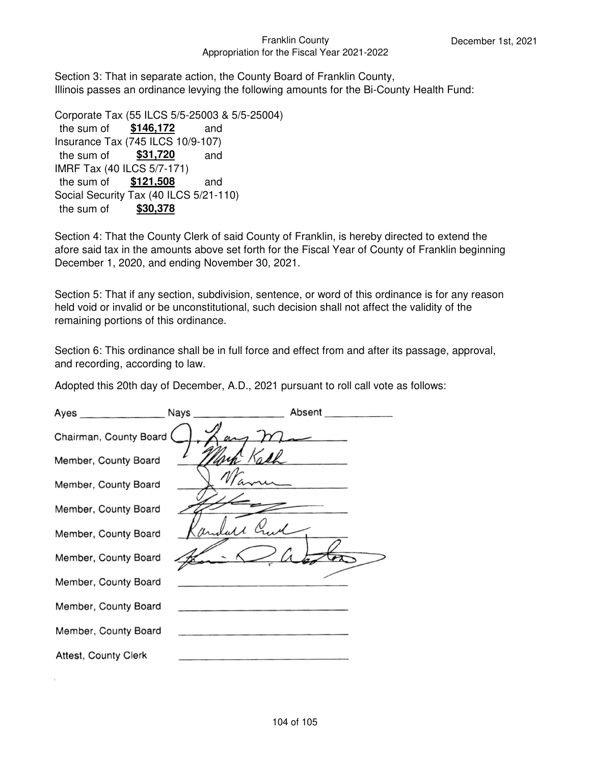Section 3: That in separate action, the County Board of Franklin County, Illinois passes an ordinance levying the following amounts for the Bi-County Health Fund:

```
Corporate Tax (55 ILCS 5/5-25003 & 5/5-25004)
the sum of $146,172 and
Insurance Tax (745 ILCS 10/9-107)
the sum of $31,720 and
IMRF Tax (40 ILCS 5/7-171)
the sum of $121,508 and
Social Security Tax (40 ILCS 5/21-110)
the sum of $30,378
```
Section 4: That the County Clerk of said County of Franklin, is hereby directed to extend the afore said tax in the amounts above set forth for the Fiscal Year of County of Franklin beginning December 1, 2020, and ending November 30, 2021.

Section 5: That if any section, subdivision, sentence, or word of this ordinance is for any reason held void or invalid or be unconstitutional, such decision shall not affect the validity of the remaining portions of this ordinance.

Section 6: This ordinance shall be in full force and effect from and after its passage, approval, and recording, according to law.

Adopted this 20th day of December, A.D., 2021 pursuant to roll call vote as follows:

| Ayes _________________      | Nays | Absent |
|-----------------------------|------|--------|
| Chairman, County Board (    |      |        |
| Member, County Board        |      |        |
| Member, County Board        |      |        |
| Member, County Board        |      |        |
| Member, County Board        |      |        |
| Member, County Board        |      |        |
| Member, County Board        |      |        |
| Member, County Board        |      |        |
| Member, County Board        |      |        |
| <b>Attest, County Clerk</b> |      |        |